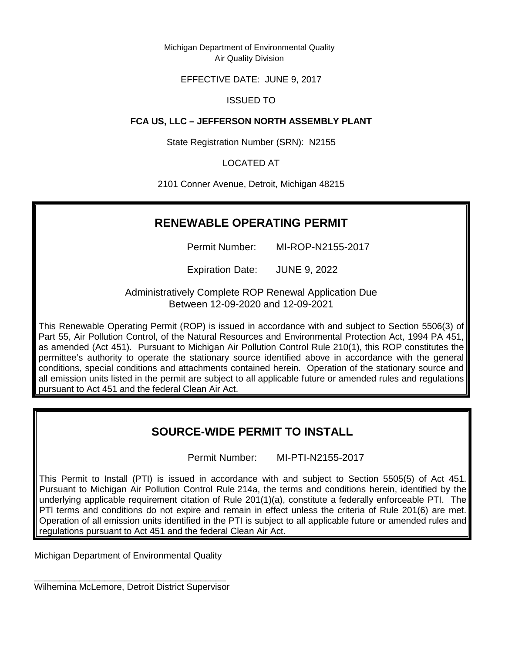Michigan Department of Environmental Quality Air Quality Division

# EFFECTIVE DATE: JUNE 9, 2017

# ISSUED TO

# **FCA US, LLC – JEFFERSON NORTH ASSEMBLY PLANT**

State Registration Number (SRN): N2155

LOCATED AT

2101 Conner Avenue, Detroit, Michigan 48215

# **RENEWABLE OPERATING PERMIT**

Permit Number: MI-ROP-N2155-2017

Expiration Date: JUNE 9, 2022

Administratively Complete ROP Renewal Application Due Between 12-09-2020 and 12-09-2021

This Renewable Operating Permit (ROP) is issued in accordance with and subject to Section 5506(3) of Part 55, Air Pollution Control, of the Natural Resources and Environmental Protection Act, 1994 PA 451, as amended (Act 451). Pursuant to Michigan Air Pollution Control Rule 210(1), this ROP constitutes the permittee's authority to operate the stationary source identified above in accordance with the general conditions, special conditions and attachments contained herein. Operation of the stationary source and all emission units listed in the permit are subject to all applicable future or amended rules and regulations pursuant to Act 451 and the federal Clean Air Act.

# **SOURCE-WIDE PERMIT TO INSTALL**

Permit Number: MI-PTI-N2155-2017

This Permit to Install (PTI) is issued in accordance with and subject to Section 5505(5) of Act 451. Pursuant to Michigan Air Pollution Control Rule 214a, the terms and conditions herein, identified by the underlying applicable requirement citation of Rule 201(1)(a), constitute a federally enforceable PTI. The PTl terms and conditions do not expire and remain in effect unless the criteria of Rule 201(6) are met. Operation of all emission units identified in the PTI is subject to all applicable future or amended rules and regulations pursuant to Act 451 and the federal Clean Air Act.

Michigan Department of Environmental Quality

\_\_\_\_\_\_\_\_\_\_\_\_\_\_\_\_\_\_\_\_\_\_\_\_\_\_\_\_\_\_\_\_\_\_\_\_\_\_ Wilhemina McLemore, Detroit District Supervisor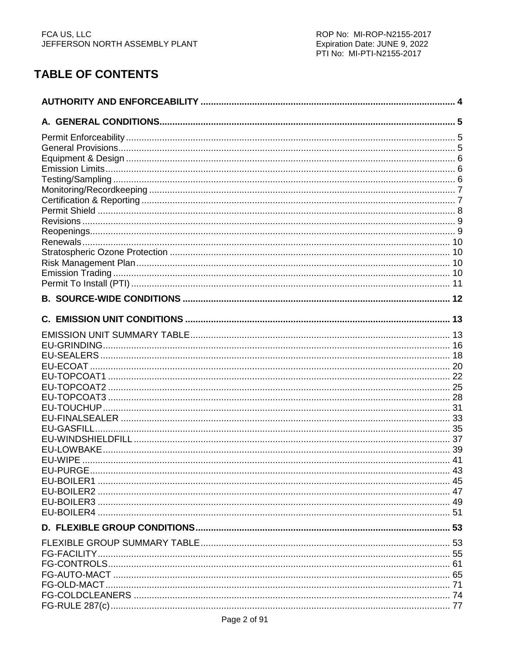# **TABLE OF CONTENTS**

| EU-ECOAT.      |  |
|----------------|--|
|                |  |
|                |  |
|                |  |
|                |  |
|                |  |
|                |  |
|                |  |
| <b>EU-WIPE</b> |  |
|                |  |
|                |  |
|                |  |
|                |  |
|                |  |
|                |  |
|                |  |
|                |  |
|                |  |
|                |  |
|                |  |
|                |  |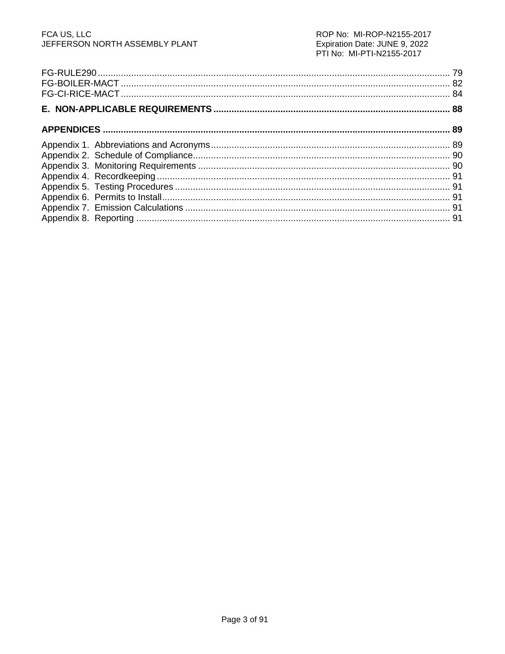# FCA US, LLC<br>JEFFERSON NORTH ASSEMBLY PLANT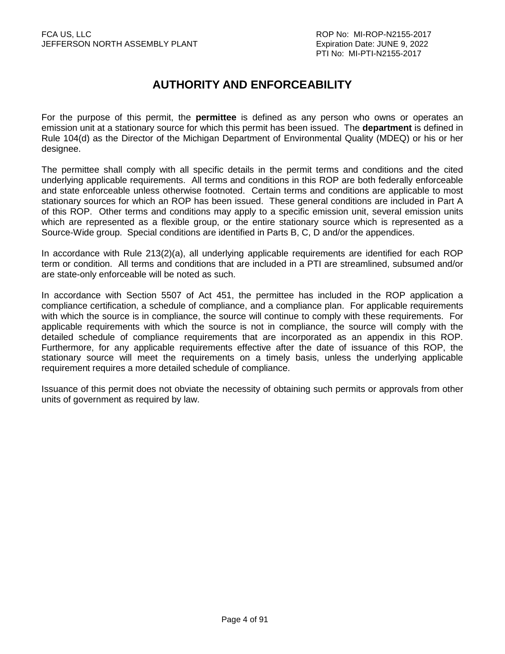# **AUTHORITY AND ENFORCEABILITY**

For the purpose of this permit, the **permittee** is defined as any person who owns or operates an emission unit at a stationary source for which this permit has been issued. The **department** is defined in Rule 104(d) as the Director of the Michigan Department of Environmental Quality (MDEQ) or his or her designee.

The permittee shall comply with all specific details in the permit terms and conditions and the cited underlying applicable requirements. All terms and conditions in this ROP are both federally enforceable and state enforceable unless otherwise footnoted. Certain terms and conditions are applicable to most stationary sources for which an ROP has been issued. These general conditions are included in Part A of this ROP. Other terms and conditions may apply to a specific emission unit, several emission units which are represented as a flexible group, or the entire stationary source which is represented as a Source-Wide group. Special conditions are identified in Parts B, C, D and/or the appendices.

In accordance with Rule 213(2)(a), all underlying applicable requirements are identified for each ROP term or condition. All terms and conditions that are included in a PTI are streamlined, subsumed and/or are state-only enforceable will be noted as such.

In accordance with Section 5507 of Act 451, the permittee has included in the ROP application a compliance certification, a schedule of compliance, and a compliance plan. For applicable requirements with which the source is in compliance, the source will continue to comply with these requirements. For applicable requirements with which the source is not in compliance, the source will comply with the detailed schedule of compliance requirements that are incorporated as an appendix in this ROP. Furthermore, for any applicable requirements effective after the date of issuance of this ROP, the stationary source will meet the requirements on a timely basis, unless the underlying applicable requirement requires a more detailed schedule of compliance.

Issuance of this permit does not obviate the necessity of obtaining such permits or approvals from other units of government as required by law.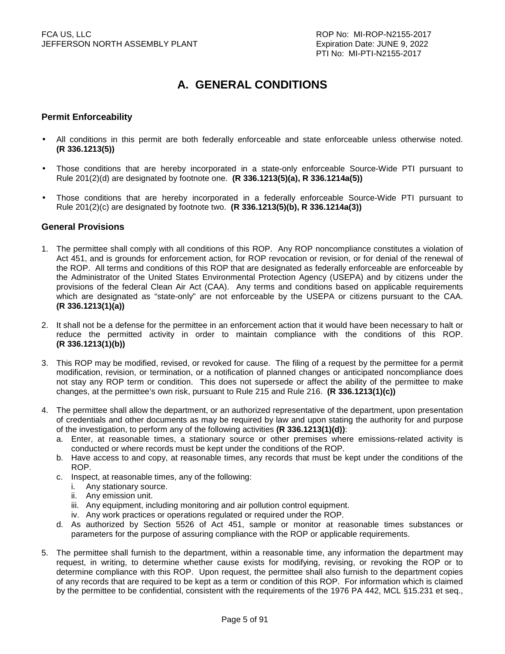# **A. GENERAL CONDITIONS**

### **Permit Enforceability**

- All conditions in this permit are both federally enforceable and state enforceable unless otherwise noted. **(R 336.1213(5))**
- Those conditions that are hereby incorporated in a state-only enforceable Source-Wide PTI pursuant to Rule 201(2)(d) are designated by footnote one. **(R 336.1213(5)(a), R 336.1214a(5))**
- Those conditions that are hereby incorporated in a federally enforceable Source-Wide PTI pursuant to Rule 201(2)(c) are designated by footnote two. **(R 336.1213(5)(b), R 336.1214a(3))**

#### **General Provisions**

- 1. The permittee shall comply with all conditions of this ROP. Any ROP noncompliance constitutes a violation of Act 451, and is grounds for enforcement action, for ROP revocation or revision, or for denial of the renewal of the ROP. All terms and conditions of this ROP that are designated as federally enforceable are enforceable by the Administrator of the United States Environmental Protection Agency (USEPA) and by citizens under the provisions of the federal Clean Air Act (CAA). Any terms and conditions based on applicable requirements which are designated as "state-only" are not enforceable by the USEPA or citizens pursuant to the CAA. **(R 336.1213(1)(a))**
- 2. It shall not be a defense for the permittee in an enforcement action that it would have been necessary to halt or reduce the permitted activity in order to maintain compliance with the conditions of this ROP. **(R 336.1213(1)(b))**
- 3. This ROP may be modified, revised, or revoked for cause. The filing of a request by the permittee for a permit modification, revision, or termination, or a notification of planned changes or anticipated noncompliance does not stay any ROP term or condition. This does not supersede or affect the ability of the permittee to make changes, at the permittee's own risk, pursuant to Rule 215 and Rule 216. **(R 336.1213(1)(c))**
- 4. The permittee shall allow the department, or an authorized representative of the department, upon presentation of credentials and other documents as may be required by law and upon stating the authority for and purpose of the investigation, to perform any of the following activities **(R 336.1213(1)(d))**:
	- a. Enter, at reasonable times, a stationary source or other premises where emissions-related activity is conducted or where records must be kept under the conditions of the ROP.
	- b. Have access to and copy, at reasonable times, any records that must be kept under the conditions of the ROP.
	- c. Inspect, at reasonable times, any of the following:
		- i. Any stationary source.
		- ii. Any emission unit.
		- iii. Any equipment, including monitoring and air pollution control equipment.
		- iv. Any work practices or operations regulated or required under the ROP.
	- d. As authorized by Section 5526 of Act 451, sample or monitor at reasonable times substances or parameters for the purpose of assuring compliance with the ROP or applicable requirements.
- 5. The permittee shall furnish to the department, within a reasonable time, any information the department may request, in writing, to determine whether cause exists for modifying, revising, or revoking the ROP or to determine compliance with this ROP. Upon request, the permittee shall also furnish to the department copies of any records that are required to be kept as a term or condition of this ROP. For information which is claimed by the permittee to be confidential, consistent with the requirements of the 1976 PA 442, MCL §15.231 et seq.,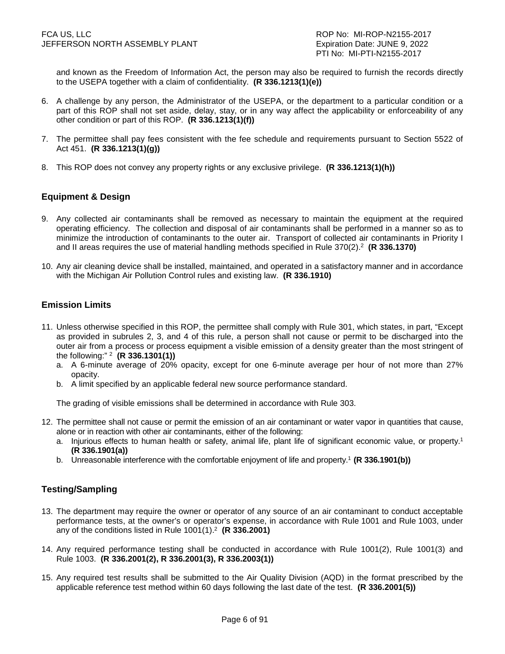and known as the Freedom of Information Act, the person may also be required to furnish the records directly to the USEPA together with a claim of confidentiality. **(R 336.1213(1)(e))**

- 6. A challenge by any person, the Administrator of the USEPA, or the department to a particular condition or a part of this ROP shall not set aside, delay, stay, or in any way affect the applicability or enforceability of any other condition or part of this ROP. **(R 336.1213(1)(f))**
- 7. The permittee shall pay fees consistent with the fee schedule and requirements pursuant to Section 5522 of Act 451. **(R 336.1213(1)(g))**
- 8. This ROP does not convey any property rights or any exclusive privilege. **(R 336.1213(1)(h))**

# **Equipment & Design**

- 9. Any collected air contaminants shall be removed as necessary to maintain the equipment at the required operating efficiency. The collection and disposal of air contaminants shall be performed in a manner so as to minimize the introduction of contaminants to the outer air. Transport of collected air contaminants in Priority I and II areas requires the use of material handling methods specified in Rule 370(2).<sup>2</sup> **(R 336.1370)**
- 10. Any air cleaning device shall be installed, maintained, and operated in a satisfactory manner and in accordance with the Michigan Air Pollution Control rules and existing law. **(R 336.1910)**

# **Emission Limits**

- 11. Unless otherwise specified in this ROP, the permittee shall comply with Rule 301, which states, in part, "Except as provided in subrules 2, 3, and 4 of this rule, a person shall not cause or permit to be discharged into the outer air from a process or process equipment a visible emission of a density greater than the most stringent of the following:" <sup>2</sup> **(R 336.1301(1))**
	- a. A 6-minute average of 20% opacity, except for one 6-minute average per hour of not more than 27% opacity.
	- b. A limit specified by an applicable federal new source performance standard.

The grading of visible emissions shall be determined in accordance with Rule 303.

- 12. The permittee shall not cause or permit the emission of an air contaminant or water vapor in quantities that cause, alone or in reaction with other air contaminants, either of the following:
	- a. Injurious effects to human health or safety, animal life, plant life of significant economic value, or property.<sup>1</sup> **(R 336.1901(a))**
	- b. Unreasonable interference with the comfortable enjoyment of life and property.<sup>1</sup> **(R 336.1901(b))**

# **Testing/Sampling**

- 13. The department may require the owner or operator of any source of an air contaminant to conduct acceptable performance tests, at the owner's or operator's expense, in accordance with Rule 1001 and Rule 1003, under any of the conditions listed in Rule 1001(1).<sup>2</sup> **(R 336.2001)**
- 14. Any required performance testing shall be conducted in accordance with Rule 1001(2), Rule 1001(3) and Rule 1003. **(R 336.2001(2), R 336.2001(3), R 336.2003(1))**
- 15. Any required test results shall be submitted to the Air Quality Division (AQD) in the format prescribed by the applicable reference test method within 60 days following the last date of the test. **(R 336.2001(5))**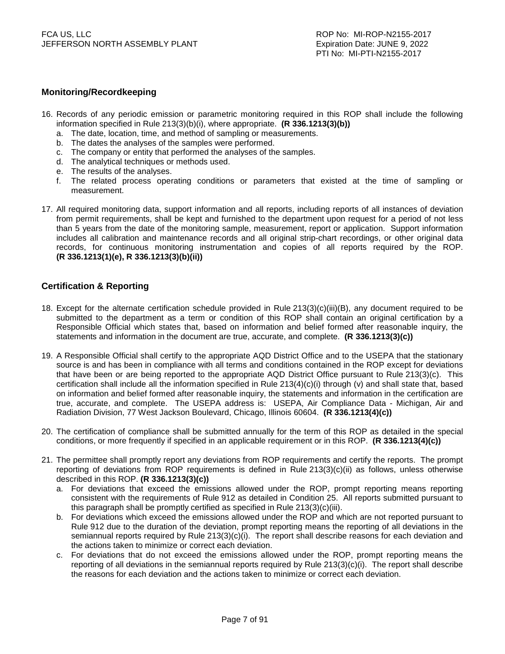# **Monitoring/Recordkeeping**

- 16. Records of any periodic emission or parametric monitoring required in this ROP shall include the following information specified in Rule 213(3)(b)(i), where appropriate. **(R 336.1213(3)(b))**
	- a. The date, location, time, and method of sampling or measurements.
	- b. The dates the analyses of the samples were performed.
	- c. The company or entity that performed the analyses of the samples.
	- d. The analytical techniques or methods used.
	- e. The results of the analyses.
	- f. The related process operating conditions or parameters that existed at the time of sampling or measurement.
- 17. All required monitoring data, support information and all reports, including reports of all instances of deviation from permit requirements, shall be kept and furnished to the department upon request for a period of not less than 5 years from the date of the monitoring sample, measurement, report or application. Support information includes all calibration and maintenance records and all original strip-chart recordings, or other original data records, for continuous monitoring instrumentation and copies of all reports required by the ROP. **(R 336.1213(1)(e), R 336.1213(3)(b)(ii))**

# **Certification & Reporting**

- 18. Except for the alternate certification schedule provided in Rule 213(3)(c)(iii)(B), any document required to be submitted to the department as a term or condition of this ROP shall contain an original certification by a Responsible Official which states that, based on information and belief formed after reasonable inquiry, the statements and information in the document are true, accurate, and complete. **(R 336.1213(3)(c))**
- 19. A Responsible Official shall certify to the appropriate AQD District Office and to the USEPA that the stationary source is and has been in compliance with all terms and conditions contained in the ROP except for deviations that have been or are being reported to the appropriate AQD District Office pursuant to Rule 213(3)(c). This certification shall include all the information specified in Rule 213(4)(c)(i) through (v) and shall state that, based on information and belief formed after reasonable inquiry, the statements and information in the certification are true, accurate, and complete. The USEPA address is: USEPA, Air Compliance Data - Michigan, Air and Radiation Division, 77 West Jackson Boulevard, Chicago, Illinois 60604. **(R 336.1213(4)(c))**
- 20. The certification of compliance shall be submitted annually for the term of this ROP as detailed in the special conditions, or more frequently if specified in an applicable requirement or in this ROP. **(R 336.1213(4)(c))**
- 21. The permittee shall promptly report any deviations from ROP requirements and certify the reports. The prompt reporting of deviations from ROP requirements is defined in Rule 213(3)(c)(ii) as follows, unless otherwise described in this ROP. **(R 336.1213(3)(c))**
	- a. For deviations that exceed the emissions allowed under the ROP, prompt reporting means reporting consistent with the requirements of Rule 912 as detailed in Condition 25. All reports submitted pursuant to this paragraph shall be promptly certified as specified in Rule 213(3)(c)(iii).
	- b. For deviations which exceed the emissions allowed under the ROP and which are not reported pursuant to Rule 912 due to the duration of the deviation, prompt reporting means the reporting of all deviations in the semiannual reports required by Rule 213(3)(c)(i). The report shall describe reasons for each deviation and the actions taken to minimize or correct each deviation.
	- c. For deviations that do not exceed the emissions allowed under the ROP, prompt reporting means the reporting of all deviations in the semiannual reports required by Rule 213(3)(c)(i). The report shall describe the reasons for each deviation and the actions taken to minimize or correct each deviation.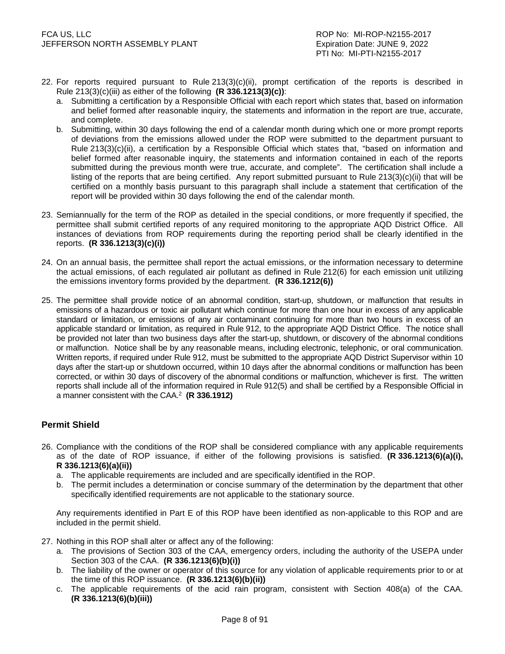- 22. For reports required pursuant to Rule 213(3)(c)(ii), prompt certification of the reports is described in Rule 213(3)(c)(iii) as either of the following **(R 336.1213(3)(c))**:
	- a. Submitting a certification by a Responsible Official with each report which states that, based on information and belief formed after reasonable inquiry, the statements and information in the report are true, accurate, and complete.
	- b. Submitting, within 30 days following the end of a calendar month during which one or more prompt reports of deviations from the emissions allowed under the ROP were submitted to the department pursuant to Rule 213(3)(c)(ii), a certification by a Responsible Official which states that, "based on information and belief formed after reasonable inquiry, the statements and information contained in each of the reports submitted during the previous month were true, accurate, and complete". The certification shall include a listing of the reports that are being certified. Any report submitted pursuant to Rule 213(3)(c)(ii) that will be certified on a monthly basis pursuant to this paragraph shall include a statement that certification of the report will be provided within 30 days following the end of the calendar month.
- 23. Semiannually for the term of the ROP as detailed in the special conditions, or more frequently if specified, the permittee shall submit certified reports of any required monitoring to the appropriate AQD District Office. All instances of deviations from ROP requirements during the reporting period shall be clearly identified in the reports. **(R 336.1213(3)(c)(i))**
- 24. On an annual basis, the permittee shall report the actual emissions, or the information necessary to determine the actual emissions, of each regulated air pollutant as defined in Rule 212(6) for each emission unit utilizing the emissions inventory forms provided by the department. **(R 336.1212(6))**
- 25. The permittee shall provide notice of an abnormal condition, start-up, shutdown, or malfunction that results in emissions of a hazardous or toxic air pollutant which continue for more than one hour in excess of any applicable standard or limitation, or emissions of any air contaminant continuing for more than two hours in excess of an applicable standard or limitation, as required in Rule 912, to the appropriate AQD District Office. The notice shall be provided not later than two business days after the start-up, shutdown, or discovery of the abnormal conditions or malfunction. Notice shall be by any reasonable means, including electronic, telephonic, or oral communication. Written reports, if required under Rule 912, must be submitted to the appropriate AQD District Supervisor within 10 days after the start-up or shutdown occurred, within 10 days after the abnormal conditions or malfunction has been corrected, or within 30 days of discovery of the abnormal conditions or malfunction, whichever is first. The written reports shall include all of the information required in Rule 912(5) and shall be certified by a Responsible Official in a manner consistent with the CAA.<sup>2</sup> **(R 336.1912)**

# **Permit Shield**

- 26. Compliance with the conditions of the ROP shall be considered compliance with any applicable requirements as of the date of ROP issuance, if either of the following provisions is satisfied. **(R 336.1213(6)(a)(i), R 336.1213(6)(a)(ii))**
	- a. The applicable requirements are included and are specifically identified in the ROP.
	- b. The permit includes a determination or concise summary of the determination by the department that other specifically identified requirements are not applicable to the stationary source.

Any requirements identified in Part E of this ROP have been identified as non-applicable to this ROP and are included in the permit shield.

- 27. Nothing in this ROP shall alter or affect any of the following:
	- a. The provisions of Section 303 of the CAA, emergency orders, including the authority of the USEPA under Section 303 of the CAA. **(R 336.1213(6)(b)(i))**
	- b. The liability of the owner or operator of this source for any violation of applicable requirements prior to or at the time of this ROP issuance. **(R 336.1213(6)(b)(ii))**
	- c. The applicable requirements of the acid rain program, consistent with Section 408(a) of the CAA. **(R 336.1213(6)(b)(iii))**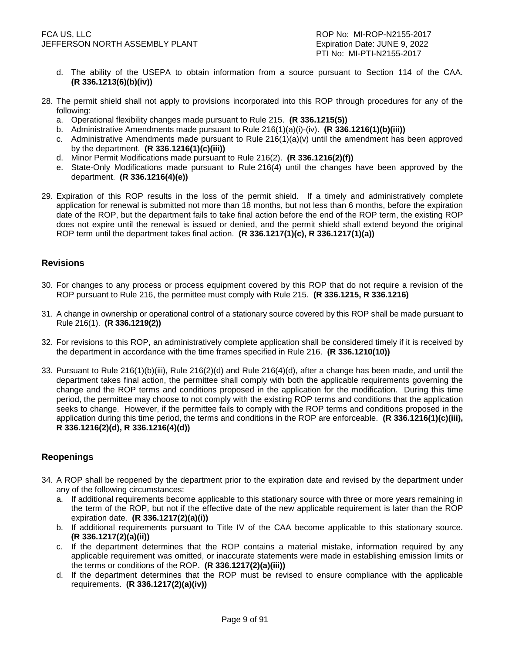- d. The ability of the USEPA to obtain information from a source pursuant to Section 114 of the CAA. **(R 336.1213(6)(b)(iv))**
- 28. The permit shield shall not apply to provisions incorporated into this ROP through procedures for any of the following:
	- a. Operational flexibility changes made pursuant to Rule 215. **(R 336.1215(5))**
	- b. Administrative Amendments made pursuant to Rule 216(1)(a)(i)-(iv). **(R 336.1216(1)(b)(iii))**
	- c. Administrative Amendments made pursuant to Rule  $216(1)(a)(v)$  until the amendment has been approved by the department. **(R 336.1216(1)(c)(iii))**
	- d. Minor Permit Modifications made pursuant to Rule 216(2). **(R 336.1216(2)(f))**
	- e. State-Only Modifications made pursuant to Rule 216(4) until the changes have been approved by the department. **(R 336.1216(4)(e))**
- 29. Expiration of this ROP results in the loss of the permit shield. If a timely and administratively complete application for renewal is submitted not more than 18 months, but not less than 6 months, before the expiration date of the ROP, but the department fails to take final action before the end of the ROP term, the existing ROP does not expire until the renewal is issued or denied, and the permit shield shall extend beyond the original ROP term until the department takes final action. **(R 336.1217(1)(c), R 336.1217(1)(a))**

#### **Revisions**

- 30. For changes to any process or process equipment covered by this ROP that do not require a revision of the ROP pursuant to Rule 216, the permittee must comply with Rule 215. **(R 336.1215, R 336.1216)**
- 31. A change in ownership or operational control of a stationary source covered by this ROP shall be made pursuant to Rule 216(1). **(R 336.1219(2))**
- 32. For revisions to this ROP, an administratively complete application shall be considered timely if it is received by the department in accordance with the time frames specified in Rule 216. **(R 336.1210(10))**
- 33. Pursuant to Rule 216(1)(b)(iii), Rule 216(2)(d) and Rule 216(4)(d), after a change has been made, and until the department takes final action, the permittee shall comply with both the applicable requirements governing the change and the ROP terms and conditions proposed in the application for the modification. During this time period, the permittee may choose to not comply with the existing ROP terms and conditions that the application seeks to change. However, if the permittee fails to comply with the ROP terms and conditions proposed in the application during this time period, the terms and conditions in the ROP are enforceable. **(R 336.1216(1)(c)(iii), R 336.1216(2)(d), R 336.1216(4)(d))**

#### **Reopenings**

- 34. A ROP shall be reopened by the department prior to the expiration date and revised by the department under any of the following circumstances:
	- a. If additional requirements become applicable to this stationary source with three or more years remaining in the term of the ROP, but not if the effective date of the new applicable requirement is later than the ROP expiration date. **(R 336.1217(2)(a)(i))**
	- b. If additional requirements pursuant to Title IV of the CAA become applicable to this stationary source. **(R 336.1217(2)(a)(ii))**
	- c. If the department determines that the ROP contains a material mistake, information required by any applicable requirement was omitted, or inaccurate statements were made in establishing emission limits or the terms or conditions of the ROP. **(R 336.1217(2)(a)(iii))**
	- d. If the department determines that the ROP must be revised to ensure compliance with the applicable requirements. **(R 336.1217(2)(a)(iv))**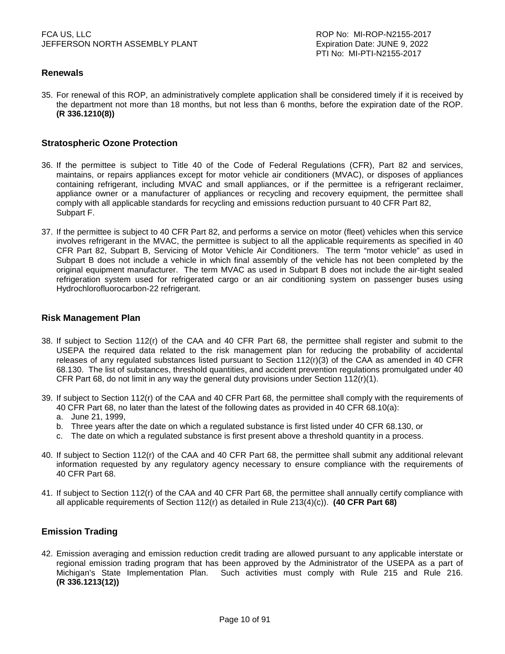# **Renewals**

35. For renewal of this ROP, an administratively complete application shall be considered timely if it is received by the department not more than 18 months, but not less than 6 months, before the expiration date of the ROP. **(R 336.1210(8))**

#### **Stratospheric Ozone Protection**

- 36. If the permittee is subject to Title 40 of the Code of Federal Regulations (CFR), Part 82 and services, maintains, or repairs appliances except for motor vehicle air conditioners (MVAC), or disposes of appliances containing refrigerant, including MVAC and small appliances, or if the permittee is a refrigerant reclaimer, appliance owner or a manufacturer of appliances or recycling and recovery equipment, the permittee shall comply with all applicable standards for recycling and emissions reduction pursuant to 40 CFR Part 82, Subpart F.
- 37. If the permittee is subject to 40 CFR Part 82, and performs a service on motor (fleet) vehicles when this service involves refrigerant in the MVAC, the permittee is subject to all the applicable requirements as specified in 40 CFR Part 82, Subpart B, Servicing of Motor Vehicle Air Conditioners. The term "motor vehicle" as used in Subpart B does not include a vehicle in which final assembly of the vehicle has not been completed by the original equipment manufacturer. The term MVAC as used in Subpart B does not include the air-tight sealed refrigeration system used for refrigerated cargo or an air conditioning system on passenger buses using Hydrochlorofluorocarbon-22 refrigerant.

#### **Risk Management Plan**

- 38. If subject to Section 112(r) of the CAA and 40 CFR Part 68, the permittee shall register and submit to the USEPA the required data related to the risk management plan for reducing the probability of accidental releases of any regulated substances listed pursuant to Section 112(r)(3) of the CAA as amended in 40 CFR 68.130. The list of substances, threshold quantities, and accident prevention regulations promulgated under 40 CFR Part 68, do not limit in any way the general duty provisions under Section  $112(r)(1)$ .
- 39. If subject to Section 112(r) of the CAA and 40 CFR Part 68, the permittee shall comply with the requirements of 40 CFR Part 68, no later than the latest of the following dates as provided in 40 CFR 68.10(a):
	- a. June 21, 1999,
	- b. Three years after the date on which a regulated substance is first listed under 40 CFR 68.130, or
	- c. The date on which a regulated substance is first present above a threshold quantity in a process.
- 40. If subject to Section 112(r) of the CAA and 40 CFR Part 68, the permittee shall submit any additional relevant information requested by any regulatory agency necessary to ensure compliance with the requirements of 40 CFR Part 68.
- 41. If subject to Section 112(r) of the CAA and 40 CFR Part 68, the permittee shall annually certify compliance with all applicable requirements of Section 112(r) as detailed in Rule 213(4)(c)). **(40 CFR Part 68)**

### **Emission Trading**

42. Emission averaging and emission reduction credit trading are allowed pursuant to any applicable interstate or regional emission trading program that has been approved by the Administrator of the USEPA as a part of Michigan's State Implementation Plan. Such activities must comply with Rule 215 and Rule 216. **(R 336.1213(12))**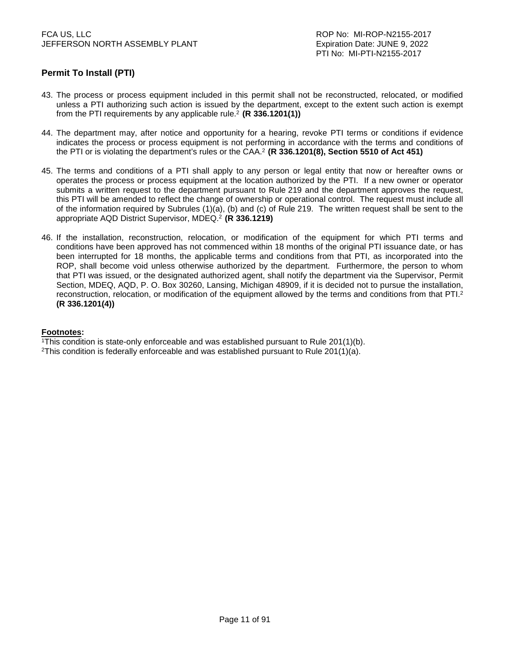# **Permit To Install (PTI)**

- 43. The process or process equipment included in this permit shall not be reconstructed, relocated, or modified unless a PTI authorizing such action is issued by the department, except to the extent such action is exempt from the PTI requirements by any applicable rule.<sup>2</sup> (R 336.1201(1))
- 44. The department may, after notice and opportunity for a hearing, revoke PTI terms or conditions if evidence indicates the process or process equipment is not performing in accordance with the terms and conditions of the PTI or is violating the department's rules or the CAA.<sup>2</sup>**(R 336.1201(8), Section 5510 of Act 451)**
- 45. The terms and conditions of a PTI shall apply to any person or legal entity that now or hereafter owns or operates the process or process equipment at the location authorized by the PTI. If a new owner or operator submits a written request to the department pursuant to Rule 219 and the department approves the request, this PTI will be amended to reflect the change of ownership or operational control. The request must include all of the information required by Subrules (1)(a), (b) and (c) of Rule 219. The written request shall be sent to the appropriate AQD District Supervisor, MDEQ.<sup>2</sup> **(R 336.1219)**
- 46. If the installation, reconstruction, relocation, or modification of the equipment for which PTI terms and conditions have been approved has not commenced within 18 months of the original PTI issuance date, or has been interrupted for 18 months, the applicable terms and conditions from that PTI, as incorporated into the ROP, shall become void unless otherwise authorized by the department. Furthermore, the person to whom that PTI was issued, or the designated authorized agent, shall notify the department via the Supervisor, Permit Section, MDEQ, AQD, P. O. Box 30260, Lansing, Michigan 48909, if it is decided not to pursue the installation, reconstruction, relocation, or modification of the equipment allowed by the terms and conditions from that PTI.<sup>2</sup> **(R 336.1201(4))**

#### **Footnotes:**

<sup>1</sup>This condition is state-only enforceable and was established pursuant to Rule 201(1)(b).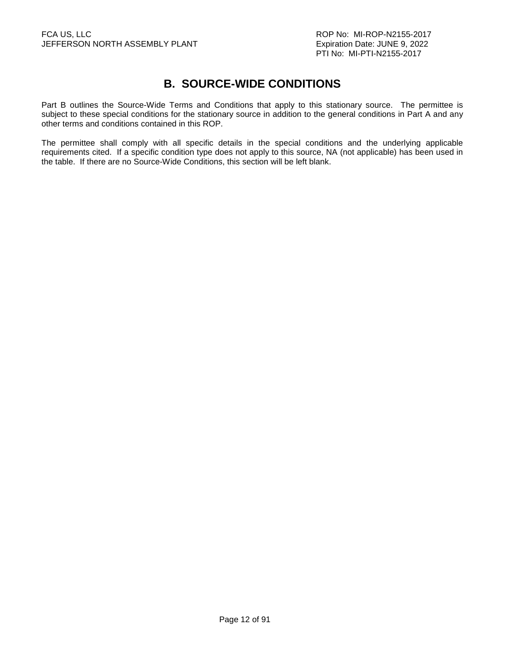# **B. SOURCE-WIDE CONDITIONS**

Part B outlines the Source-Wide Terms and Conditions that apply to this stationary source. The permittee is subject to these special conditions for the stationary source in addition to the general conditions in Part A and any other terms and conditions contained in this ROP.

The permittee shall comply with all specific details in the special conditions and the underlying applicable requirements cited. If a specific condition type does not apply to this source, NA (not applicable) has been used in the table. If there are no Source-Wide Conditions, this section will be left blank.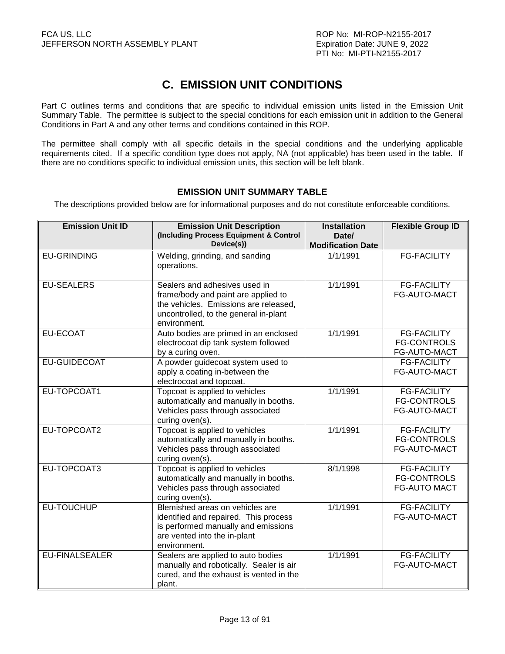# **C. EMISSION UNIT CONDITIONS**

Part C outlines terms and conditions that are specific to individual emission units listed in the Emission Unit Summary Table. The permittee is subject to the special conditions for each emission unit in addition to the General Conditions in Part A and any other terms and conditions contained in this ROP.

The permittee shall comply with all specific details in the special conditions and the underlying applicable requirements cited. If a specific condition type does not apply, NA (not applicable) has been used in the table. If there are no conditions specific to individual emission units, this section will be left blank.

# **EMISSION UNIT SUMMARY TABLE**

The descriptions provided below are for informational purposes and do not constitute enforceable conditions.

| <b>Emission Unit ID</b> | <b>Emission Unit Description</b><br>(Including Process Equipment & Control<br>Device(s))                                                                               | <b>Installation</b><br>Date/<br><b>Modification Date</b> | <b>Flexible Group ID</b>                                        |
|-------------------------|------------------------------------------------------------------------------------------------------------------------------------------------------------------------|----------------------------------------------------------|-----------------------------------------------------------------|
| <b>EU-GRINDING</b>      | Welding, grinding, and sanding<br>operations.                                                                                                                          | 1/1/1991                                                 | <b>FG-FACILITY</b>                                              |
| <b>EU-SEALERS</b>       | Sealers and adhesives used in<br>frame/body and paint are applied to<br>the vehicles. Emissions are released,<br>uncontrolled, to the general in-plant<br>environment. | 1/1/1991                                                 | <b>FG-FACILITY</b><br>FG-AUTO-MACT                              |
| <b>EU-ECOAT</b>         | Auto bodies are primed in an enclosed<br>electrocoat dip tank system followed<br>by a curing oven.                                                                     | 1/1/1991                                                 | <b>FG-FACILITY</b><br><b>FG-CONTROLS</b><br>FG-AUTO-MACT        |
| <b>EU-GUIDECOAT</b>     | A powder guidecoat system used to<br>apply a coating in-between the<br>electrocoat and topcoat.                                                                        |                                                          | <b>FG-FACILITY</b><br>FG-AUTO-MACT                              |
| EU-TOPCOAT1             | Topcoat is applied to vehicles<br>automatically and manually in booths.<br>Vehicles pass through associated<br>curing oven(s).                                         | 1/1/1991                                                 | <b>FG-FACILITY</b><br><b>FG-CONTROLS</b><br>FG-AUTO-MACT        |
| EU-TOPCOAT2             | Topcoat is applied to vehicles<br>automatically and manually in booths.<br>Vehicles pass through associated<br>curing oven(s).                                         | 1/1/1991                                                 | <b>FG-FACILITY</b><br><b>FG-CONTROLS</b><br>FG-AUTO-MACT        |
| EU-TOPCOAT3             | Topcoat is applied to vehicles<br>automatically and manually in booths.<br>Vehicles pass through associated<br>curing oven(s).                                         | 8/1/1998                                                 | <b>FG-FACILITY</b><br><b>FG-CONTROLS</b><br><b>FG-AUTO MACT</b> |
| EU-TOUCHUP              | Blemished areas on vehicles are<br>identified and repaired. This process<br>is performed manually and emissions<br>are vented into the in-plant<br>environment.        | 1/1/1991                                                 | <b>FG-FACILITY</b><br>FG-AUTO-MACT                              |
| <b>EU-FINALSEALER</b>   | Sealers are applied to auto bodies<br>manually and robotically. Sealer is air<br>cured, and the exhaust is vented in the<br>plant.                                     | 1/1/1991                                                 | <b>FG-FACILITY</b><br>FG-AUTO-MACT                              |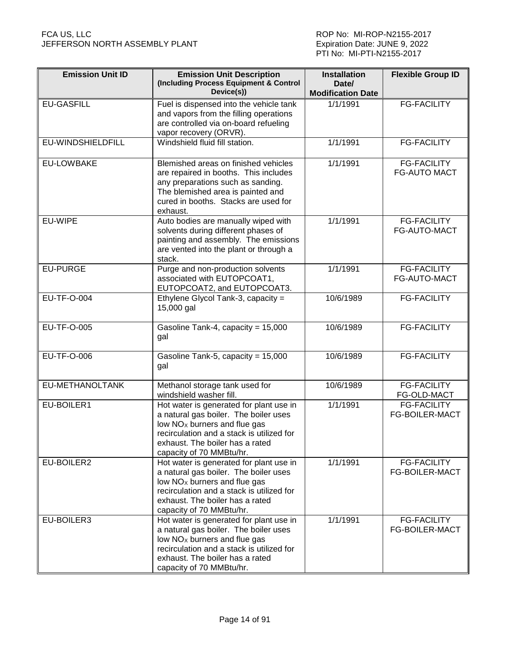| <b>Emission Unit ID</b> | <b>Emission Unit Description</b><br>(Including Process Equipment & Control<br>Device(s))                                                                                                                                                 | <b>Installation</b><br>Date/<br><b>Modification Date</b> | <b>Flexible Group ID</b>                    |
|-------------------------|------------------------------------------------------------------------------------------------------------------------------------------------------------------------------------------------------------------------------------------|----------------------------------------------------------|---------------------------------------------|
| <b>EU-GASFILL</b>       | Fuel is dispensed into the vehicle tank<br>and vapors from the filling operations<br>are controlled via on-board refueling<br>vapor recovery (ORVR).                                                                                     | 1/1/1991                                                 | <b>FG-FACILITY</b>                          |
| EU-WINDSHIELDFILL       | Windshield fluid fill station.                                                                                                                                                                                                           | 1/1/1991                                                 | <b>FG-FACILITY</b>                          |
| <b>EU-LOWBAKE</b>       | Blemished areas on finished vehicles<br>are repaired in booths. This includes<br>any preparations such as sanding.<br>The blemished area is painted and<br>cured in booths. Stacks are used for<br>exhaust.                              |                                                          | <b>FG-FACILITY</b><br><b>FG-AUTO MACT</b>   |
| EU-WIPE                 | Auto bodies are manually wiped with<br>solvents during different phases of<br>painting and assembly. The emissions<br>are vented into the plant or through a<br>stack.                                                                   |                                                          | <b>FG-FACILITY</b><br>FG-AUTO-MACT          |
| <b>EU-PURGE</b>         | Purge and non-production solvents<br>associated with EUTOPCOAT1,<br>EUTOPCOAT2, and EUTOPCOAT3.                                                                                                                                          | 1/1/1991                                                 | <b>FG-FACILITY</b><br>FG-AUTO-MACT          |
| <b>EU-TF-O-004</b>      | Ethylene Glycol Tank-3, capacity =<br>15,000 gal                                                                                                                                                                                         | 10/6/1989                                                | <b>FG-FACILITY</b>                          |
| EU-TF-O-005             | Gasoline Tank-4, capacity = 15,000<br>gal                                                                                                                                                                                                | 10/6/1989                                                | <b>FG-FACILITY</b>                          |
| EU-TF-O-006             | Gasoline Tank-5, capacity = 15,000<br>gal                                                                                                                                                                                                | 10/6/1989                                                | <b>FG-FACILITY</b>                          |
| EU-METHANOLTANK         | Methanol storage tank used for<br>windshield washer fill.                                                                                                                                                                                | 10/6/1989                                                | <b>FG-FACILITY</b><br>FG-OLD-MACT           |
| EU-BOILER1              | Hot water is generated for plant use in<br>a natural gas boiler. The boiler uses<br>low NO <sub>x</sub> burners and flue gas<br>recirculation and a stack is utilized for<br>exhaust. The boiler has a rated<br>capacity of 70 MMBtu/hr. | 1/1/1991                                                 | <b>FG-FACILITY</b><br><b>FG-BOILER-MACT</b> |
| EU-BOILER2              | Hot water is generated for plant use in<br>a natural gas boiler. The boiler uses<br>low $NOx$ burners and flue gas<br>recirculation and a stack is utilized for<br>exhaust. The boiler has a rated<br>capacity of 70 MMBtu/hr.           | 1/1/1991                                                 | <b>FG-FACILITY</b><br><b>FG-BOILER-MACT</b> |
| EU-BOILER3              | Hot water is generated for plant use in<br>a natural gas boiler. The boiler uses<br>low NO <sub>x</sub> burners and flue gas<br>recirculation and a stack is utilized for<br>exhaust. The boiler has a rated<br>capacity of 70 MMBtu/hr. | 1/1/1991                                                 | <b>FG-FACILITY</b><br><b>FG-BOILER-MACT</b> |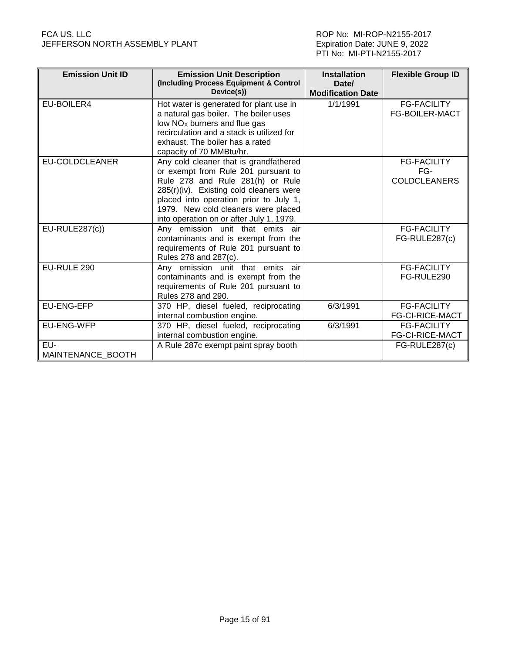| <b>Emission Unit ID</b> | <b>Emission Unit Description</b><br>(Including Process Equipment & Control<br>Device(s)) | <b>Installation</b><br>Date/<br><b>Modification Date</b> | <b>Flexible Group ID</b> |
|-------------------------|------------------------------------------------------------------------------------------|----------------------------------------------------------|--------------------------|
|                         |                                                                                          |                                                          |                          |
| EU-BOILER4              | Hot water is generated for plant use in                                                  | 1/1/1991                                                 | <b>FG-FACILITY</b>       |
|                         | a natural gas boiler. The boiler uses                                                    |                                                          | <b>FG-BOILER-MACT</b>    |
|                         | low NO <sub>x</sub> burners and flue gas                                                 |                                                          |                          |
|                         | recirculation and a stack is utilized for                                                |                                                          |                          |
|                         | exhaust. The boiler has a rated                                                          |                                                          |                          |
|                         | capacity of 70 MMBtu/hr.                                                                 |                                                          |                          |
| <b>EU-COLDCLEANER</b>   | Any cold cleaner that is grandfathered                                                   |                                                          | <b>FG-FACILITY</b>       |
|                         | or exempt from Rule 201 pursuant to                                                      |                                                          | FG-                      |
|                         | Rule 278 and Rule 281(h) or Rule                                                         |                                                          | <b>COLDCLEANERS</b>      |
|                         | 285(r)(iv). Existing cold cleaners were                                                  |                                                          |                          |
|                         | placed into operation prior to July 1,                                                   |                                                          |                          |
|                         | 1979. New cold cleaners were placed                                                      |                                                          |                          |
|                         | into operation on or after July 1, 1979.                                                 |                                                          |                          |
| EU-RULE287(c))          | Any emission unit that emits air                                                         |                                                          | <b>FG-FACILITY</b>       |
|                         | contaminants and is exempt from the                                                      |                                                          | FG-RULE287(c)            |
|                         | requirements of Rule 201 pursuant to                                                     |                                                          |                          |
|                         | Rules 278 and 287(c).                                                                    |                                                          |                          |
| EU-RULE 290             | Any emission unit that emits air                                                         |                                                          | <b>FG-FACILITY</b>       |
|                         | contaminants and is exempt from the                                                      |                                                          | FG-RULE290               |
|                         | requirements of Rule 201 pursuant to                                                     |                                                          |                          |
|                         | Rules 278 and 290.                                                                       |                                                          |                          |
| EU-ENG-EFP              | 370 HP, diesel fueled, reciprocating                                                     | 6/3/1991                                                 | <b>FG-FACILITY</b>       |
|                         | internal combustion engine.                                                              |                                                          | <b>FG-CI-RICE-MACT</b>   |
| EU-ENG-WFP              | 370 HP, diesel fueled, reciprocating                                                     | 6/3/1991                                                 | <b>FG-FACILITY</b>       |
|                         | internal combustion engine.                                                              |                                                          | <b>FG-CI-RICE-MACT</b>   |
| EU-                     | A Rule 287c exempt paint spray booth                                                     |                                                          | FG-RULE287(c)            |
| MAINTENANCE BOOTH       |                                                                                          |                                                          |                          |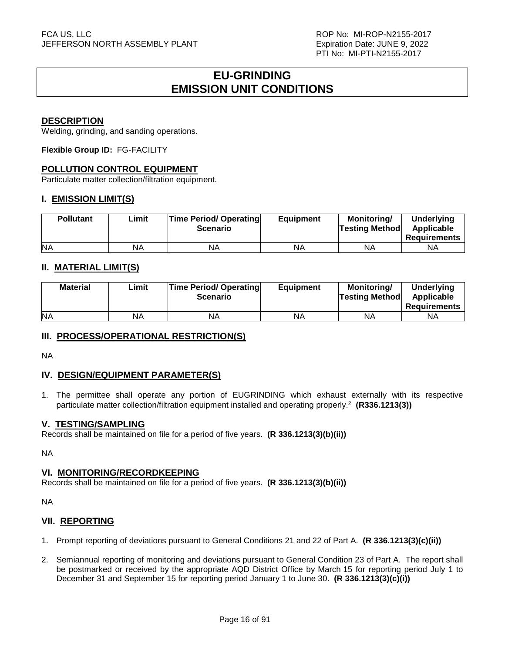# **EU-GRINDING EMISSION UNIT CONDITIONS**

#### **DESCRIPTION**

Welding, grinding, and sanding operations.

**Flexible Group ID:** FG-FACILITY

#### **POLLUTION CONTROL EQUIPMENT**

Particulate matter collection/filtration equipment.

#### **I. EMISSION LIMIT(S)**

| <b>Pollutant</b> | Limit | <b>Time Period/ Operating</b><br><b>Scenario</b> | <b>Equipment</b> | <b>Monitoring/</b><br><b>Testing Methodl</b> | <b>Underlying</b><br>Applicable<br>Requirements |
|------------------|-------|--------------------------------------------------|------------------|----------------------------------------------|-------------------------------------------------|
| <b>NA</b>        | NA    | <b>NA</b>                                        | NA               | ΝA                                           | ΝA                                              |

### **II. MATERIAL LIMIT(S)**

| <b>Material</b> | ∟imit | <b>Time Period/ Operating</b><br><b>Scenario</b> | <b>Equipment</b> | Monitoring/<br><b>Testing Method</b> | <b>Underlying</b><br>Applicable<br><b>Requirements</b> |
|-----------------|-------|--------------------------------------------------|------------------|--------------------------------------|--------------------------------------------------------|
| <b>NA</b>       | NA    | ΝA                                               | ΝA               | ΝA                                   | ΝA                                                     |

### **III. PROCESS/OPERATIONAL RESTRICTION(S)**

NA

#### **IV. DESIGN/EQUIPMENT PARAMETER(S)**

1. The permittee shall operate any portion of EUGRINDING which exhaust externally with its respective particulate matter collection/filtration equipment installed and operating properly.<sup>2</sup> **(R336.1213(3))**

#### **V. TESTING/SAMPLING**

Records shall be maintained on file for a period of five years. **(R 336.1213(3)(b)(ii))**

NA

#### **VI. MONITORING/RECORDKEEPING**

Records shall be maintained on file for a period of five years. **(R 336.1213(3)(b)(ii))**

NA

#### **VII. REPORTING**

- 1. Prompt reporting of deviations pursuant to General Conditions 21 and 22 of Part A. **(R 336.1213(3)(c)(ii))**
- 2. Semiannual reporting of monitoring and deviations pursuant to General Condition 23 of Part A. The report shall be postmarked or received by the appropriate AQD District Office by March 15 for reporting period July 1 to December 31 and September 15 for reporting period January 1 to June 30. **(R 336.1213(3)(c)(i))**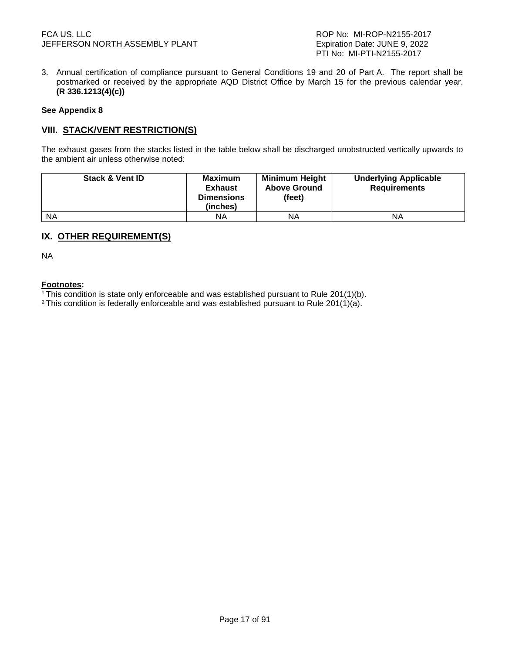3. Annual certification of compliance pursuant to General Conditions 19 and 20 of Part A. The report shall be postmarked or received by the appropriate AQD District Office by March 15 for the previous calendar year. **(R 336.1213(4)(c))**

#### **See Appendix 8**

#### **VIII. STACK/VENT RESTRICTION(S)**

The exhaust gases from the stacks listed in the table below shall be discharged unobstructed vertically upwards to the ambient air unless otherwise noted:

| <b>Stack &amp; Vent ID</b> | Maximum<br><b>Exhaust</b><br><b>Dimensions</b><br>(inches) | <b>Minimum Height</b><br><b>Above Ground</b><br>(feet) | <b>Underlying Applicable</b><br><b>Requirements</b> |
|----------------------------|------------------------------------------------------------|--------------------------------------------------------|-----------------------------------------------------|
| <b>NA</b>                  | ΝA                                                         | ΝA                                                     | ΝA                                                  |

# **IX. OTHER REQUIREMENT(S)**

NA

#### **Footnotes:**

<sup>1</sup>This condition is state only enforceable and was established pursuant to Rule 201(1)(b).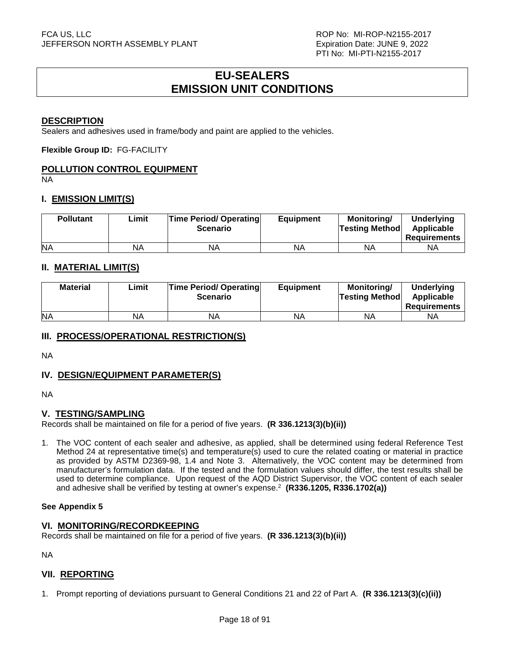# **EU-SEALERS EMISSION UNIT CONDITIONS**

#### **DESCRIPTION**

Sealers and adhesives used in frame/body and paint are applied to the vehicles.

**Flexible Group ID:** FG-FACILITY

# **POLLUTION CONTROL EQUIPMENT**

NA

#### **I. EMISSION LIMIT(S)**

| <b>Pollutant</b> | Limit | <b>Time Period/ Operating</b><br><b>Scenario</b> | <b>Equipment</b> | Monitorina/<br><b>Testing Method</b> | <b>Underlying</b><br>Applicable<br>Requirements |
|------------------|-------|--------------------------------------------------|------------------|--------------------------------------|-------------------------------------------------|
| <b>NA</b>        | NA    | ΝA                                               | NA               | ΝA                                   | ΝA                                              |

# **II. MATERIAL LIMIT(S)**

| <b>Material</b> | ∟imit | <b>Time Period/ Operating</b><br><b>Scenario</b> | <b>Equipment</b> | <b>Monitoring/</b><br><b>Testing Method</b> | <b>Underlying</b><br>Applicable<br><b>Requirements</b> |
|-----------------|-------|--------------------------------------------------|------------------|---------------------------------------------|--------------------------------------------------------|
| <b>NA</b>       | NA    | ΝA                                               | NA               | ΝA                                          | NА                                                     |

#### **III. PROCESS/OPERATIONAL RESTRICTION(S)**

NA

#### **IV. DESIGN/EQUIPMENT PARAMETER(S)**

NA

#### **V. TESTING/SAMPLING**

Records shall be maintained on file for a period of five years. **(R 336.1213(3)(b)(ii))**

1. The VOC content of each sealer and adhesive, as applied, shall be determined using federal Reference Test Method 24 at representative time(s) and temperature(s) used to cure the related coating or material in practice as provided by ASTM D2369-98, 1.4 and Note 3. Alternatively, the VOC content may be determined from manufacturer's formulation data. If the tested and the formulation values should differ, the test results shall be used to determine compliance. Upon request of the AQD District Supervisor, the VOC content of each sealer and adhesive shall be verified by testing at owner's expense.<sup>2</sup> **(R336.1205, R336.1702(a))**

#### **See Appendix 5**

#### **VI. MONITORING/RECORDKEEPING**

Records shall be maintained on file for a period of five years. **(R 336.1213(3)(b)(ii))**

NA

#### **VII. REPORTING**

1. Prompt reporting of deviations pursuant to General Conditions 21 and 22 of Part A. **(R 336.1213(3)(c)(ii))**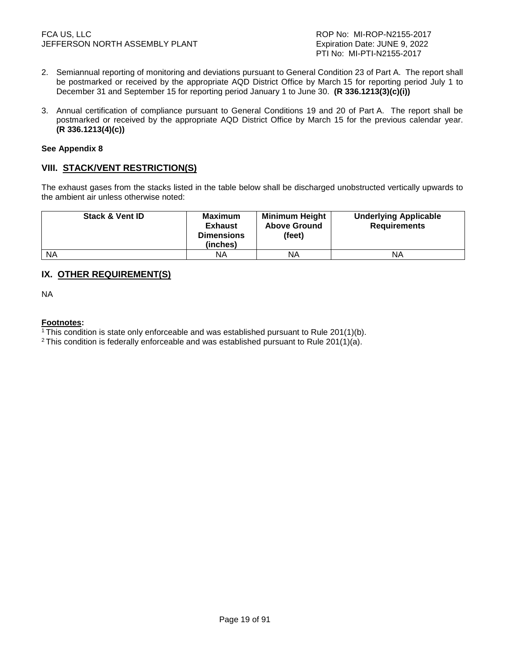- 2. Semiannual reporting of monitoring and deviations pursuant to General Condition 23 of Part A. The report shall be postmarked or received by the appropriate AQD District Office by March 15 for reporting period July 1 to December 31 and September 15 for reporting period January 1 to June 30. **(R 336.1213(3)(c)(i))**
- 3. Annual certification of compliance pursuant to General Conditions 19 and 20 of Part A. The report shall be postmarked or received by the appropriate AQD District Office by March 15 for the previous calendar year. **(R 336.1213(4)(c))**

#### **See Appendix 8**

# **VIII. STACK/VENT RESTRICTION(S)**

The exhaust gases from the stacks listed in the table below shall be discharged unobstructed vertically upwards to the ambient air unless otherwise noted:

| <b>Stack &amp; Vent ID</b> | Maximum<br><b>Exhaust</b><br><b>Dimensions</b><br>(inches) | <b>Minimum Height</b><br><b>Above Ground</b><br>(feet) | <b>Underlying Applicable</b><br><b>Requirements</b> |
|----------------------------|------------------------------------------------------------|--------------------------------------------------------|-----------------------------------------------------|
| <b>NA</b>                  | ΝA                                                         | NA                                                     | ΝA                                                  |

# **IX. OTHER REQUIREMENT(S)**

NA

#### **Footnotes:**

<sup>1</sup>This condition is state only enforceable and was established pursuant to Rule 201(1)(b).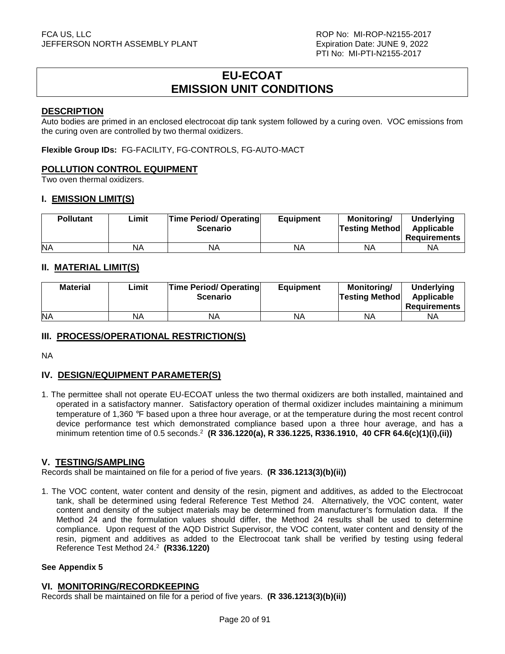# **EU-ECOAT EMISSION UNIT CONDITIONS**

#### **DESCRIPTION**

Auto bodies are primed in an enclosed electrocoat dip tank system followed by a curing oven. VOC emissions from the curing oven are controlled by two thermal oxidizers.

**Flexible Group IDs:** FG-FACILITY, FG-CONTROLS, FG-AUTO-MACT

#### **POLLUTION CONTROL EQUIPMENT**

Two oven thermal oxidizers.

#### **I. EMISSION LIMIT(S)**

| <b>Pollutant</b> | ∟imit | <b>Time Period/ Operating</b><br><b>Scenario</b> | <b>Equipment</b> | Monitoring/<br><b>Testing Method</b> | <b>Underlying</b><br>Applicable<br><b>Requirements</b> |
|------------------|-------|--------------------------------------------------|------------------|--------------------------------------|--------------------------------------------------------|
| <b>NA</b>        | NA    | NA                                               | ΝA               | ΝA                                   | ΝA                                                     |

# **II. MATERIAL LIMIT(S)**

| <b>Material</b> | ∟imit | <b>Time Period/ Operating</b><br><b>Scenario</b> | <b>Equipment</b> | <b>Monitoring/</b><br><b>Testing Method</b> | <b>Underlying</b><br>Applicable<br><b>Requirements</b> |
|-----------------|-------|--------------------------------------------------|------------------|---------------------------------------------|--------------------------------------------------------|
| <b>NA</b>       | NA    | <b>NA</b>                                        | NA               | ΝA                                          | ΝA                                                     |

# **III. PROCESS/OPERATIONAL RESTRICTION(S)**

NA

# **IV. DESIGN/EQUIPMENT PARAMETER(S)**

1. The permittee shall not operate EU-ECOAT unless the two thermal oxidizers are both installed, maintained and operated in a satisfactory manner. Satisfactory operation of thermal oxidizer includes maintaining a minimum temperature of 1,360 °F based upon a three hour average, or at the temperature during the most recent control device performance test which demonstrated compliance based upon a three hour average, and has a minimum retention time of 0.5 seconds.<sup>2</sup> **(R 336.1220(a), R 336.1225, R336.1910, 40 CFR 64.6(c)(1)(i),(ii))** 

#### **V. TESTING/SAMPLING**

Records shall be maintained on file for a period of five years. **(R 336.1213(3)(b)(ii))**

1. The VOC content, water content and density of the resin, pigment and additives, as added to the Electrocoat tank, shall be determined using federal Reference Test Method 24. Alternatively, the VOC content, water content and density of the subject materials may be determined from manufacturer's formulation data. If the Method 24 and the formulation values should differ, the Method 24 results shall be used to determine compliance. Upon request of the AQD District Supervisor, the VOC content, water content and density of the resin, pigment and additives as added to the Electrocoat tank shall be verified by testing using federal Reference Test Method 24.<sup>2</sup> **(R336.1220)** 

#### **See Appendix 5**

#### **VI. MONITORING/RECORDKEEPING**

Records shall be maintained on file for a period of five years. **(R 336.1213(3)(b)(ii))**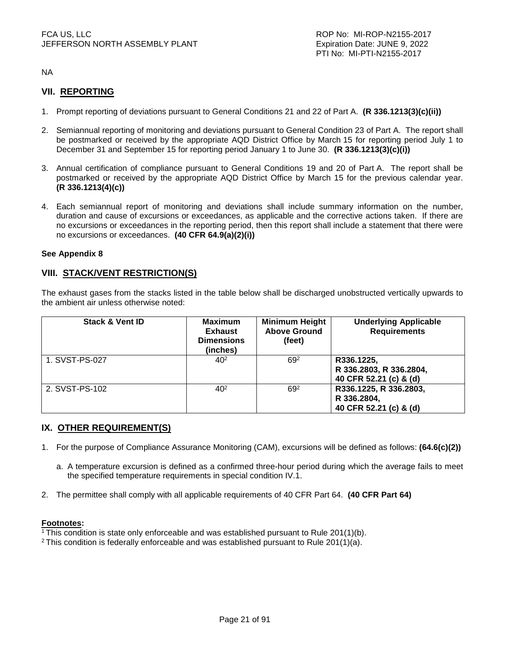NA

# **VII. REPORTING**

- 1. Prompt reporting of deviations pursuant to General Conditions 21 and 22 of Part A. **(R 336.1213(3)(c)(ii))**
- 2. Semiannual reporting of monitoring and deviations pursuant to General Condition 23 of Part A. The report shall be postmarked or received by the appropriate AQD District Office by March 15 for reporting period July 1 to December 31 and September 15 for reporting period January 1 to June 30. **(R 336.1213(3)(c)(i))**
- 3. Annual certification of compliance pursuant to General Conditions 19 and 20 of Part A. The report shall be postmarked or received by the appropriate AQD District Office by March 15 for the previous calendar year. **(R 336.1213(4)(c))**
- 4. Each semiannual report of monitoring and deviations shall include summary information on the number, duration and cause of excursions or exceedances, as applicable and the corrective actions taken. If there are no excursions or exceedances in the reporting period, then this report shall include a statement that there were no excursions or exceedances. **(40 CFR 64.9(a)(2)(i))**

#### **See Appendix 8**

#### **VIII. STACK/VENT RESTRICTION(S)**

The exhaust gases from the stacks listed in the table below shall be discharged unobstructed vertically upwards to the ambient air unless otherwise noted:

| <b>Stack &amp; Vent ID</b> | <b>Maximum</b><br><b>Exhaust</b><br><b>Dimensions</b><br>(inches) | <b>Minimum Height</b><br><b>Above Ground</b><br>(feet) | <b>Underlying Applicable</b><br><b>Requirements</b>             |
|----------------------------|-------------------------------------------------------------------|--------------------------------------------------------|-----------------------------------------------------------------|
| 1. SVST-PS-027             | $40^{2}$                                                          | 69 <sup>2</sup>                                        | R336.1225,<br>R 336.2803, R 336.2804,<br>40 CFR 52.21 (c) & (d) |
| 2. SVST-PS-102             | $40^{2}$                                                          | 692                                                    | R336.1225, R 336.2803,<br>R 336.2804,<br>40 CFR 52.21 (c) & (d) |

#### **IX. OTHER REQUIREMENT(S)**

- 1. For the purpose of Compliance Assurance Monitoring (CAM), excursions will be defined as follows: **(64.6(c)(2))** 
	- a. A temperature excursion is defined as a confirmed three-hour period during which the average fails to meet the specified temperature requirements in special condition IV.1.
- 2. The permittee shall comply with all applicable requirements of 40 CFR Part 64. **(40 CFR Part 64)**

#### **Footnotes:**

<sup>1</sup>This condition is state only enforceable and was established pursuant to Rule 201(1)(b).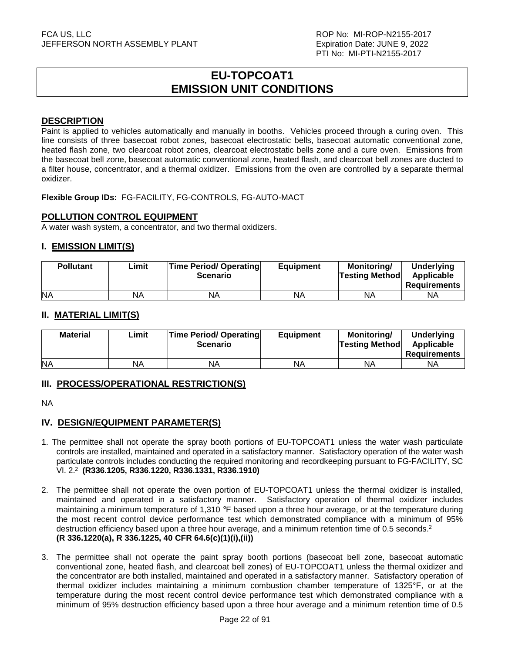# **EU-TOPCOAT1 EMISSION UNIT CONDITIONS**

#### **DESCRIPTION**

Paint is applied to vehicles automatically and manually in booths. Vehicles proceed through a curing oven. This line consists of three basecoat robot zones, basecoat electrostatic bells, basecoat automatic conventional zone, heated flash zone, two clearcoat robot zones, clearcoat electrostatic bells zone and a cure oven. Emissions from the basecoat bell zone, basecoat automatic conventional zone, heated flash, and clearcoat bell zones are ducted to a filter house, concentrator, and a thermal oxidizer. Emissions from the oven are controlled by a separate thermal oxidizer.

**Flexible Group IDs:** FG-FACILITY, FG-CONTROLS, FG-AUTO-MACT

#### **POLLUTION CONTROL EQUIPMENT**

A water wash system, a concentrator, and two thermal oxidizers.

#### **I. EMISSION LIMIT(S)**

| <b>Pollutant</b> | ∟imit | <b>Time Period/ Operating</b><br><b>Scenario</b> | <b>Equipment</b> | <b>Monitoring/</b><br><b>Testing Method</b> | <b>Underlying</b><br>Applicable<br><b>Requirements</b> |
|------------------|-------|--------------------------------------------------|------------------|---------------------------------------------|--------------------------------------------------------|
| <b>NA</b>        | NA    | ΝA                                               | NA               | ΝA                                          | NA                                                     |

#### **II. MATERIAL LIMIT(S)**

| <b>Material</b> | ∟imit | <b>Time Period/ Operating</b><br><b>Scenario</b> | <b>Equipment</b> | <b>Monitoring/</b><br><b>Testing Method</b> | <b>Underlying</b><br>Applicable<br>Requirements |
|-----------------|-------|--------------------------------------------------|------------------|---------------------------------------------|-------------------------------------------------|
| <b>NA</b>       | NA    | ΝA                                               | NA               | ΝA                                          | ΝA                                              |

#### **III. PROCESS/OPERATIONAL RESTRICTION(S)**

NA

# **IV. DESIGN/EQUIPMENT PARAMETER(S)**

- 1. The permittee shall not operate the spray booth portions of EU-TOPCOAT1 unless the water wash particulate controls are installed, maintained and operated in a satisfactory manner. Satisfactory operation of the water wash particulate controls includes conducting the required monitoring and recordkeeping pursuant to FG-FACILITY, SC VI. 2.<sup>2</sup> **(R336.1205, R336.1220, R336.1331, R336.1910)**
- 2. The permittee shall not operate the oven portion of EU-TOPCOAT1 unless the thermal oxidizer is installed, maintained and operated in a satisfactory manner. Satisfactory operation of thermal oxidizer includes maintaining a minimum temperature of 1,310 °F based upon a three hour average, or at the temperature during the most recent control device performance test which demonstrated compliance with a minimum of 95% destruction efficiency based upon a three hour average, and a minimum retention time of 0.5 seconds.<sup>2</sup> **(R 336.1220(a), R 336.1225, 40 CFR 64.6(c)(1)(i),(ii))**
- 3. The permittee shall not operate the paint spray booth portions (basecoat bell zone, basecoat automatic conventional zone, heated flash, and clearcoat bell zones) of EU-TOPCOAT1 unless the thermal oxidizer and the concentrator are both installed, maintained and operated in a satisfactory manner. Satisfactory operation of thermal oxidizer includes maintaining a minimum combustion chamber temperature of 1325°F, or at the temperature during the most recent control device performance test which demonstrated compliance with a minimum of 95% destruction efficiency based upon a three hour average and a minimum retention time of 0.5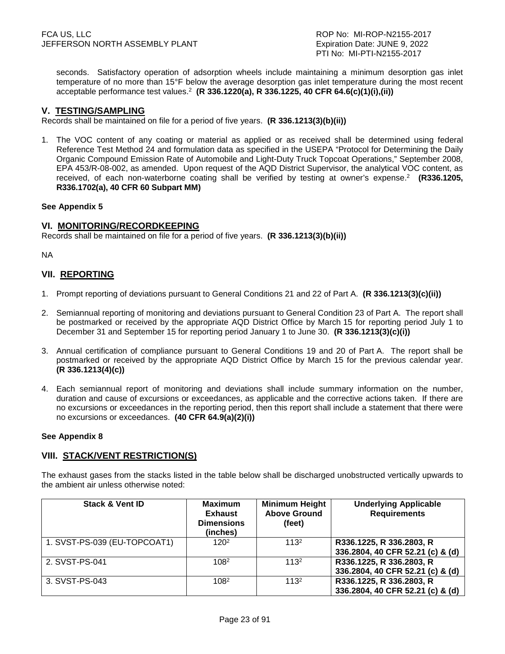seconds. Satisfactory operation of adsorption wheels include maintaining a minimum desorption gas inlet temperature of no more than 15°F below the average desorption gas inlet temperature during the most recent acceptable performance test values.<sup>2</sup> **(R 336.1220(a), R 336.1225, 40 CFR 64.6(c)(1)(i),(ii))** 

#### **V. TESTING/SAMPLING**

Records shall be maintained on file for a period of five years. **(R 336.1213(3)(b)(ii))**

1. The VOC content of any coating or material as applied or as received shall be determined using federal Reference Test Method 24 and formulation data as specified in the USEPA "Protocol for Determining the Daily Organic Compound Emission Rate of Automobile and Light-Duty Truck Topcoat Operations," September 2008, EPA 453/R-08-002, as amended. Upon request of the AQD District Supervisor, the analytical VOC content, as received, of each non-waterborne coating shall be verified by testing at owner's expense.<sup>2</sup> (R336.1205, **R336.1702(a), 40 CFR 60 Subpart MM)**

#### **See Appendix 5**

#### **VI. MONITORING/RECORDKEEPING**

Records shall be maintained on file for a period of five years. **(R 336.1213(3)(b)(ii))**

NA

#### **VII. REPORTING**

- 1. Prompt reporting of deviations pursuant to General Conditions 21 and 22 of Part A. **(R 336.1213(3)(c)(ii))**
- 2. Semiannual reporting of monitoring and deviations pursuant to General Condition 23 of Part A. The report shall be postmarked or received by the appropriate AQD District Office by March 15 for reporting period July 1 to December 31 and September 15 for reporting period January 1 to June 30. **(R 336.1213(3)(c)(i))**
- 3. Annual certification of compliance pursuant to General Conditions 19 and 20 of Part A. The report shall be postmarked or received by the appropriate AQD District Office by March 15 for the previous calendar year. **(R 336.1213(4)(c))**
- 4. Each semiannual report of monitoring and deviations shall include summary information on the number, duration and cause of excursions or exceedances, as applicable and the corrective actions taken. If there are no excursions or exceedances in the reporting period, then this report shall include a statement that there were no excursions or exceedances. **(40 CFR 64.9(a)(2)(i))**

#### **See Appendix 8**

#### **VIII. STACK/VENT RESTRICTION(S)**

The exhaust gases from the stacks listed in the table below shall be discharged unobstructed vertically upwards to the ambient air unless otherwise noted:

| <b>Stack &amp; Vent ID</b>   | <b>Maximum</b><br><b>Exhaust</b><br><b>Dimensions</b><br>(inches) | <b>Minimum Height</b><br><b>Above Ground</b><br>(feet) | <b>Underlying Applicable</b><br><b>Requirements</b>          |
|------------------------------|-------------------------------------------------------------------|--------------------------------------------------------|--------------------------------------------------------------|
| 1. SVST-PS-039 (EU-TOPCOAT1) | 120 <sup>2</sup>                                                  | 113 <sup>2</sup>                                       | R336.1225, R 336.2803, R<br>336.2804, 40 CFR 52.21 (c) & (d) |
| 2. SVST-PS-041               | 108 <sup>2</sup>                                                  | 113 <sup>2</sup>                                       | R336.1225, R 336.2803, R<br>336.2804, 40 CFR 52.21 (c) & (d) |
| 3. SVST-PS-043               | 1082                                                              | 113 <sup>2</sup>                                       | R336.1225, R 336.2803, R<br>336.2804, 40 CFR 52.21 (c) & (d) |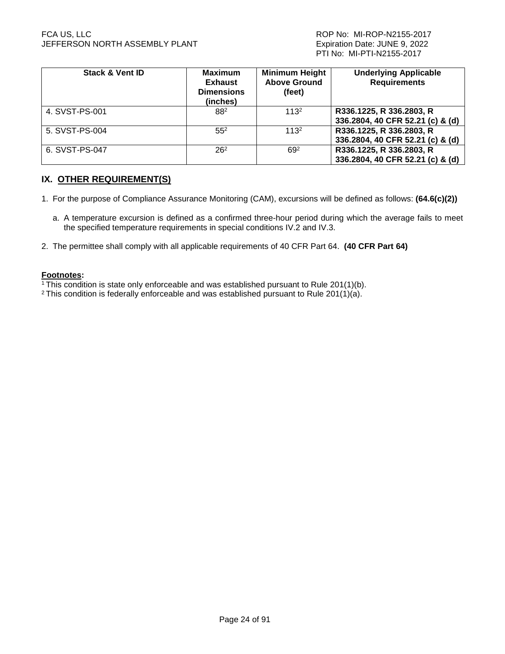#### FCA US, LLC ROP No: MI-ROP-N2155-2017 JEFFERSON NORTH ASSEMBLY PLANT **Expiration Date: JUNE 9, 2022**

| <b>Stack &amp; Vent ID</b> | <b>Maximum</b><br><b>Exhaust</b><br><b>Dimensions</b><br>(inches) | <b>Minimum Height</b><br><b>Above Ground</b><br>(feet) | <b>Underlying Applicable</b><br><b>Requirements</b>          |
|----------------------------|-------------------------------------------------------------------|--------------------------------------------------------|--------------------------------------------------------------|
| 4. SVST-PS-001             | 882                                                               | 113 <sup>2</sup>                                       | R336.1225, R 336.2803, R<br>336.2804, 40 CFR 52.21 (c) & (d) |
| 5. SVST-PS-004             | 55 <sup>2</sup>                                                   | 113 <sup>2</sup>                                       | R336.1225, R 336.2803, R<br>336.2804, 40 CFR 52.21 (c) & (d) |
| 6. SVST-PS-047             | 26 <sup>2</sup>                                                   | 692                                                    | R336.1225, R 336.2803, R<br>336.2804, 40 CFR 52.21 (c) & (d) |

# **IX. OTHER REQUIREMENT(S)**

- 1. For the purpose of Compliance Assurance Monitoring (CAM), excursions will be defined as follows: **(64.6(c)(2))** 
	- a. A temperature excursion is defined as a confirmed three-hour period during which the average fails to meet the specified temperature requirements in special conditions IV.2 and IV.3.
- 2. The permittee shall comply with all applicable requirements of 40 CFR Part 64. **(40 CFR Part 64)**

#### **Footnotes:**

- $1$ <sup>1</sup>This condition is state only enforceable and was established pursuant to Rule 201(1)(b).
- <sup>2</sup> This condition is federally enforceable and was established pursuant to Rule 201(1)(a).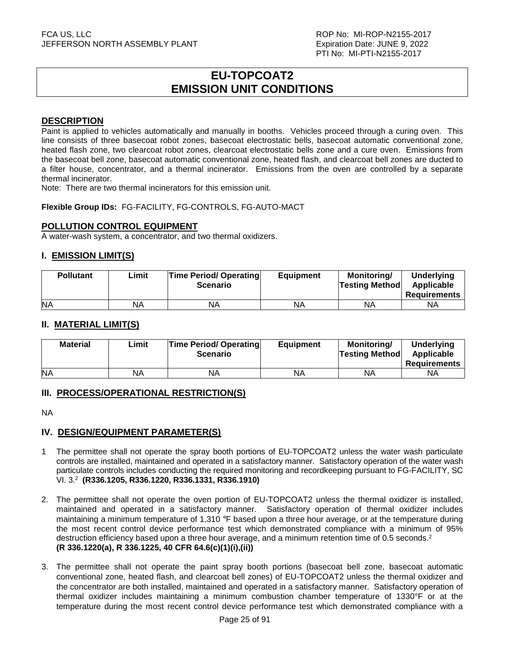# **EU-TOPCOAT2 EMISSION UNIT CONDITIONS**

#### **DESCRIPTION**

Paint is applied to vehicles automatically and manually in booths. Vehicles proceed through a curing oven. This line consists of three basecoat robot zones, basecoat electrostatic bells, basecoat automatic conventional zone, heated flash zone, two clearcoat robot zones, clearcoat electrostatic bells zone and a cure oven. Emissions from the basecoat bell zone, basecoat automatic conventional zone, heated flash, and clearcoat bell zones are ducted to a filter house, concentrator, and a thermal incinerator. Emissions from the oven are controlled by a separate thermal incinerator.

Note: There are two thermal incinerators for this emission unit.

**Flexible Group IDs:** FG-FACILITY, FG-CONTROLS, FG-AUTO-MACT

#### **POLLUTION CONTROL EQUIPMENT**

A water-wash system, a concentrator, and two thermal oxidizers.

#### **I. EMISSION LIMIT(S)**

| <b>Pollutant</b> | ∟imit | <b>Time Period/ Operating</b><br><b>Scenario</b> | <b>Equipment</b> | <b>Monitoring/</b><br><b>Testing Method</b> | <b>Underlying</b><br>Applicable<br><b>Requirements</b> |
|------------------|-------|--------------------------------------------------|------------------|---------------------------------------------|--------------------------------------------------------|
| <b>NA</b>        | NA    | NA                                               | NA               | <b>NA</b>                                   | NA                                                     |

### **II. MATERIAL LIMIT(S)**

| <b>Material</b> | Limit | <b>Time Period/ Operating</b><br><b>Scenario</b> | <b>Equipment</b> | Monitorina/<br><b>Testing Method</b> | <b>Underlying</b><br>Applicable<br><b>Requirements</b> |
|-----------------|-------|--------------------------------------------------|------------------|--------------------------------------|--------------------------------------------------------|
| <b>NA</b>       | ΝA    | ΝA                                               | NA               | <b>NA</b>                            | ΝA                                                     |

#### **III. PROCESS/OPERATIONAL RESTRICTION(S)**

NA

#### **IV. DESIGN/EQUIPMENT PARAMETER(S)**

- 1 The permittee shall not operate the spray booth portions of EU-TOPCOAT2 unless the water wash particulate controls are installed, maintained and operated in a satisfactory manner. Satisfactory operation of the water wash particulate controls includes conducting the required monitoring and recordkeeping pursuant to FG-FACILITY, SC VI. 3.<sup>2</sup> **(R336.1205, R336.1220, R336.1331, R336.1910)**
- 2. The permittee shall not operate the oven portion of EU-TOPCOAT2 unless the thermal oxidizer is installed, maintained and operated in a satisfactory manner. Satisfactory operation of thermal oxidizer includes maintaining a minimum temperature of 1.310 °F based upon a three hour average, or at the temperature during the most recent control device performance test which demonstrated compliance with a minimum of 95% destruction efficiency based upon a three hour average, and a minimum retention time of 0.5 seconds.<sup>2</sup> **(R 336.1220(a), R 336.1225, 40 CFR 64.6(c)(1)(i),(ii))**
- 3. The permittee shall not operate the paint spray booth portions (basecoat bell zone, basecoat automatic conventional zone, heated flash, and clearcoat bell zones) of EU-TOPCOAT2 unless the thermal oxidizer and the concentrator are both installed, maintained and operated in a satisfactory manner. Satisfactory operation of thermal oxidizer includes maintaining a minimum combustion chamber temperature of 1330°F or at the temperature during the most recent control device performance test which demonstrated compliance with a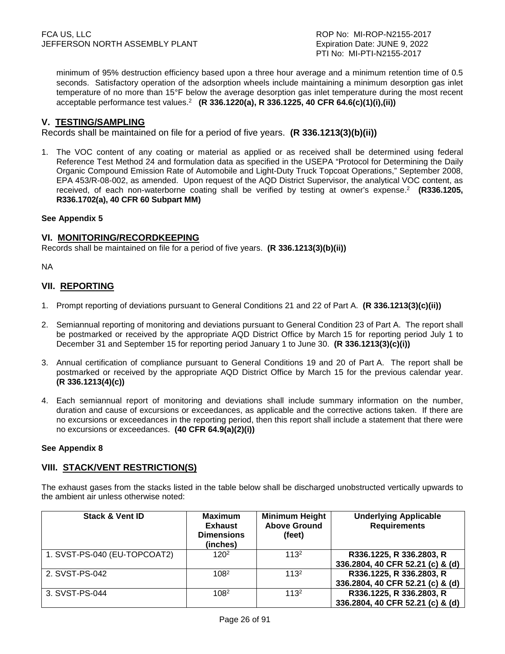PTI No: MI-PTI-N2155-2017

minimum of 95% destruction efficiency based upon a three hour average and a minimum retention time of 0.5 seconds. Satisfactory operation of the adsorption wheels include maintaining a minimum desorption gas inlet temperature of no more than 15°F below the average desorption gas inlet temperature during the most recent acceptable performance test values.<sup>2</sup> **(R 336.1220(a), R 336.1225, 40 CFR 64.6(c)(1)(i),(ii))**

#### **V. TESTING/SAMPLING**

Records shall be maintained on file for a period of five years. **(R 336.1213(3)(b)(ii))** 

1. The VOC content of any coating or material as applied or as received shall be determined using federal Reference Test Method 24 and formulation data as specified in the USEPA "Protocol for Determining the Daily Organic Compound Emission Rate of Automobile and Light-Duty Truck Topcoat Operations," September 2008, EPA 453/R-08-002, as amended. Upon request of the AQD District Supervisor, the analytical VOC content, as received, of each non-waterborne coating shall be verified by testing at owner's expense.<sup>2</sup> (R336.1205, **R336.1702(a), 40 CFR 60 Subpart MM)**

#### **See Appendix 5**

#### **VI. MONITORING/RECORDKEEPING**

Records shall be maintained on file for a period of five years. **(R 336.1213(3)(b)(ii))**

NA

### **VII. REPORTING**

- 1. Prompt reporting of deviations pursuant to General Conditions 21 and 22 of Part A. **(R 336.1213(3)(c)(ii))**
- 2. Semiannual reporting of monitoring and deviations pursuant to General Condition 23 of Part A. The report shall be postmarked or received by the appropriate AQD District Office by March 15 for reporting period July 1 to December 31 and September 15 for reporting period January 1 to June 30. **(R 336.1213(3)(c)(i))**
- 3. Annual certification of compliance pursuant to General Conditions 19 and 20 of Part A. The report shall be postmarked or received by the appropriate AQD District Office by March 15 for the previous calendar year. **(R 336.1213(4)(c))**
- 4. Each semiannual report of monitoring and deviations shall include summary information on the number, duration and cause of excursions or exceedances, as applicable and the corrective actions taken. If there are no excursions or exceedances in the reporting period, then this report shall include a statement that there were no excursions or exceedances. **(40 CFR 64.9(a)(2)(i))**

#### **See Appendix 8**

#### **VIII. STACK/VENT RESTRICTION(S)**

The exhaust gases from the stacks listed in the table below shall be discharged unobstructed vertically upwards to the ambient air unless otherwise noted:

| <b>Stack &amp; Vent ID</b>   | <b>Maximum</b><br><b>Exhaust</b><br><b>Dimensions</b><br>(inches) | <b>Minimum Height</b><br><b>Above Ground</b><br>(feet) | <b>Underlying Applicable</b><br><b>Requirements</b>          |
|------------------------------|-------------------------------------------------------------------|--------------------------------------------------------|--------------------------------------------------------------|
| 1. SVST-PS-040 (EU-TOPCOAT2) | 120 <sup>2</sup>                                                  | 113 <sup>2</sup>                                       | R336.1225, R 336.2803, R<br>336.2804, 40 CFR 52.21 (c) & (d) |
| 2. SVST-PS-042               | 108 <sup>2</sup>                                                  | 113 <sup>2</sup>                                       | R336.1225, R 336.2803, R<br>336.2804, 40 CFR 52.21 (c) & (d) |
| 3. SVST-PS-044               | 1082                                                              | 113 <sup>2</sup>                                       | R336.1225, R 336.2803, R<br>336.2804, 40 CFR 52.21 (c) & (d) |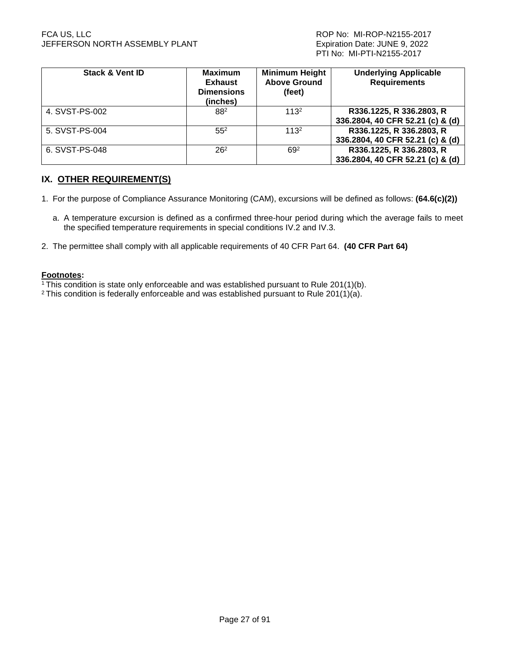#### FCA US, LLC ROP No: MI-ROP-N2155-2017 JEFFERSON NORTH ASSEMBLY PLANT **Expiration Date: JUNE 9, 2022**

| <b>Stack &amp; Vent ID</b> | <b>Maximum</b><br><b>Exhaust</b><br><b>Dimensions</b><br>(inches) | <b>Minimum Height</b><br><b>Above Ground</b><br>(feet) | <b>Underlying Applicable</b><br><b>Requirements</b>          |
|----------------------------|-------------------------------------------------------------------|--------------------------------------------------------|--------------------------------------------------------------|
| 4. SVST-PS-002             | 882                                                               | 113 <sup>2</sup>                                       | R336.1225, R 336.2803, R<br>336.2804, 40 CFR 52.21 (c) & (d) |
| 5. SVST-PS-004             | 55 <sup>2</sup>                                                   | 113 <sup>2</sup>                                       | R336.1225, R 336.2803, R<br>336.2804, 40 CFR 52.21 (c) & (d) |
| 6. SVST-PS-048             | 26 <sup>2</sup>                                                   | 692                                                    | R336.1225, R 336.2803, R<br>336.2804, 40 CFR 52.21 (c) & (d) |

# **IX. OTHER REQUIREMENT(S)**

- 1. For the purpose of Compliance Assurance Monitoring (CAM), excursions will be defined as follows: **(64.6(c)(2))** 
	- a. A temperature excursion is defined as a confirmed three-hour period during which the average fails to meet the specified temperature requirements in special conditions IV.2 and IV.3.
- 2. The permittee shall comply with all applicable requirements of 40 CFR Part 64. **(40 CFR Part 64)**

#### **Footnotes:**

- $1$ <sup>1</sup>This condition is state only enforceable and was established pursuant to Rule 201(1)(b).
- <sup>2</sup> This condition is federally enforceable and was established pursuant to Rule 201(1)(a).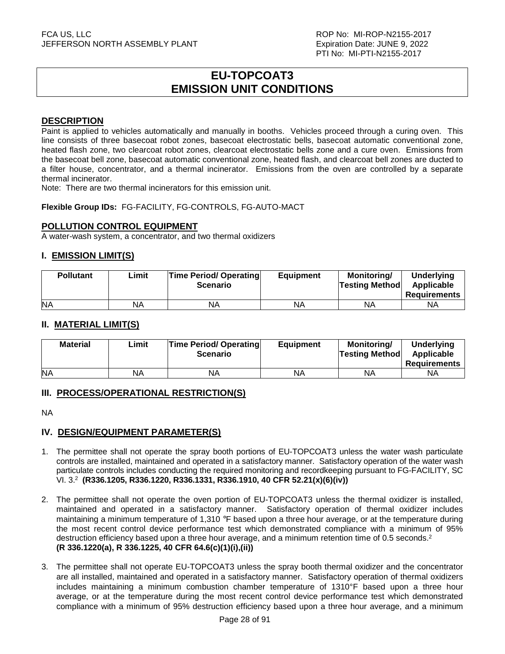# **EU-TOPCOAT3 EMISSION UNIT CONDITIONS**

#### **DESCRIPTION**

Paint is applied to vehicles automatically and manually in booths. Vehicles proceed through a curing oven. This line consists of three basecoat robot zones, basecoat electrostatic bells, basecoat automatic conventional zone, heated flash zone, two clearcoat robot zones, clearcoat electrostatic bells zone and a cure oven. Emissions from the basecoat bell zone, basecoat automatic conventional zone, heated flash, and clearcoat bell zones are ducted to a filter house, concentrator, and a thermal incinerator. Emissions from the oven are controlled by a separate thermal incinerator.

Note: There are two thermal incinerators for this emission unit.

**Flexible Group IDs:** FG-FACILITY, FG-CONTROLS, FG-AUTO-MACT

#### **POLLUTION CONTROL EQUIPMENT**

A water-wash system, a concentrator, and two thermal oxidizers

#### **I. EMISSION LIMIT(S)**

| <b>Pollutant</b> | Limit | <b>Time Period/ Operating</b><br><b>Scenario</b> | <b>Equipment</b> | Monitoring/<br><b>Testing Method</b> | <b>Underlying</b><br>Applicable<br>Requirements |
|------------------|-------|--------------------------------------------------|------------------|--------------------------------------|-------------------------------------------------|
| <b>NA</b>        | NA    | NA                                               | NA               | ΝA                                   | ΝA                                              |

### **II. MATERIAL LIMIT(S)**

| <b>Material</b> | Limit | <b>Time Period/ Operating</b><br><b>Scenario</b> | <b>Equipment</b> | Monitorina/<br><b>Testing Method</b> | <b>Underlying</b><br>Applicable<br><b>Requirements</b> |
|-----------------|-------|--------------------------------------------------|------------------|--------------------------------------|--------------------------------------------------------|
| <b>NA</b>       | ΝA    | ΝA                                               | NA               | <b>NA</b>                            | ΝA                                                     |

#### **III. PROCESS/OPERATIONAL RESTRICTION(S)**

NA

# **IV. DESIGN/EQUIPMENT PARAMETER(S)**

- 1. The permittee shall not operate the spray booth portions of EU-TOPCOAT3 unless the water wash particulate controls are installed, maintained and operated in a satisfactory manner. Satisfactory operation of the water wash particulate controls includes conducting the required monitoring and recordkeeping pursuant to FG-FACILITY, SC VI. 3.<sup>2</sup> **(R336.1205, R336.1220, R336.1331, R336.1910, 40 CFR 52.21(x)(6)(iv))**
- 2. The permittee shall not operate the oven portion of EU-TOPCOAT3 unless the thermal oxidizer is installed, maintained and operated in a satisfactory manner. Satisfactory operation of thermal oxidizer includes maintaining a minimum temperature of 1.310 °F based upon a three hour average, or at the temperature during the most recent control device performance test which demonstrated compliance with a minimum of 95% destruction efficiency based upon a three hour average, and a minimum retention time of 0.5 seconds.<sup>2</sup> **(R 336.1220(a), R 336.1225, 40 CFR 64.6(c)(1)(i),(ii))**
- 3. The permittee shall not operate EU-TOPCOAT3 unless the spray booth thermal oxidizer and the concentrator are all installed, maintained and operated in a satisfactory manner. Satisfactory operation of thermal oxidizers includes maintaining a minimum combustion chamber temperature of 1310°F based upon a three hour average, or at the temperature during the most recent control device performance test which demonstrated compliance with a minimum of 95% destruction efficiency based upon a three hour average, and a minimum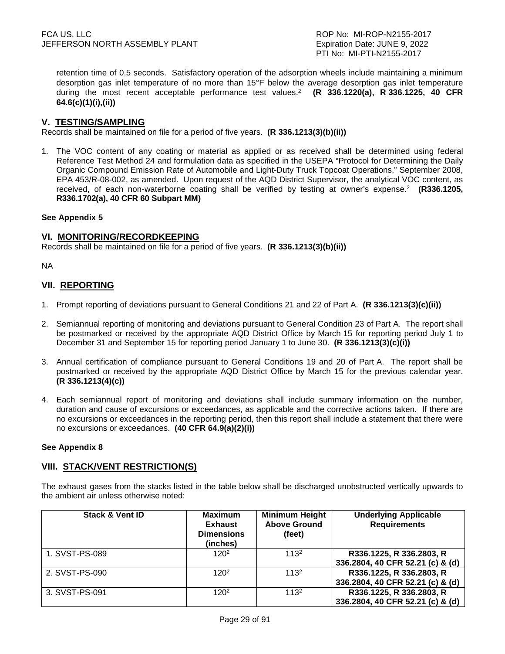retention time of 0.5 seconds. Satisfactory operation of the adsorption wheels include maintaining a minimum desorption gas inlet temperature of no more than 15°F below the average desorption gas inlet temperature during the most recent acceptable performance test values.<sup>2</sup> (R 336.1220(a), R 336.1225, 40 CFR **64.6(c)(1)(i),(ii))**

#### **V. TESTING/SAMPLING**

Records shall be maintained on file for a period of five years. **(R 336.1213(3)(b)(ii))**

1. The VOC content of any coating or material as applied or as received shall be determined using federal Reference Test Method 24 and formulation data as specified in the USEPA "Protocol for Determining the Daily Organic Compound Emission Rate of Automobile and Light-Duty Truck Topcoat Operations," September 2008, EPA 453/R-08-002, as amended. Upon request of the AQD District Supervisor, the analytical VOC content, as received, of each non-waterborne coating shall be verified by testing at owner's expense.<sup>2</sup> (R336.1205, **R336.1702(a), 40 CFR 60 Subpart MM)**

#### **See Appendix 5**

#### **VI. MONITORING/RECORDKEEPING**

Records shall be maintained on file for a period of five years. **(R 336.1213(3)(b)(ii))**

NA

### **VII. REPORTING**

- 1. Prompt reporting of deviations pursuant to General Conditions 21 and 22 of Part A. **(R 336.1213(3)(c)(ii))**
- 2. Semiannual reporting of monitoring and deviations pursuant to General Condition 23 of Part A. The report shall be postmarked or received by the appropriate AQD District Office by March 15 for reporting period July 1 to December 31 and September 15 for reporting period January 1 to June 30. **(R 336.1213(3)(c)(i))**
- 3. Annual certification of compliance pursuant to General Conditions 19 and 20 of Part A. The report shall be postmarked or received by the appropriate AQD District Office by March 15 for the previous calendar year. **(R 336.1213(4)(c))**
- 4. Each semiannual report of monitoring and deviations shall include summary information on the number, duration and cause of excursions or exceedances, as applicable and the corrective actions taken. If there are no excursions or exceedances in the reporting period, then this report shall include a statement that there were no excursions or exceedances. **(40 CFR 64.9(a)(2)(i))**

#### **See Appendix 8**

#### **VIII. STACK/VENT RESTRICTION(S)**

The exhaust gases from the stacks listed in the table below shall be discharged unobstructed vertically upwards to the ambient air unless otherwise noted:

| <b>Stack &amp; Vent ID</b> | <b>Maximum</b><br><b>Exhaust</b><br><b>Dimensions</b><br>(inches) | <b>Minimum Height</b><br><b>Above Ground</b><br>(feet) | <b>Underlying Applicable</b><br><b>Requirements</b>          |
|----------------------------|-------------------------------------------------------------------|--------------------------------------------------------|--------------------------------------------------------------|
| 1. SVST-PS-089             | 120 <sup>2</sup>                                                  | 113 <sup>2</sup>                                       | R336.1225, R 336.2803, R<br>336.2804, 40 CFR 52.21 (c) & (d) |
| 2. SVST-PS-090             | 120 <sup>2</sup>                                                  | 113 <sup>2</sup>                                       | R336.1225, R 336.2803, R<br>336.2804, 40 CFR 52.21 (c) & (d) |
| 3. SVST-PS-091             | 120 <sup>2</sup>                                                  | 113 <sup>2</sup>                                       | R336.1225, R 336.2803, R<br>336.2804, 40 CFR 52.21 (c) & (d) |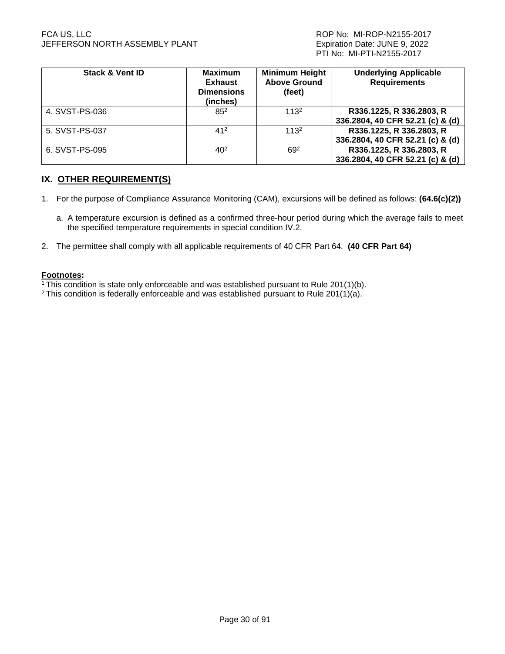#### FCA US, LLC ROP No: MI-ROP-N2155-2017 JEFFERSON NORTH ASSEMBLY PLANT **Expiration Date: JUNE 9, 2022**

| <b>Stack &amp; Vent ID</b> | <b>Maximum</b><br><b>Exhaust</b><br><b>Dimensions</b><br>(inches) | <b>Minimum Height</b><br><b>Above Ground</b><br>(feet) | <b>Underlying Applicable</b><br><b>Requirements</b>          |
|----------------------------|-------------------------------------------------------------------|--------------------------------------------------------|--------------------------------------------------------------|
| 4. SVST-PS-036             | $85^2$                                                            | 113 <sup>2</sup>                                       | R336.1225, R 336.2803, R<br>336.2804, 40 CFR 52.21 (c) & (d) |
| 5. SVST-PS-037             | 412                                                               | 113 <sup>2</sup>                                       | R336.1225, R 336.2803, R<br>336.2804, 40 CFR 52.21 (c) & (d) |
| 6. SVST-PS-095             | $40^{2}$                                                          | 692                                                    | R336.1225, R 336.2803, R<br>336.2804, 40 CFR 52.21 (c) & (d) |

# **IX. OTHER REQUIREMENT(S)**

- 1. For the purpose of Compliance Assurance Monitoring (CAM), excursions will be defined as follows: **(64.6(c)(2))** 
	- a. A temperature excursion is defined as a confirmed three-hour period during which the average fails to meet the specified temperature requirements in special condition IV.2.
- 2. The permittee shall comply with all applicable requirements of 40 CFR Part 64. **(40 CFR Part 64)**

#### **Footnotes:**

 $1$ <sup>1</sup>This condition is state only enforceable and was established pursuant to Rule 201(1)(b).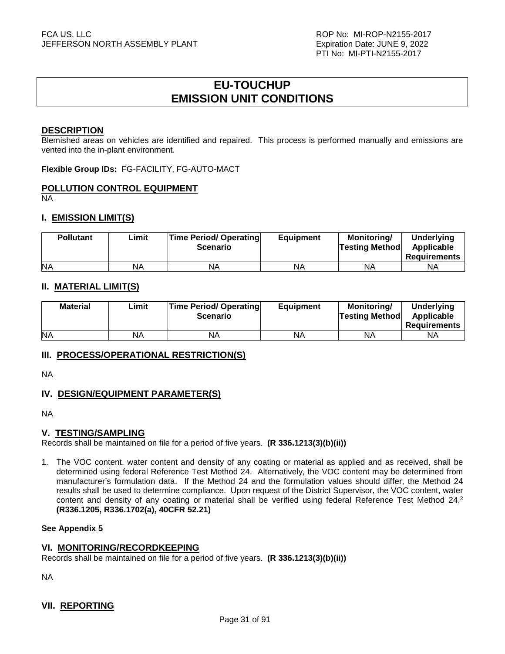# **EU-TOUCHUP EMISSION UNIT CONDITIONS**

#### **DESCRIPTION**

Blemished areas on vehicles are identified and repaired. This process is performed manually and emissions are vented into the in-plant environment.

**Flexible Group IDs:** FG-FACILITY, FG-AUTO-MACT

#### **POLLUTION CONTROL EQUIPMENT**

NA

#### **I. EMISSION LIMIT(S)**

| <b>Pollutant</b> | Limit | <b>Time Period/ Operating</b><br><b>Scenario</b> | <b>Equipment</b> | Monitorina/<br><b>Testing Method</b> | <b>Underlying</b><br>Applicable<br>Requirements |
|------------------|-------|--------------------------------------------------|------------------|--------------------------------------|-------------------------------------------------|
| <b>NA</b>        | ΝA    | ΝA                                               | NA               | <b>NA</b>                            | NA                                              |

#### **II. MATERIAL LIMIT(S)**

| <b>Material</b> | Limit | <b>Time Period/ Operating</b><br><b>Scenario</b> | <b>Equipment</b> | Monitorina/<br><b>Testing Method</b> | <b>Underlying</b><br>Applicable<br>Requirements |
|-----------------|-------|--------------------------------------------------|------------------|--------------------------------------|-------------------------------------------------|
| <b>NA</b>       | NA    | ΝA                                               | NA               | ΝA                                   | ΝA                                              |

#### **III. PROCESS/OPERATIONAL RESTRICTION(S)**

NA

# **IV. DESIGN/EQUIPMENT PARAMETER(S)**

NA

#### **V. TESTING/SAMPLING**

Records shall be maintained on file for a period of five years. **(R 336.1213(3)(b)(ii))**

1. The VOC content, water content and density of any coating or material as applied and as received, shall be determined using federal Reference Test Method 24. Alternatively, the VOC content may be determined from manufacturer's formulation data. If the Method 24 and the formulation values should differ, the Method 24 results shall be used to determine compliance. Upon request of the District Supervisor, the VOC content, water content and density of any coating or material shall be verified using federal Reference Test Method 24.<sup>2</sup> **(R336.1205, R336.1702(a), 40CFR 52.21)**

#### **See Appendix 5**

#### **VI. MONITORING/RECORDKEEPING**

Records shall be maintained on file for a period of five years. **(R 336.1213(3)(b)(ii))**

NA

#### **VII. REPORTING**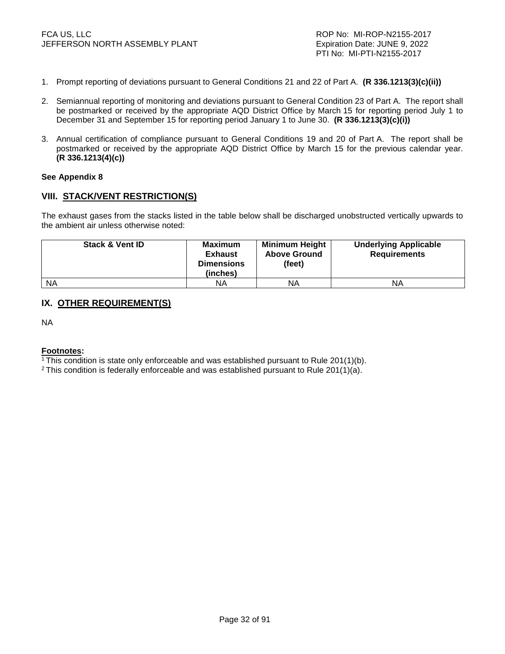- 1. Prompt reporting of deviations pursuant to General Conditions 21 and 22 of Part A. **(R 336.1213(3)(c)(ii))**
- 2. Semiannual reporting of monitoring and deviations pursuant to General Condition 23 of Part A. The report shall be postmarked or received by the appropriate AQD District Office by March 15 for reporting period July 1 to December 31 and September 15 for reporting period January 1 to June 30. **(R 336.1213(3)(c)(i))**
- 3. Annual certification of compliance pursuant to General Conditions 19 and 20 of Part A. The report shall be postmarked or received by the appropriate AQD District Office by March 15 for the previous calendar year. **(R 336.1213(4)(c))**

#### **See Appendix 8**

#### **VIII. STACK/VENT RESTRICTION(S)**

The exhaust gases from the stacks listed in the table below shall be discharged unobstructed vertically upwards to the ambient air unless otherwise noted:

| <b>Stack &amp; Vent ID</b> | <b>Maximum</b><br><b>Exhaust</b><br><b>Dimensions</b><br>(inches) | <b>Minimum Height</b><br><b>Above Ground</b><br>(feet) | <b>Underlying Applicable</b><br><b>Requirements</b> |
|----------------------------|-------------------------------------------------------------------|--------------------------------------------------------|-----------------------------------------------------|
| <b>NA</b>                  | NA.                                                               | ΝA                                                     | ΝA                                                  |

# **IX. OTHER REQUIREMENT(S)**

NA

#### **Footnotes:**

<sup>1</sup>This condition is state only enforceable and was established pursuant to Rule 201(1)(b).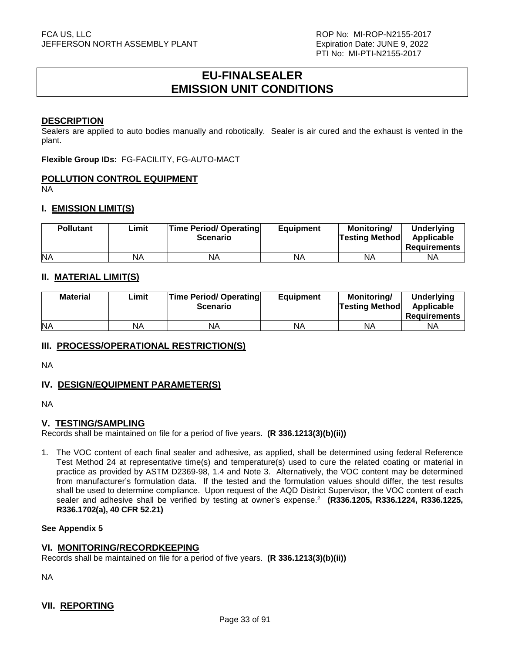# **EU-FINALSEALER EMISSION UNIT CONDITIONS**

#### **DESCRIPTION**

Sealers are applied to auto bodies manually and robotically. Sealer is air cured and the exhaust is vented in the plant.

**Flexible Group IDs:** FG-FACILITY, FG-AUTO-MACT

#### **POLLUTION CONTROL EQUIPMENT**

NA

#### **I. EMISSION LIMIT(S)**

| <b>Pollutant</b> | ∟imit | <b>Time Period/ Operating</b><br><b>Scenario</b> | <b>Equipment</b> | <b>Monitoring/</b><br><b>Testing Method</b> | <b>Underlying</b><br>Applicable<br><b>Requirements</b> |
|------------------|-------|--------------------------------------------------|------------------|---------------------------------------------|--------------------------------------------------------|
| <b>NA</b>        | NA    | ΝA                                               | NA               | <b>NA</b>                                   | NA                                                     |

#### **II. MATERIAL LIMIT(S)**

| <b>Material</b> | ∟imit | <b>Time Period/ Operating</b><br><b>Scenario</b> | <b>Equipment</b> | Monitoring/<br><b>Testing Method</b> | <b>Underlying</b><br>Applicable<br><b>Requirements</b> |
|-----------------|-------|--------------------------------------------------|------------------|--------------------------------------|--------------------------------------------------------|
| <b>NA</b>       | NA    | ΝA                                               | NA               | ΝA                                   | ΝA                                                     |

#### **III. PROCESS/OPERATIONAL RESTRICTION(S)**

NA

#### **IV. DESIGN/EQUIPMENT PARAMETER(S)**

NA

#### **V. TESTING/SAMPLING**

Records shall be maintained on file for a period of five years. **(R 336.1213(3)(b)(ii))**

1. The VOC content of each final sealer and adhesive, as applied, shall be determined using federal Reference Test Method 24 at representative time(s) and temperature(s) used to cure the related coating or material in practice as provided by ASTM D2369-98, 1.4 and Note 3. Alternatively, the VOC content may be determined from manufacturer's formulation data. If the tested and the formulation values should differ, the test results shall be used to determine compliance. Upon request of the AQD District Supervisor, the VOC content of each sealer and adhesive shall be verified by testing at owner's expense.<sup>2</sup> **(R336.1205, R336.1224, R336.1225, R336.1702(a), 40 CFR 52.21)**

#### **See Appendix 5**

#### **VI. MONITORING/RECORDKEEPING**

Records shall be maintained on file for a period of five years. **(R 336.1213(3)(b)(ii))**

NA

#### **VII. REPORTING**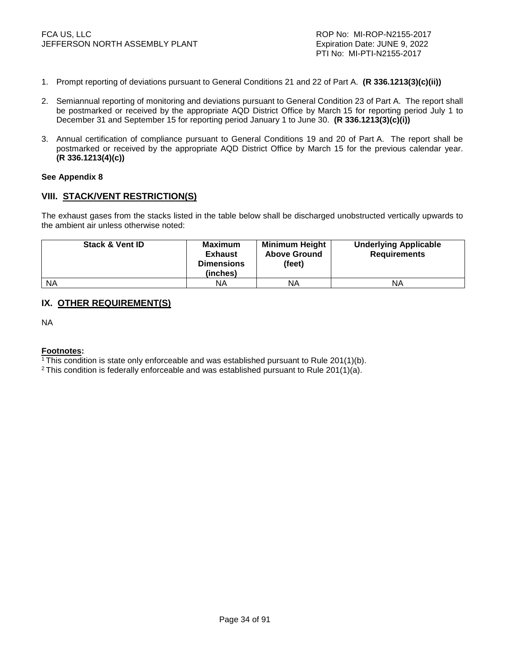- 1. Prompt reporting of deviations pursuant to General Conditions 21 and 22 of Part A. **(R 336.1213(3)(c)(ii))**
- 2. Semiannual reporting of monitoring and deviations pursuant to General Condition 23 of Part A. The report shall be postmarked or received by the appropriate AQD District Office by March 15 for reporting period July 1 to December 31 and September 15 for reporting period January 1 to June 30. **(R 336.1213(3)(c)(i))**
- 3. Annual certification of compliance pursuant to General Conditions 19 and 20 of Part A. The report shall be postmarked or received by the appropriate AQD District Office by March 15 for the previous calendar year. **(R 336.1213(4)(c))**

#### **See Appendix 8**

#### **VIII. STACK/VENT RESTRICTION(S)**

The exhaust gases from the stacks listed in the table below shall be discharged unobstructed vertically upwards to the ambient air unless otherwise noted:

| <b>Stack &amp; Vent ID</b> | Maximum<br><b>Exhaust</b><br><b>Dimensions</b><br>(inches) | <b>Minimum Height</b><br><b>Above Ground</b><br>(feet) | <b>Underlying Applicable</b><br><b>Requirements</b> |
|----------------------------|------------------------------------------------------------|--------------------------------------------------------|-----------------------------------------------------|
| <b>NA</b>                  | ΝA                                                         | ΝA                                                     | ΝA                                                  |

# **IX. OTHER REQUIREMENT(S)**

NA

#### **Footnotes:**

<sup>1</sup>This condition is state only enforceable and was established pursuant to Rule 201(1)(b).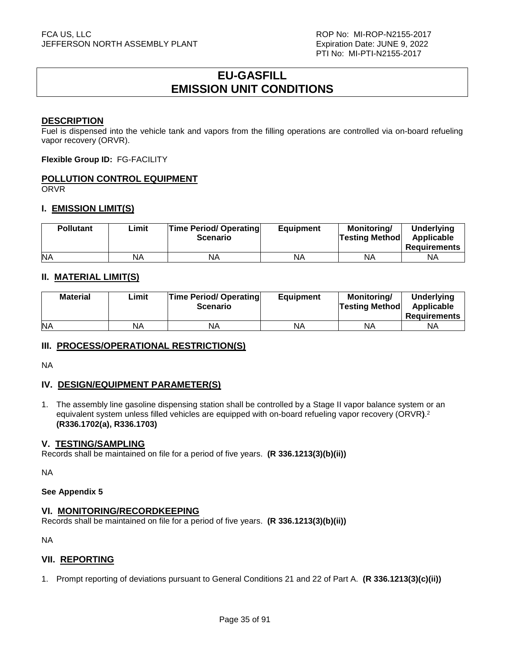# **EU-GASFILL EMISSION UNIT CONDITIONS**

#### **DESCRIPTION**

Fuel is dispensed into the vehicle tank and vapors from the filling operations are controlled via on-board refueling vapor recovery (ORVR).

**Flexible Group ID:** FG-FACILITY

# **POLLUTION CONTROL EQUIPMENT**

ORVR

# **I. EMISSION LIMIT(S)**

| <b>Pollutant</b> | ∟imit | <b>Time Period/ Operating</b><br><b>Scenario</b> | <b>Equipment</b> | <b>Monitoring/</b><br><b>Testing Method</b> | <b>Underlying</b><br>Applicable<br>Requirements |
|------------------|-------|--------------------------------------------------|------------------|---------------------------------------------|-------------------------------------------------|
| <b>NA</b>        | NA    | NA                                               | NA               | ΝA                                          | ΝA                                              |

# **II. MATERIAL LIMIT(S)**

| <b>Material</b> | ∟imit | <b>Time Period/ Operating</b><br><b>Scenario</b> | <b>Equipment</b> | Monitoring/<br><b>Testing Method</b> | <b>Underlying</b><br>Applicable<br><b>Requirements</b> |
|-----------------|-------|--------------------------------------------------|------------------|--------------------------------------|--------------------------------------------------------|
| <b>NA</b>       | NA    | <b>NA</b>                                        | ΝA               | ΝA                                   | ΝA                                                     |

#### **III. PROCESS/OPERATIONAL RESTRICTION(S)**

NA

# **IV. DESIGN/EQUIPMENT PARAMETER(S)**

1. The assembly line gasoline dispensing station shall be controlled by a Stage II vapor balance system or an equivalent system unless filled vehicles are equipped with on-board refueling vapor recovery (ORVR**)**. 2 **(R336.1702(a), R336.1703)**

#### **V. TESTING/SAMPLING**

Records shall be maintained on file for a period of five years. **(R 336.1213(3)(b)(ii))**

NA

#### **See Appendix 5**

#### **VI. MONITORING/RECORDKEEPING**

Records shall be maintained on file for a period of five years. **(R 336.1213(3)(b)(ii))**

NA

#### **VII. REPORTING**

1. Prompt reporting of deviations pursuant to General Conditions 21 and 22 of Part A. **(R 336.1213(3)(c)(ii))**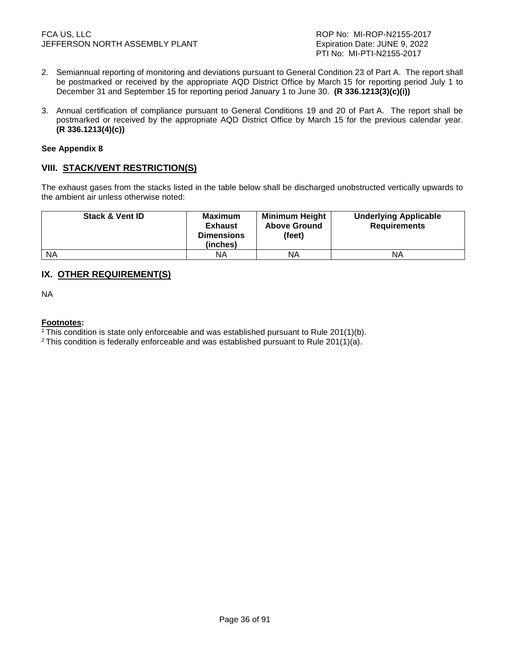- 2. Semiannual reporting of monitoring and deviations pursuant to General Condition 23 of Part A. The report shall be postmarked or received by the appropriate AQD District Office by March 15 for reporting period July 1 to December 31 and September 15 for reporting period January 1 to June 30. **(R 336.1213(3)(c)(i))**
- 3. Annual certification of compliance pursuant to General Conditions 19 and 20 of Part A. The report shall be postmarked or received by the appropriate AQD District Office by March 15 for the previous calendar year. **(R 336.1213(4)(c))**

#### **See Appendix 8**

# **VIII. STACK/VENT RESTRICTION(S)**

The exhaust gases from the stacks listed in the table below shall be discharged unobstructed vertically upwards to the ambient air unless otherwise noted:

| <b>Stack &amp; Vent ID</b> | Maximum<br><b>Exhaust</b><br><b>Dimensions</b><br>(inches) | <b>Minimum Height</b><br><b>Above Ground</b><br>(feet) | <b>Underlying Applicable</b><br><b>Requirements</b> |
|----------------------------|------------------------------------------------------------|--------------------------------------------------------|-----------------------------------------------------|
| <b>NA</b>                  | ΝA                                                         | ΝA                                                     | ΝA                                                  |

# **IX. OTHER REQUIREMENT(S)**

NA

#### **Footnotes:**

<sup>1</sup>This condition is state only enforceable and was established pursuant to Rule 201(1)(b).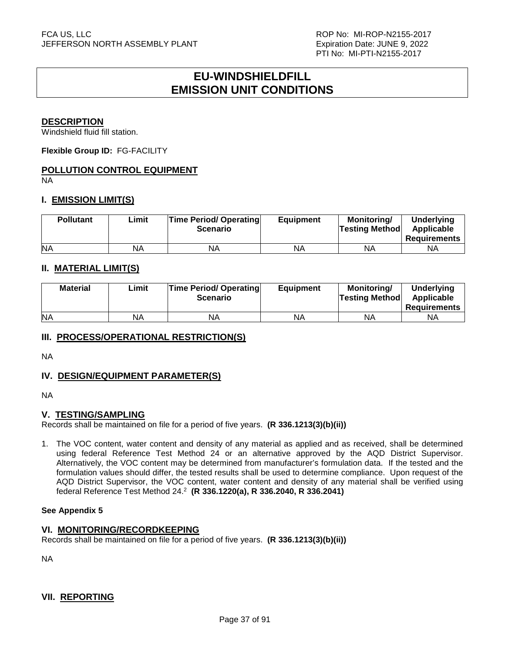# **EU-WINDSHIELDFILL EMISSION UNIT CONDITIONS**

### **DESCRIPTION**

Windshield fluid fill station.

**Flexible Group ID:** FG-FACILITY

# **POLLUTION CONTROL EQUIPMENT**

NA

# **I. EMISSION LIMIT(S)**

| <b>Pollutant</b> | Limit | <b>Time Period/ Operating</b><br><b>Scenario</b> | <b>Equipment</b> | <b>Monitoring/</b><br><b>Testing Method</b> | Underlying<br>Applicable<br>Requirements |
|------------------|-------|--------------------------------------------------|------------------|---------------------------------------------|------------------------------------------|
| <b>NA</b>        | NA    | ΝA                                               | NA               | ΝA                                          | ΝA                                       |

# **II. MATERIAL LIMIT(S)**

| <b>Material</b> | ∟imit | <b>Time Period/ Operating</b><br><b>Scenario</b> | <b>Equipment</b> | Monitoring/<br><b>Testing Method</b> | <b>Underlying</b><br>Applicable<br><b>Requirements</b> |
|-----------------|-------|--------------------------------------------------|------------------|--------------------------------------|--------------------------------------------------------|
| <b>NA</b>       | NA    | ΝA                                               | NA               | ΝA                                   | ΝA                                                     |

# **III. PROCESS/OPERATIONAL RESTRICTION(S)**

NA

# **IV. DESIGN/EQUIPMENT PARAMETER(S)**

NA

# **V. TESTING/SAMPLING**

Records shall be maintained on file for a period of five years. **(R 336.1213(3)(b)(ii))**

1. The VOC content, water content and density of any material as applied and as received, shall be determined using federal Reference Test Method 24 or an alternative approved by the AQD District Supervisor. Alternatively, the VOC content may be determined from manufacturer's formulation data. If the tested and the formulation values should differ, the tested results shall be used to determine compliance. Upon request of the AQD District Supervisor, the VOC content, water content and density of any material shall be verified using federal Reference Test Method 24.<sup>2</sup> **(R 336.1220(a), R 336.2040, R 336.2041)** 

#### **See Appendix 5**

#### **VI. MONITORING/RECORDKEEPING**

Records shall be maintained on file for a period of five years. **(R 336.1213(3)(b)(ii))**

NA

# **VII. REPORTING**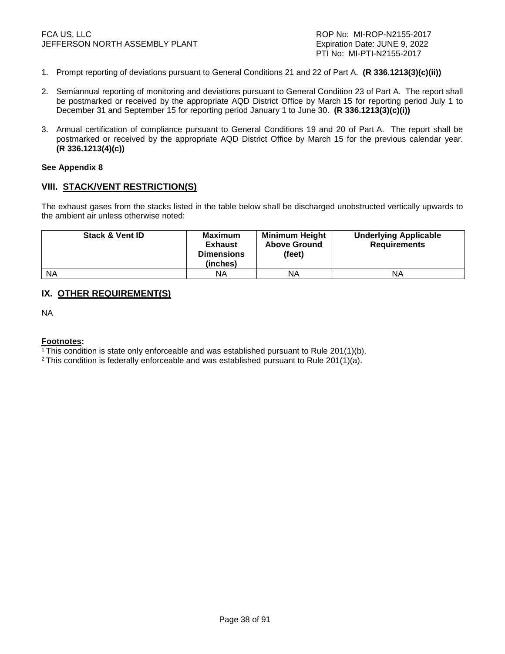- 1. Prompt reporting of deviations pursuant to General Conditions 21 and 22 of Part A. **(R 336.1213(3)(c)(ii))**
- 2. Semiannual reporting of monitoring and deviations pursuant to General Condition 23 of Part A. The report shall be postmarked or received by the appropriate AQD District Office by March 15 for reporting period July 1 to December 31 and September 15 for reporting period January 1 to June 30. **(R 336.1213(3)(c)(i))**
- 3. Annual certification of compliance pursuant to General Conditions 19 and 20 of Part A. The report shall be postmarked or received by the appropriate AQD District Office by March 15 for the previous calendar year. **(R 336.1213(4)(c))**

#### **See Appendix 8**

### **VIII. STACK/VENT RESTRICTION(S)**

The exhaust gases from the stacks listed in the table below shall be discharged unobstructed vertically upwards to the ambient air unless otherwise noted:

| <b>Stack &amp; Vent ID</b> | <b>Maximum</b><br><b>Exhaust</b><br><b>Dimensions</b><br>(inches) | <b>Minimum Height</b><br><b>Above Ground</b><br>(feet) | <b>Underlying Applicable</b><br><b>Requirements</b> |
|----------------------------|-------------------------------------------------------------------|--------------------------------------------------------|-----------------------------------------------------|
| <b>NA</b>                  | ΝA                                                                | ΝA                                                     | ΝA                                                  |

# **IX. OTHER REQUIREMENT(S)**

NA

#### **Footnotes:**

<sup>1</sup>This condition is state only enforceable and was established pursuant to Rule 201(1)(b).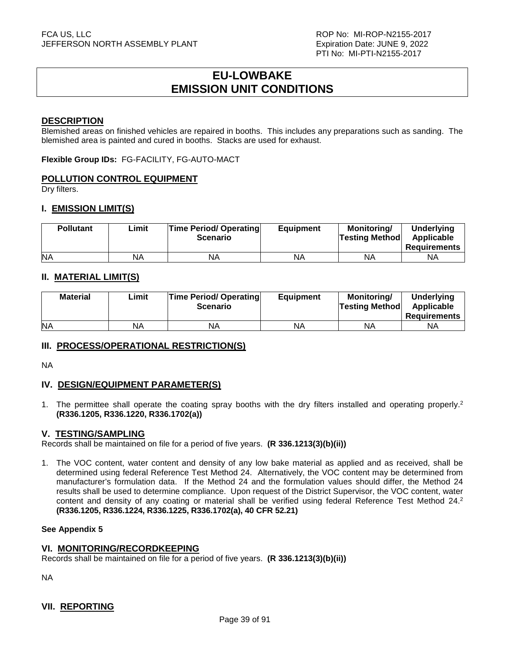# **EU-LOWBAKE EMISSION UNIT CONDITIONS**

### **DESCRIPTION**

Blemished areas on finished vehicles are repaired in booths. This includes any preparations such as sanding. The blemished area is painted and cured in booths. Stacks are used for exhaust.

**Flexible Group IDs:** FG-FACILITY, FG-AUTO-MACT

# **POLLUTION CONTROL EQUIPMENT**

Dry filters.

# **I. EMISSION LIMIT(S)**

| <b>Pollutant</b> | Limit | <b>Time Period/ Operating</b><br><b>Scenario</b> | <b>Equipment</b> | <b>Monitoring/</b><br><b>Testing Method</b> | <b>Underlying</b><br>Applicable<br>Requirements |
|------------------|-------|--------------------------------------------------|------------------|---------------------------------------------|-------------------------------------------------|
| <b>NA</b>        | NA    | ΝA                                               | NA               | <b>NA</b>                                   | ΝA                                              |

# **II. MATERIAL LIMIT(S)**

| <b>Material</b> | Limit | <b>Time Period/ Operating</b><br><b>Scenario</b> | <b>Equipment</b> | Monitoring/<br><b>Testing Method</b> | Underlying<br>Applicable<br><b>Requirements</b> |
|-----------------|-------|--------------------------------------------------|------------------|--------------------------------------|-------------------------------------------------|
| <b>NA</b>       | NA    | ΝA                                               | NА               | ΝA                                   | ΝA                                              |

# **III. PROCESS/OPERATIONAL RESTRICTION(S)**

NA

# **IV. DESIGN/EQUIPMENT PARAMETER(S)**

1. The permittee shall operate the coating spray booths with the dry filters installed and operating properly.<sup>2</sup> **(R336.1205, R336.1220, R336.1702(a))**

# **V. TESTING/SAMPLING**

Records shall be maintained on file for a period of five years. **(R 336.1213(3)(b)(ii))**

1. The VOC content, water content and density of any low bake material as applied and as received, shall be determined using federal Reference Test Method 24. Alternatively, the VOC content may be determined from manufacturer's formulation data. If the Method 24 and the formulation values should differ, the Method 24 results shall be used to determine compliance. Upon request of the District Supervisor, the VOC content, water content and density of any coating or material shall be verified using federal Reference Test Method 24.<sup>2</sup> **(R336.1205, R336.1224, R336.1225, R336.1702(a), 40 CFR 52.21)**

#### **See Appendix 5**

#### **VI. MONITORING/RECORDKEEPING**

Records shall be maintained on file for a period of five years. **(R 336.1213(3)(b)(ii))**

NA

# **VII. REPORTING**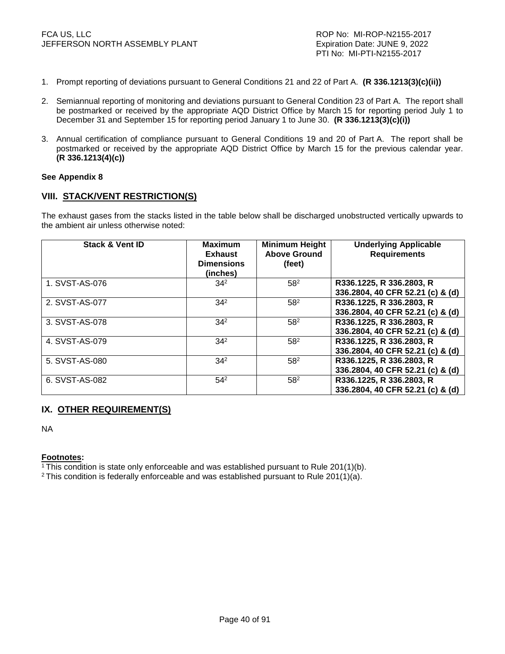- 1. Prompt reporting of deviations pursuant to General Conditions 21 and 22 of Part A. **(R 336.1213(3)(c)(ii))**
- 2. Semiannual reporting of monitoring and deviations pursuant to General Condition 23 of Part A. The report shall be postmarked or received by the appropriate AQD District Office by March 15 for reporting period July 1 to December 31 and September 15 for reporting period January 1 to June 30. **(R 336.1213(3)(c)(i))**
- 3. Annual certification of compliance pursuant to General Conditions 19 and 20 of Part A. The report shall be postmarked or received by the appropriate AQD District Office by March 15 for the previous calendar year. **(R 336.1213(4)(c))**

#### **See Appendix 8**

### **VIII. STACK/VENT RESTRICTION(S)**

The exhaust gases from the stacks listed in the table below shall be discharged unobstructed vertically upwards to the ambient air unless otherwise noted:

| <b>Stack &amp; Vent ID</b> | <b>Maximum</b><br><b>Exhaust</b><br><b>Dimensions</b><br>(inches) | <b>Minimum Height</b><br><b>Above Ground</b><br>(feet) | <b>Underlying Applicable</b><br><b>Requirements</b>          |
|----------------------------|-------------------------------------------------------------------|--------------------------------------------------------|--------------------------------------------------------------|
| 1. SVST-AS-076             | $34^2$                                                            | 58 <sup>2</sup>                                        | R336.1225, R 336.2803, R<br>336.2804, 40 CFR 52.21 (c) & (d) |
| 2. SVST-AS-077             | $34^{2}$                                                          | 58 <sup>2</sup>                                        | R336.1225, R 336.2803, R<br>336.2804, 40 CFR 52.21 (c) & (d) |
| 3. SVST-AS-078             | 34 <sup>2</sup>                                                   | 58 <sup>2</sup>                                        | R336.1225, R 336.2803, R<br>336.2804, 40 CFR 52.21 (c) & (d) |
| 4. SVST-AS-079             | 34 <sup>2</sup>                                                   | 58 <sup>2</sup>                                        | R336.1225, R 336.2803, R<br>336.2804, 40 CFR 52.21 (c) & (d) |
| 5. SVST-AS-080             | $34^{2}$                                                          | 58 <sup>2</sup>                                        | R336.1225, R 336.2803, R<br>336.2804, 40 CFR 52.21 (c) & (d) |
| 6. SVST-AS-082             | $54^{2}$                                                          | 58 <sup>2</sup>                                        | R336.1225, R 336.2803, R<br>336.2804, 40 CFR 52.21 (c) & (d) |

# **IX. OTHER REQUIREMENT(S)**

NA

**Footnotes:** 

<sup>1</sup>This condition is state only enforceable and was established pursuant to Rule 201(1)(b).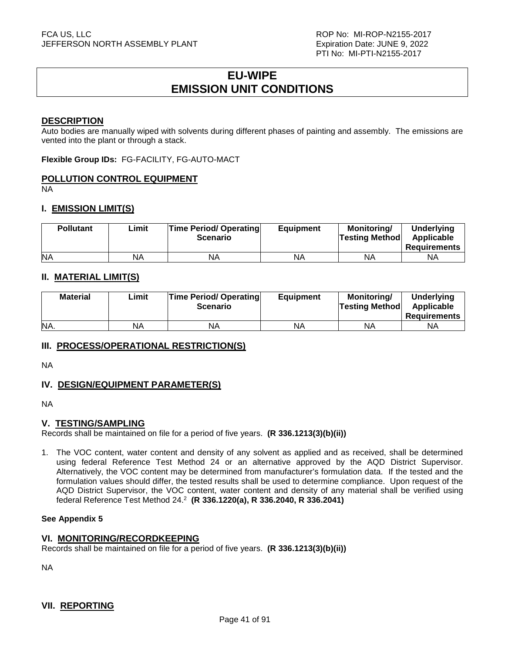# **EU-WIPE EMISSION UNIT CONDITIONS**

### **DESCRIPTION**

Auto bodies are manually wiped with solvents during different phases of painting and assembly. The emissions are vented into the plant or through a stack.

**Flexible Group IDs:** FG-FACILITY, FG-AUTO-MACT

# **POLLUTION CONTROL EQUIPMENT**

NA

# **I. EMISSION LIMIT(S)**

| <b>Pollutant</b> | ∟imit | <b>Time Period/ Operating</b><br><b>Scenario</b> | <b>Equipment</b> | <b>Monitoring/</b><br><b>Testing Method</b> | <b>Underlying</b><br>Applicable<br>Requirements |
|------------------|-------|--------------------------------------------------|------------------|---------------------------------------------|-------------------------------------------------|
| <b>NA</b>        | NA    | NA                                               | NA               | ΝA                                          | ΝA                                              |

# **II. MATERIAL LIMIT(S)**

| <b>Material</b> | ∟imit | <b>Time Period/ Operating</b><br><b>Scenario</b> | <b>Equipment</b> | Monitoring/<br><b>Testing Method</b> | <b>Underlying</b><br>Applicable<br><b>Requirements</b> |
|-----------------|-------|--------------------------------------------------|------------------|--------------------------------------|--------------------------------------------------------|
| NA.             | NA    | <b>NA</b>                                        | NA               | <b>NA</b>                            | ΝA                                                     |

# **III. PROCESS/OPERATIONAL RESTRICTION(S)**

NA

# **IV. DESIGN/EQUIPMENT PARAMETER(S)**

NA

# **V. TESTING/SAMPLING**

Records shall be maintained on file for a period of five years. **(R 336.1213(3)(b)(ii))**

1. The VOC content, water content and density of any solvent as applied and as received, shall be determined using federal Reference Test Method 24 or an alternative approved by the AQD District Supervisor. Alternatively, the VOC content may be determined from manufacturer's formulation data. If the tested and the formulation values should differ, the tested results shall be used to determine compliance. Upon request of the AQD District Supervisor, the VOC content, water content and density of any material shall be verified using federal Reference Test Method 24.<sup>2</sup> **(R 336.1220(a), R 336.2040, R 336.2041)** 

#### **See Appendix 5**

# **VI. MONITORING/RECORDKEEPING**

Records shall be maintained on file for a period of five years. **(R 336.1213(3)(b)(ii))**

NA

# **VII. REPORTING**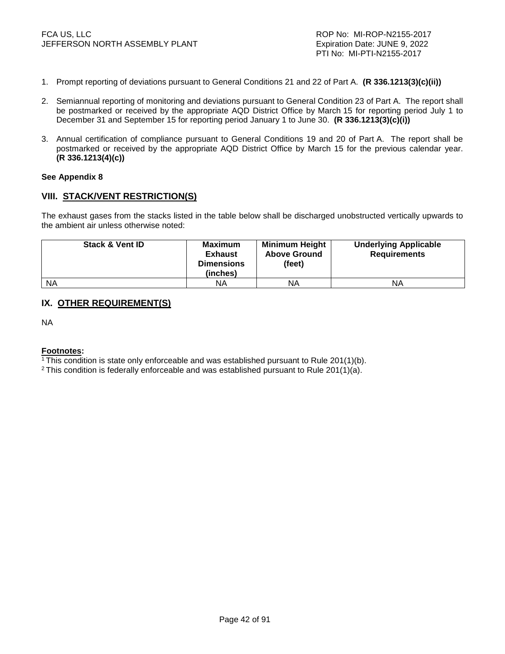- 1. Prompt reporting of deviations pursuant to General Conditions 21 and 22 of Part A. **(R 336.1213(3)(c)(ii))**
- 2. Semiannual reporting of monitoring and deviations pursuant to General Condition 23 of Part A. The report shall be postmarked or received by the appropriate AQD District Office by March 15 for reporting period July 1 to December 31 and September 15 for reporting period January 1 to June 30. **(R 336.1213(3)(c)(i))**
- 3. Annual certification of compliance pursuant to General Conditions 19 and 20 of Part A. The report shall be postmarked or received by the appropriate AQD District Office by March 15 for the previous calendar year. **(R 336.1213(4)(c))**

#### **See Appendix 8**

### **VIII. STACK/VENT RESTRICTION(S)**

The exhaust gases from the stacks listed in the table below shall be discharged unobstructed vertically upwards to the ambient air unless otherwise noted:

| <b>Stack &amp; Vent ID</b> | <b>Maximum</b><br><b>Exhaust</b><br><b>Dimensions</b><br>(inches) | <b>Minimum Height</b><br><b>Above Ground</b><br>(feet) | <b>Underlying Applicable</b><br><b>Requirements</b> |
|----------------------------|-------------------------------------------------------------------|--------------------------------------------------------|-----------------------------------------------------|
| <b>NA</b>                  | NA.                                                               | ΝA                                                     | ΝA                                                  |

# **IX. OTHER REQUIREMENT(S)**

NA

#### **Footnotes:**

<sup>1</sup>This condition is state only enforceable and was established pursuant to Rule 201(1)(b).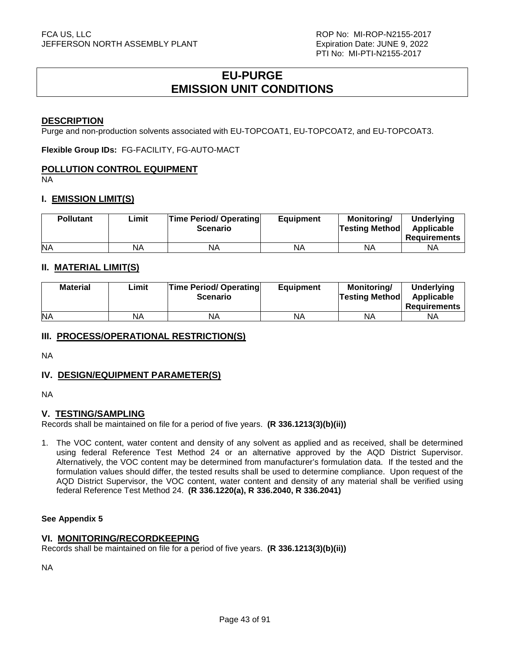# **EU-PURGE EMISSION UNIT CONDITIONS**

### **DESCRIPTION**

Purge and non-production solvents associated with EU-TOPCOAT1, EU-TOPCOAT2, and EU-TOPCOAT3.

**Flexible Group IDs:** FG-FACILITY, FG-AUTO-MACT

### **POLLUTION CONTROL EQUIPMENT**

**NA** 

### **I. EMISSION LIMIT(S)**

| <b>Pollutant</b> | Limit | <b>Time Period/ Operating</b><br><b>Scenario</b> | <b>Equipment</b> | <b>Monitoring/</b><br><b>Testing Method</b> | <b>Underlying</b><br>Applicable<br><b>Requirements</b> |
|------------------|-------|--------------------------------------------------|------------------|---------------------------------------------|--------------------------------------------------------|
| <b>NA</b>        | NA    | ΝA                                               | NA               | ΝA                                          | NA                                                     |

# **II. MATERIAL LIMIT(S)**

| <b>Material</b> | Limit | <b>Time Period/ Operating</b><br><b>Scenario</b> | <b>Equipment</b> | Monitoring/<br><b>Testing Method</b> | <b>Underlying</b><br>Applicable<br><b>Requirements</b> |
|-----------------|-------|--------------------------------------------------|------------------|--------------------------------------|--------------------------------------------------------|
| <b>NA</b>       | ΝA    | ΝA                                               | NA               | ΝA                                   | ΝA                                                     |

# **III. PROCESS/OPERATIONAL RESTRICTION(S)**

NA

# **IV. DESIGN/EQUIPMENT PARAMETER(S)**

NA

# **V. TESTING/SAMPLING**

Records shall be maintained on file for a period of five years. **(R 336.1213(3)(b)(ii))**

1. The VOC content, water content and density of any solvent as applied and as received, shall be determined using federal Reference Test Method 24 or an alternative approved by the AQD District Supervisor. Alternatively, the VOC content may be determined from manufacturer's formulation data. If the tested and the formulation values should differ, the tested results shall be used to determine compliance. Upon request of the AQD District Supervisor, the VOC content, water content and density of any material shall be verified using federal Reference Test Method 24. **(R 336.1220(a), R 336.2040, R 336.2041)**

### **See Appendix 5**

### **VI. MONITORING/RECORDKEEPING**

Records shall be maintained on file for a period of five years. **(R 336.1213(3)(b)(ii))**

NA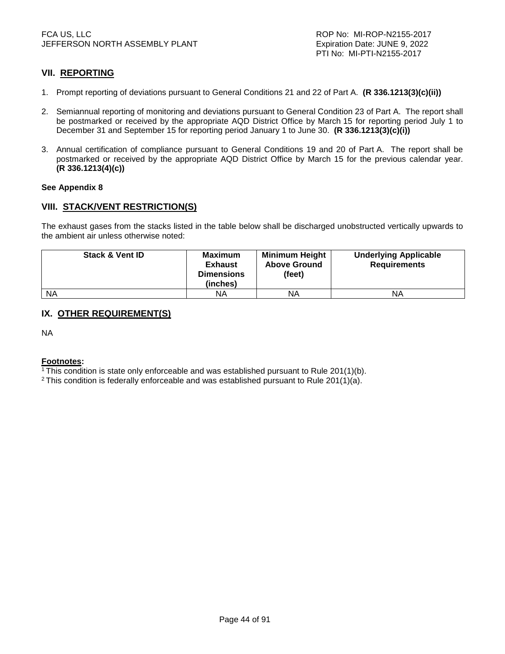# **VII. REPORTING**

- 1. Prompt reporting of deviations pursuant to General Conditions 21 and 22 of Part A. **(R 336.1213(3)(c)(ii))**
- 2. Semiannual reporting of monitoring and deviations pursuant to General Condition 23 of Part A. The report shall be postmarked or received by the appropriate AQD District Office by March 15 for reporting period July 1 to December 31 and September 15 for reporting period January 1 to June 30. **(R 336.1213(3)(c)(i))**
- 3. Annual certification of compliance pursuant to General Conditions 19 and 20 of Part A. The report shall be postmarked or received by the appropriate AQD District Office by March 15 for the previous calendar year. **(R 336.1213(4)(c))**

#### **See Appendix 8**

# **VIII. STACK/VENT RESTRICTION(S)**

The exhaust gases from the stacks listed in the table below shall be discharged unobstructed vertically upwards to the ambient air unless otherwise noted:

| <b>Stack &amp; Vent ID</b> | <b>Maximum</b><br><b>Exhaust</b><br><b>Dimensions</b><br>(inches) | <b>Minimum Height</b><br><b>Above Ground</b><br>(feet) | <b>Underlying Applicable</b><br><b>Requirements</b> |
|----------------------------|-------------------------------------------------------------------|--------------------------------------------------------|-----------------------------------------------------|
| <b>NA</b>                  | ΝA                                                                | ΝA                                                     | ΝA                                                  |

# **IX. OTHER REQUIREMENT(S)**

NA

#### **Footnotes:**

<sup>1</sup>This condition is state only enforceable and was established pursuant to Rule 201(1)(b).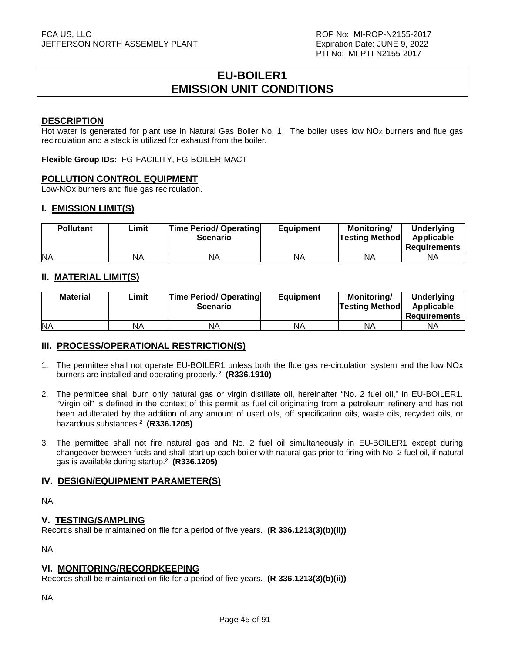# **EU-BOILER1 EMISSION UNIT CONDITIONS**

### **DESCRIPTION**

Hot water is generated for plant use in Natural Gas Boiler No. 1. The boiler uses low  $NO<sub>x</sub>$  burners and flue gas recirculation and a stack is utilized for exhaust from the boiler.

**Flexible Group IDs:** FG-FACILITY, FG-BOILER-MACT

# **POLLUTION CONTROL EQUIPMENT**

Low-NOx burners and flue gas recirculation.

# **I. EMISSION LIMIT(S)**

| <b>Pollutant</b> | Limit | <b>Time Period/ Operating</b><br><b>Scenario</b> | <b>Equipment</b> | <b>Monitoring/</b><br><b>Testing Method</b> | <b>Underlying</b><br>Applicable<br>Requirements |
|------------------|-------|--------------------------------------------------|------------------|---------------------------------------------|-------------------------------------------------|
| <b>NA</b>        | NA    | <b>NA</b>                                        | NA               | ΝA                                          | ΝA                                              |

# **II. MATERIAL LIMIT(S)**

| <b>Material</b> | Limit | <b>Time Period/ Operating</b><br><b>Scenario</b> | <b>Equipment</b> | Monitoring/<br><b>Testing Method</b> | Underlying<br>Applicable<br><b>Requirements</b> |
|-----------------|-------|--------------------------------------------------|------------------|--------------------------------------|-------------------------------------------------|
| <b>NA</b>       | NA    | ΝA                                               | NА               | ΝA                                   | ΝA                                              |

# **III. PROCESS/OPERATIONAL RESTRICTION(S)**

- 1. The permittee shall not operate EU-BOILER1 unless both the flue gas re-circulation system and the low NOx burners are installed and operating properly.<sup>2</sup> **(R336.1910)**
- 2. The permittee shall burn only natural gas or virgin distillate oil, hereinafter "No. 2 fuel oil," in EU-BOILER1. "Virgin oil" is defined in the context of this permit as fuel oil originating from a petroleum refinery and has not been adulterated by the addition of any amount of used oils, off specification oils, waste oils, recycled oils, or hazardous substances.<sup>2</sup> **(R336.1205)**
- 3. The permittee shall not fire natural gas and No. 2 fuel oil simultaneously in EU-BOILER1 except during changeover between fuels and shall start up each boiler with natural gas prior to firing with No. 2 fuel oil, if natural gas is available during startup.<sup>2</sup> **(R336.1205)**

# **IV. DESIGN/EQUIPMENT PARAMETER(S)**

NA

# **V. TESTING/SAMPLING**

Records shall be maintained on file for a period of five years. **(R 336.1213(3)(b)(ii))**

NA

# **VI. MONITORING/RECORDKEEPING**

Records shall be maintained on file for a period of five years. **(R 336.1213(3)(b)(ii))**

NA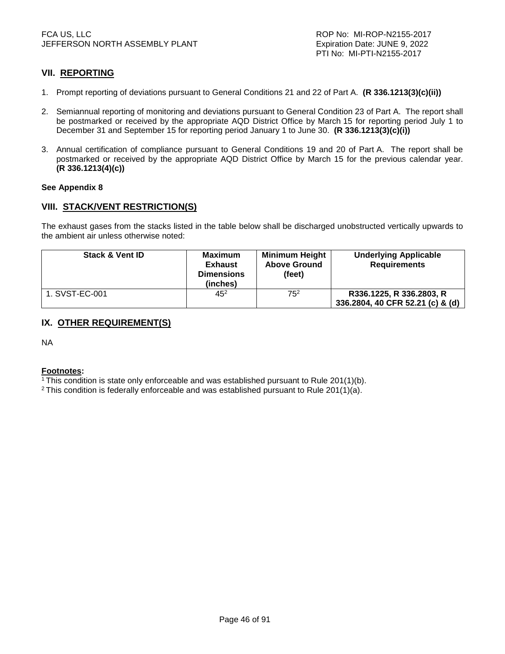# **VII. REPORTING**

- 1. Prompt reporting of deviations pursuant to General Conditions 21 and 22 of Part A. **(R 336.1213(3)(c)(ii))**
- 2. Semiannual reporting of monitoring and deviations pursuant to General Condition 23 of Part A. The report shall be postmarked or received by the appropriate AQD District Office by March 15 for reporting period July 1 to December 31 and September 15 for reporting period January 1 to June 30. **(R 336.1213(3)(c)(i))**
- 3. Annual certification of compliance pursuant to General Conditions 19 and 20 of Part A. The report shall be postmarked or received by the appropriate AQD District Office by March 15 for the previous calendar year. **(R 336.1213(4)(c))**

#### **See Appendix 8**

# **VIII. STACK/VENT RESTRICTION(S)**

The exhaust gases from the stacks listed in the table below shall be discharged unobstructed vertically upwards to the ambient air unless otherwise noted:

| <b>Stack &amp; Vent ID</b> | <b>Maximum</b><br><b>Exhaust</b><br><b>Dimensions</b><br>(inches) | <b>Minimum Height</b><br><b>Above Ground</b><br>(feet) | <b>Underlying Applicable</b><br><b>Requirements</b> |
|----------------------------|-------------------------------------------------------------------|--------------------------------------------------------|-----------------------------------------------------|
| 1. SVST-EC-001             | $4.5^{2}$                                                         | 75 <sup>2</sup>                                        | R336.1225, R 336.2803, R                            |
|                            |                                                                   |                                                        | 336.2804, 40 CFR 52.21 (c) & (d)                    |

# **IX. OTHER REQUIREMENT(S)**

NA

#### **Footnotes:**

<sup>1</sup>This condition is state only enforceable and was established pursuant to Rule 201(1)(b).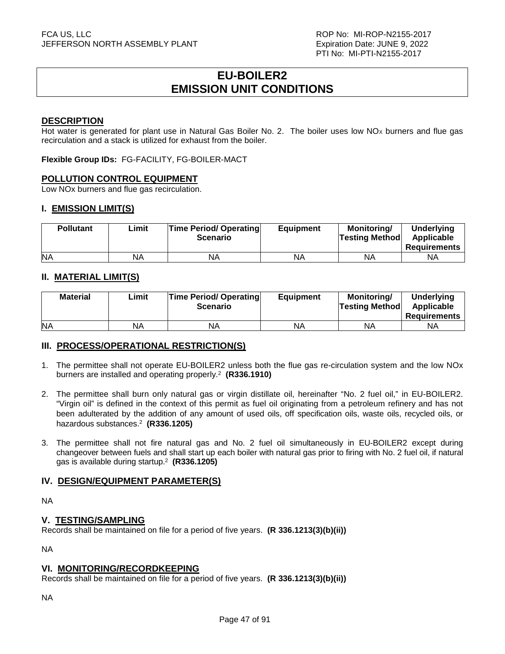# **EU-BOILER2 EMISSION UNIT CONDITIONS**

### **DESCRIPTION**

Hot water is generated for plant use in Natural Gas Boiler No. 2. The boiler uses low  $NO<sub>x</sub>$  burners and flue gas recirculation and a stack is utilized for exhaust from the boiler.

**Flexible Group IDs:** FG-FACILITY, FG-BOILER-MACT

# **POLLUTION CONTROL EQUIPMENT**

Low NOx burners and flue gas recirculation.

# **I. EMISSION LIMIT(S)**

| <b>Pollutant</b> | Limit | <b>Time Period/ Operating</b><br><b>Scenario</b> | <b>Equipment</b> | <b>Monitoring/</b><br><b>Testing Method</b> | <b>Underlying</b><br>Applicable<br>Requirements |
|------------------|-------|--------------------------------------------------|------------------|---------------------------------------------|-------------------------------------------------|
| <b>NA</b>        | NA    | <b>NA</b>                                        | NA               | ΝA                                          | ΝA                                              |

# **II. MATERIAL LIMIT(S)**

| <b>Material</b> | Limit | <b>Time Period/ Operating</b><br><b>Scenario</b> | <b>Equipment</b> | Monitoring/<br><b>Testing Method</b> | <b>Underlying</b><br>Applicable<br><b>Requirements</b> |
|-----------------|-------|--------------------------------------------------|------------------|--------------------------------------|--------------------------------------------------------|
| <b>NA</b>       | ΝA    | ΝA                                               | NA               | ΝA                                   | ΝA                                                     |

# **III. PROCESS/OPERATIONAL RESTRICTION(S)**

- 1. The permittee shall not operate EU-BOILER2 unless both the flue gas re-circulation system and the low NOx burners are installed and operating properly.<sup>2</sup> **(R336.1910)**
- 2. The permittee shall burn only natural gas or virgin distillate oil, hereinafter "No. 2 fuel oil," in EU-BOILER2. "Virgin oil" is defined in the context of this permit as fuel oil originating from a petroleum refinery and has not been adulterated by the addition of any amount of used oils, off specification oils, waste oils, recycled oils, or hazardous substances.<sup>2</sup> **(R336.1205)**
- 3. The permittee shall not fire natural gas and No. 2 fuel oil simultaneously in EU-BOILER2 except during changeover between fuels and shall start up each boiler with natural gas prior to firing with No. 2 fuel oil, if natural gas is available during startup.<sup>2</sup> **(R336.1205)**

# **IV. DESIGN/EQUIPMENT PARAMETER(S)**

NA

# **V. TESTING/SAMPLING**

Records shall be maintained on file for a period of five years. **(R 336.1213(3)(b)(ii))**

NA

# **VI. MONITORING/RECORDKEEPING**

Records shall be maintained on file for a period of five years. **(R 336.1213(3)(b)(ii))**

NA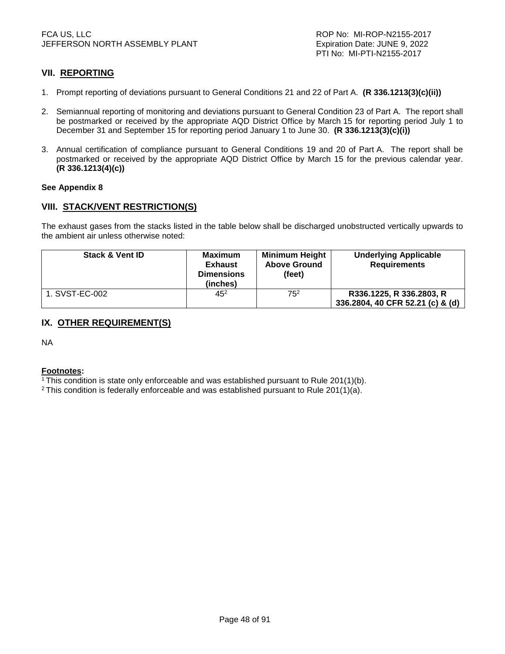# **VII. REPORTING**

- 1. Prompt reporting of deviations pursuant to General Conditions 21 and 22 of Part A. **(R 336.1213(3)(c)(ii))**
- 2. Semiannual reporting of monitoring and deviations pursuant to General Condition 23 of Part A. The report shall be postmarked or received by the appropriate AQD District Office by March 15 for reporting period July 1 to December 31 and September 15 for reporting period January 1 to June 30. **(R 336.1213(3)(c)(i))**
- 3. Annual certification of compliance pursuant to General Conditions 19 and 20 of Part A. The report shall be postmarked or received by the appropriate AQD District Office by March 15 for the previous calendar year. **(R 336.1213(4)(c))**

#### **See Appendix 8**

# **VIII. STACK/VENT RESTRICTION(S)**

The exhaust gases from the stacks listed in the table below shall be discharged unobstructed vertically upwards to the ambient air unless otherwise noted:

| <b>Stack &amp; Vent ID</b> | <b>Maximum</b><br><b>Exhaust</b><br><b>Dimensions</b><br>(inches) | <b>Minimum Height</b><br><b>Above Ground</b><br>(feet) | <b>Underlying Applicable</b><br><b>Requirements</b> |
|----------------------------|-------------------------------------------------------------------|--------------------------------------------------------|-----------------------------------------------------|
| 1. SVST-EC-002             | $45^{2}$                                                          | 75 <sup>2</sup>                                        | R336.1225, R 336.2803, R                            |
|                            |                                                                   |                                                        | 336.2804, 40 CFR 52.21 (c) & (d)                    |

# **IX. OTHER REQUIREMENT(S)**

NA

#### **Footnotes:**

<sup>1</sup>This condition is state only enforceable and was established pursuant to Rule 201(1)(b).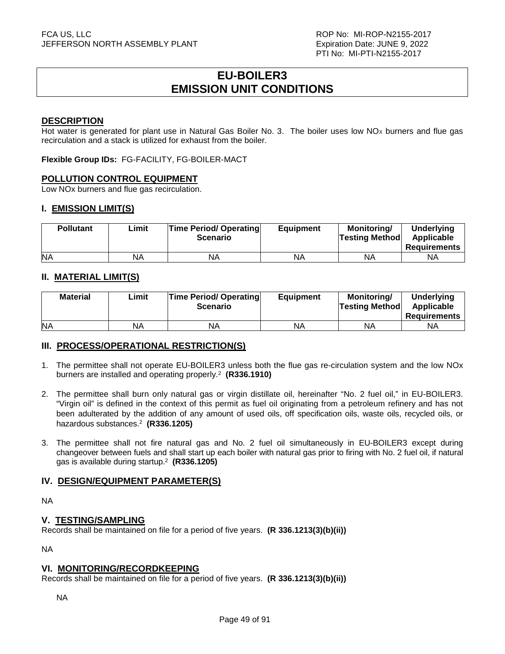# **EU-BOILER3 EMISSION UNIT CONDITIONS**

### **DESCRIPTION**

Hot water is generated for plant use in Natural Gas Boiler No. 3. The boiler uses low  $NO<sub>x</sub>$  burners and flue gas recirculation and a stack is utilized for exhaust from the boiler.

**Flexible Group IDs:** FG-FACILITY, FG-BOILER-MACT

# **POLLUTION CONTROL EQUIPMENT**

Low NOx burners and flue gas recirculation.

# **I. EMISSION LIMIT(S)**

| <b>Pollutant</b> | Limit | <b>Time Period/ Operating</b><br><b>Scenario</b> | <b>Equipment</b> | <b>Monitoring/</b><br><b>Testing Method</b> | <b>Underlying</b><br>Applicable<br>Requirements |
|------------------|-------|--------------------------------------------------|------------------|---------------------------------------------|-------------------------------------------------|
| <b>NA</b>        | NA    | <b>NA</b>                                        | NA               | ΝA                                          | ΝA                                              |

# **II. MATERIAL LIMIT(S)**

| <b>Material</b> | Limit | <b>Time Period/ Operating</b><br><b>Scenario</b> | <b>Equipment</b> | Monitoring/<br><b>Testing Method</b> | <b>Underlying</b><br>Applicable<br><b>Requirements</b> |
|-----------------|-------|--------------------------------------------------|------------------|--------------------------------------|--------------------------------------------------------|
| <b>NA</b>       | ΝA    | ΝA                                               | NA               | ΝA                                   | ΝA                                                     |

# **III. PROCESS/OPERATIONAL RESTRICTION(S)**

- 1. The permittee shall not operate EU-BOILER3 unless both the flue gas re-circulation system and the low NOx burners are installed and operating properly.<sup>2</sup> **(R336.1910)**
- 2. The permittee shall burn only natural gas or virgin distillate oil, hereinafter "No. 2 fuel oil," in EU-BOILER3. "Virgin oil" is defined in the context of this permit as fuel oil originating from a petroleum refinery and has not been adulterated by the addition of any amount of used oils, off specification oils, waste oils, recycled oils, or hazardous substances.<sup>2</sup> **(R336.1205)**
- 3. The permittee shall not fire natural gas and No. 2 fuel oil simultaneously in EU-BOILER3 except during changeover between fuels and shall start up each boiler with natural gas prior to firing with No. 2 fuel oil, if natural gas is available during startup.<sup>2</sup> **(R336.1205)**

# **IV. DESIGN/EQUIPMENT PARAMETER(S)**

NA

# **V. TESTING/SAMPLING**

Records shall be maintained on file for a period of five years. **(R 336.1213(3)(b)(ii))**

NA

# **VI. MONITORING/RECORDKEEPING**

Records shall be maintained on file for a period of five years. **(R 336.1213(3)(b)(ii))**

NA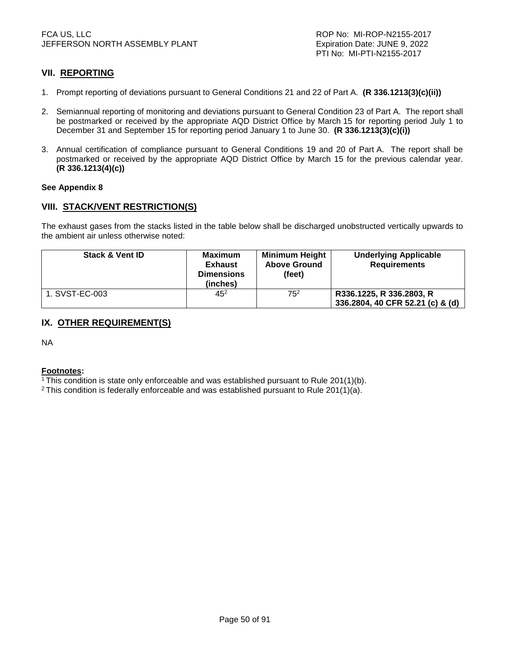# **VII. REPORTING**

- 1. Prompt reporting of deviations pursuant to General Conditions 21 and 22 of Part A. **(R 336.1213(3)(c)(ii))**
- 2. Semiannual reporting of monitoring and deviations pursuant to General Condition 23 of Part A. The report shall be postmarked or received by the appropriate AQD District Office by March 15 for reporting period July 1 to December 31 and September 15 for reporting period January 1 to June 30. **(R 336.1213(3)(c)(i))**
- 3. Annual certification of compliance pursuant to General Conditions 19 and 20 of Part A. The report shall be postmarked or received by the appropriate AQD District Office by March 15 for the previous calendar year. **(R 336.1213(4)(c))**

#### **See Appendix 8**

# **VIII. STACK/VENT RESTRICTION(S)**

The exhaust gases from the stacks listed in the table below shall be discharged unobstructed vertically upwards to the ambient air unless otherwise noted:

| <b>Stack &amp; Vent ID</b> | <b>Maximum</b><br><b>Exhaust</b><br><b>Dimensions</b><br>(inches) | <b>Minimum Height</b><br><b>Above Ground</b><br>(feet) | <b>Underlying Applicable</b><br><b>Requirements</b>          |
|----------------------------|-------------------------------------------------------------------|--------------------------------------------------------|--------------------------------------------------------------|
| 1. SVST-EC-003             | 452                                                               | 75 <sup>2</sup>                                        | R336.1225, R 336.2803, R<br>336.2804, 40 CFR 52.21 (c) & (d) |

# **IX. OTHER REQUIREMENT(S)**

NA

#### **Footnotes:**

<sup>1</sup>This condition is state only enforceable and was established pursuant to Rule 201(1)(b).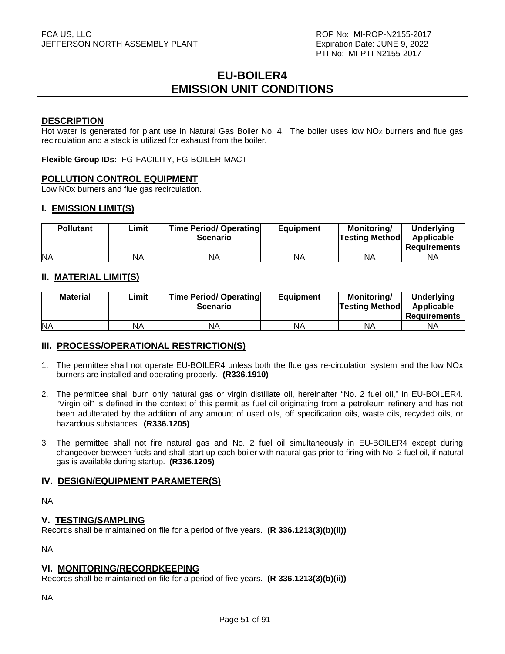# **EU-BOILER4 EMISSION UNIT CONDITIONS**

### **DESCRIPTION**

Hot water is generated for plant use in Natural Gas Boiler No. 4. The boiler uses low  $NO<sub>x</sub>$  burners and flue gas recirculation and a stack is utilized for exhaust from the boiler.

**Flexible Group IDs:** FG-FACILITY, FG-BOILER-MACT

# **POLLUTION CONTROL EQUIPMENT**

Low NOx burners and flue gas recirculation.

# **I. EMISSION LIMIT(S)**

| <b>Pollutant</b> | Limit | <b>Time Period/ Operating</b><br><b>Scenario</b> | <b>Equipment</b> | <b>Monitoring/</b><br><b>Testing Method</b> | <b>Underlying</b><br>Applicable<br>Requirements |
|------------------|-------|--------------------------------------------------|------------------|---------------------------------------------|-------------------------------------------------|
| <b>NA</b>        | NA    | ΝA                                               | NA               | ΝA                                          | ΝA                                              |

# **II. MATERIAL LIMIT(S)**

| <b>Material</b> | Limit | <b>Time Period/ Operating</b><br><b>Scenario</b> | <b>Equipment</b> | Monitorina/<br><b>Testing Method</b> | <b>Underlying</b><br>Applicable<br>Requirements |
|-----------------|-------|--------------------------------------------------|------------------|--------------------------------------|-------------------------------------------------|
| <b>NA</b>       | NA    | ΝA                                               | NA               | ΝA                                   | ΝA                                              |

# **III. PROCESS/OPERATIONAL RESTRICTION(S)**

- 1. The permittee shall not operate EU-BOILER4 unless both the flue gas re-circulation system and the low NOx burners are installed and operating properly. **(R336.1910)**
- 2. The permittee shall burn only natural gas or virgin distillate oil, hereinafter "No. 2 fuel oil," in EU-BOILER4. "Virgin oil" is defined in the context of this permit as fuel oil originating from a petroleum refinery and has not been adulterated by the addition of any amount of used oils, off specification oils, waste oils, recycled oils, or hazardous substances. **(R336.1205)**
- 3. The permittee shall not fire natural gas and No. 2 fuel oil simultaneously in EU-BOILER4 except during changeover between fuels and shall start up each boiler with natural gas prior to firing with No. 2 fuel oil, if natural gas is available during startup. **(R336.1205)**

# **IV. DESIGN/EQUIPMENT PARAMETER(S)**

NA

# **V. TESTING/SAMPLING**

Records shall be maintained on file for a period of five years. **(R 336.1213(3)(b)(ii))**

NA

# **VI. MONITORING/RECORDKEEPING**

Records shall be maintained on file for a period of five years. **(R 336.1213(3)(b)(ii))**

NA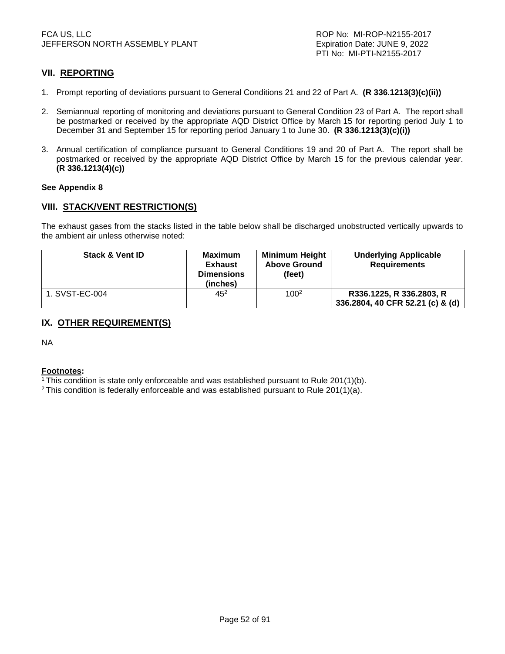# **VII. REPORTING**

- 1. Prompt reporting of deviations pursuant to General Conditions 21 and 22 of Part A. **(R 336.1213(3)(c)(ii))**
- 2. Semiannual reporting of monitoring and deviations pursuant to General Condition 23 of Part A. The report shall be postmarked or received by the appropriate AQD District Office by March 15 for reporting period July 1 to December 31 and September 15 for reporting period January 1 to June 30. **(R 336.1213(3)(c)(i))**
- 3. Annual certification of compliance pursuant to General Conditions 19 and 20 of Part A. The report shall be postmarked or received by the appropriate AQD District Office by March 15 for the previous calendar year. **(R 336.1213(4)(c))**

#### **See Appendix 8**

# **VIII. STACK/VENT RESTRICTION(S)**

The exhaust gases from the stacks listed in the table below shall be discharged unobstructed vertically upwards to the ambient air unless otherwise noted:

| <b>Stack &amp; Vent ID</b> | <b>Maximum</b><br><b>Exhaust</b><br><b>Dimensions</b><br>(inches) | <b>Minimum Height</b><br><b>Above Ground</b><br>(feet) | <b>Underlying Applicable</b><br><b>Requirements</b> |
|----------------------------|-------------------------------------------------------------------|--------------------------------------------------------|-----------------------------------------------------|
| 1. SVST-EC-004             | $45^{2}$                                                          | 1002                                                   | R336.1225, R 336.2803, R                            |
|                            |                                                                   |                                                        | 336.2804, 40 CFR 52.21 (c) & (d)                    |

# **IX. OTHER REQUIREMENT(S)**

NA

#### **Footnotes:**

<sup>1</sup>This condition is state only enforceable and was established pursuant to Rule 201(1)(b).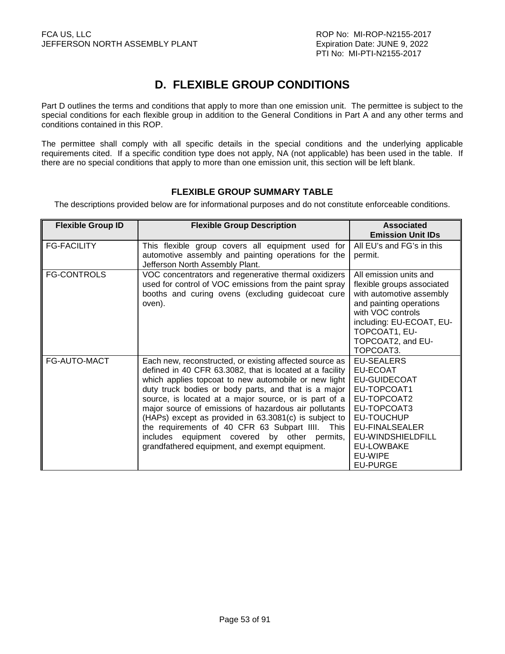# **D. FLEXIBLE GROUP CONDITIONS**

Part D outlines the terms and conditions that apply to more than one emission unit. The permittee is subject to the special conditions for each flexible group in addition to the General Conditions in Part A and any other terms and conditions contained in this ROP.

The permittee shall comply with all specific details in the special conditions and the underlying applicable requirements cited. If a specific condition type does not apply, NA (not applicable) has been used in the table. If there are no special conditions that apply to more than one emission unit, this section will be left blank.

# **FLEXIBLE GROUP SUMMARY TABLE**

The descriptions provided below are for informational purposes and do not constitute enforceable conditions.

| <b>Flexible Group ID</b> | <b>Flexible Group Description</b>                                                                                                                                                                                                                                                                                                                                                                                                                                                                                                                                    | <b>Associated</b>                                                                                                                                                                                               |
|--------------------------|----------------------------------------------------------------------------------------------------------------------------------------------------------------------------------------------------------------------------------------------------------------------------------------------------------------------------------------------------------------------------------------------------------------------------------------------------------------------------------------------------------------------------------------------------------------------|-----------------------------------------------------------------------------------------------------------------------------------------------------------------------------------------------------------------|
|                          |                                                                                                                                                                                                                                                                                                                                                                                                                                                                                                                                                                      | <b>Emission Unit IDs</b>                                                                                                                                                                                        |
| <b>FG-FACILITY</b>       | This flexible group covers all equipment used for<br>automotive assembly and painting operations for the<br>Jefferson North Assembly Plant.                                                                                                                                                                                                                                                                                                                                                                                                                          | All EU's and FG's in this<br>permit.                                                                                                                                                                            |
| <b>FG-CONTROLS</b>       | VOC concentrators and regenerative thermal oxidizers<br>used for control of VOC emissions from the paint spray<br>booths and curing ovens (excluding guidecoat cure<br>oven).                                                                                                                                                                                                                                                                                                                                                                                        | All emission units and<br>flexible groups associated<br>with automotive assembly<br>and painting operations<br>with VOC controls<br>including: EU-ECOAT, EU-<br>TOPCOAT1, EU-<br>TOPCOAT2, and EU-<br>TOPCOAT3. |
| FG-AUTO-MACT             | Each new, reconstructed, or existing affected source as<br>defined in 40 CFR 63.3082, that is located at a facility<br>which applies topcoat to new automobile or new light<br>duty truck bodies or body parts, and that is a major<br>source, is located at a major source, or is part of a<br>major source of emissions of hazardous air pollutants<br>(HAPs) except as provided in 63.3081(c) is subject to<br>the requirements of 40 CFR 63 Subpart IIII. This<br>includes equipment covered by other permits,<br>grandfathered equipment, and exempt equipment. | <b>EU-SEALERS</b><br>EU-ECOAT<br><b>EU-GUIDECOAT</b><br>EU-TOPCOAT1<br>EU-TOPCOAT2<br>EU-TOPCOAT3<br>EU-TOUCHUP<br>EU-FINALSEALER<br>EU-WINDSHIELDFILL<br><b>EU-LOWBAKE</b><br>EU-WIPE<br><b>EU-PURGE</b>       |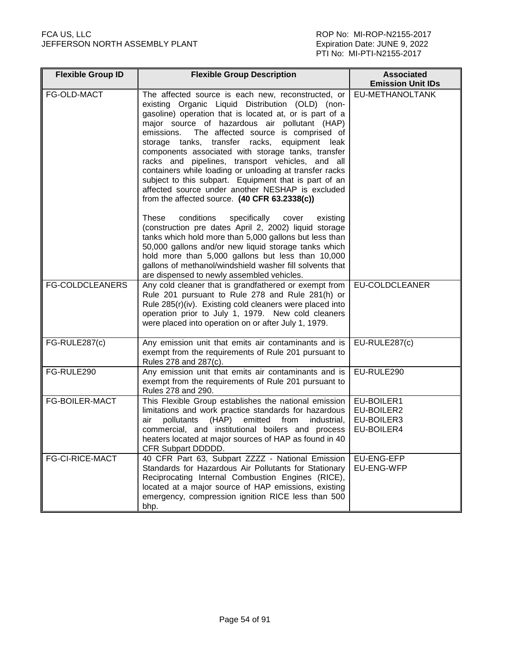| <b>Flexible Group ID</b> | <b>Flexible Group Description</b>                                                                                                                                                                                                                                                                                                                                                                                                                                                                                                                                                                                                                              | <b>Associated</b><br><b>Emission Unit IDs</b>        |
|--------------------------|----------------------------------------------------------------------------------------------------------------------------------------------------------------------------------------------------------------------------------------------------------------------------------------------------------------------------------------------------------------------------------------------------------------------------------------------------------------------------------------------------------------------------------------------------------------------------------------------------------------------------------------------------------------|------------------------------------------------------|
| FG-OLD-MACT              | The affected source is each new, reconstructed, or<br>existing Organic Liquid Distribution (OLD) (non-<br>gasoline) operation that is located at, or is part of a<br>major source of hazardous air pollutant (HAP)<br>emissions.<br>The affected source is comprised of<br>storage tanks, transfer racks,<br>equipment leak<br>components associated with storage tanks, transfer<br>racks and pipelines, transport vehicles, and all<br>containers while loading or unloading at transfer racks<br>subject to this subpart. Equipment that is part of an<br>affected source under another NESHAP is excluded<br>from the affected source. (40 CFR 63.2338(c)) | EU-METHANOLTANK                                      |
|                          | conditions<br>specifically<br><b>These</b><br>existing<br>cover<br>(construction pre dates April 2, 2002) liquid storage<br>tanks which hold more than 5,000 gallons but less than<br>50,000 gallons and/or new liquid storage tanks which<br>hold more than 5,000 gallons but less than 10,000<br>gallons of methanol/windshield washer fill solvents that<br>are dispensed to newly assembled vehicles.                                                                                                                                                                                                                                                      |                                                      |
| <b>FG-COLDCLEANERS</b>   | Any cold cleaner that is grandfathered or exempt from<br>Rule 201 pursuant to Rule 278 and Rule 281(h) or<br>Rule 285(r)(iv). Existing cold cleaners were placed into<br>operation prior to July 1, 1979. New cold cleaners<br>were placed into operation on or after July 1, 1979.                                                                                                                                                                                                                                                                                                                                                                            | <b>EU-COLDCLEANER</b>                                |
| FG-RULE287(c)            | Any emission unit that emits air contaminants and is<br>exempt from the requirements of Rule 201 pursuant to<br>Rules 278 and 287(c).                                                                                                                                                                                                                                                                                                                                                                                                                                                                                                                          | EU-RULE287(c)                                        |
| FG-RULE290               | Any emission unit that emits air contaminants and is<br>exempt from the requirements of Rule 201 pursuant to<br>Rules 278 and 290.                                                                                                                                                                                                                                                                                                                                                                                                                                                                                                                             | EU-RULE290                                           |
| <b>FG-BOILER-MACT</b>    | This Flexible Group establishes the national emission<br>limitations and work practice standards for hazardous<br>pollutants<br>(HAP)<br>emitted<br>from<br>industrial,<br>air<br>commercial, and institutional boilers and process<br>heaters located at major sources of HAP as found in 40<br>CFR Subpart DDDDD.                                                                                                                                                                                                                                                                                                                                            | EU-BOILER1<br>EU-BOILER2<br>EU-BOILER3<br>EU-BOILER4 |
| <b>FG-CI-RICE-MACT</b>   | 40 CFR Part 63, Subpart ZZZZ - National Emission<br>Standards for Hazardous Air Pollutants for Stationary<br>Reciprocating Internal Combustion Engines (RICE),<br>located at a major source of HAP emissions, existing<br>emergency, compression ignition RICE less than 500<br>bhp.                                                                                                                                                                                                                                                                                                                                                                           | EU-ENG-EFP<br>EU-ENG-WFP                             |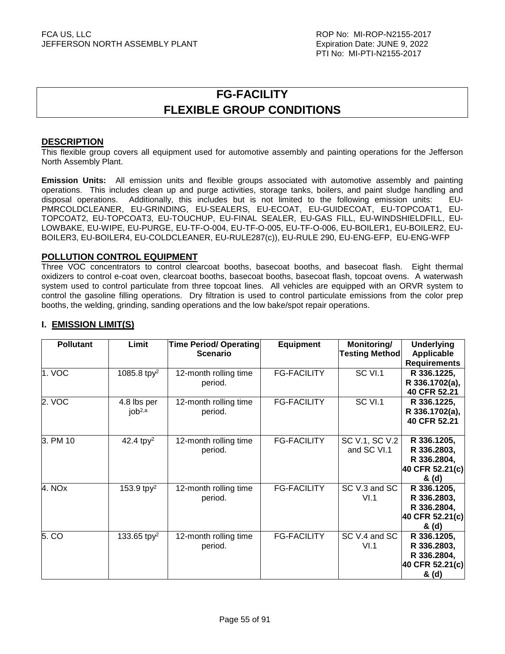# **FG-FACILITY FLEXIBLE GROUP CONDITIONS**

### **DESCRIPTION**

This flexible group covers all equipment used for automotive assembly and painting operations for the Jefferson North Assembly Plant.

**Emission Units:** All emission units and flexible groups associated with automotive assembly and painting operations. This includes clean up and purge activities, storage tanks, boilers, and paint sludge handling and disposal operations. Additionally, this includes but is not limited to the following emission units: EU-PMRCOLDCLEANER, EU-GRINDING, EU-SEALERS, EU-ECOAT, EU-GUIDECOAT, EU-TOPCOAT1, EU-TOPCOAT2, EU-TOPCOAT3, EU-TOUCHUP, EU-FINAL SEALER, EU-GAS FILL, EU-WINDSHIELDFILL, EU-LOWBAKE, EU-WIPE, EU-PURGE, EU-TF-O-004, EU-TF-O-005, EU-TF-O-006, EU-BOILER1, EU-BOILER2, EU-BOILER3, EU-BOILER4, EU-COLDCLEANER, EU-RULE287(c)), EU-RULE 290, EU-ENG-EFP, EU-ENG-WFP

### **POLLUTION CONTROL EQUIPMENT**

Three VOC concentrators to control clearcoat booths, basecoat booths, and basecoat flash. Eight thermal oxidizers to control e-coat oven, clearcoat booths, basecoat booths, basecoat flash, topcoat ovens. A waterwash system used to control particulate from three topcoat lines. All vehicles are equipped with an ORVR system to control the gasoline filling operations. Dry filtration is used to control particulate emissions from the color prep booths, the welding, grinding, sanding operations and the low bake/spot repair operations.

| <b>Pollutant</b> | Limit                      | <b>Time Period/ Operating</b><br><b>Scenario</b> | <b>Equipment</b>   | Monitoring/<br><b>Testing Method</b> | <b>Underlying</b><br>Applicable<br><b>Requirements</b>                |
|------------------|----------------------------|--------------------------------------------------|--------------------|--------------------------------------|-----------------------------------------------------------------------|
| 1. VOC           | 1085.8 tpy <sup>2</sup>    | 12-month rolling time<br>period.                 | <b>FG-FACILITY</b> | <b>SC VI.1</b>                       | R 336.1225,<br>R 336.1702(a),<br>40 CFR 52.21                         |
| 2. VOC           | 4.8 lbs per<br>$job^{2,a}$ | 12-month rolling time<br>period.                 | <b>FG-FACILITY</b> | SC VI.1                              | R 336.1225,<br>R 336.1702(a),<br>40 CFR 52.21                         |
| 3. PM 10         | 42.4 tpy <sup>2</sup>      | 12-month rolling time<br>period.                 | <b>FG-FACILITY</b> | SC V.1, SC V.2<br>and SC VI.1        | R 336.1205,<br>R 336.2803,<br>R 336.2804,<br>40 CFR 52.21(c)<br>& (d) |
| 4. NOx           | 153.9 tp $y^2$             | 12-month rolling time<br>period.                 | <b>FG-FACILITY</b> | SC V.3 and SC<br>VI.1                | R 336.1205,<br>R 336.2803,<br>R 336.2804,<br>40 CFR 52.21(c)<br>& (d) |
| 5. CO            | 133.65 tp $y^2$            | 12-month rolling time<br>period.                 | <b>FG-FACILITY</b> | SC V.4 and SC<br>VI.1                | R 336.1205,<br>R 336.2803,<br>R 336.2804,<br>40 CFR 52.21(c)<br>& (d) |

# **I. EMISSION LIMIT(S)**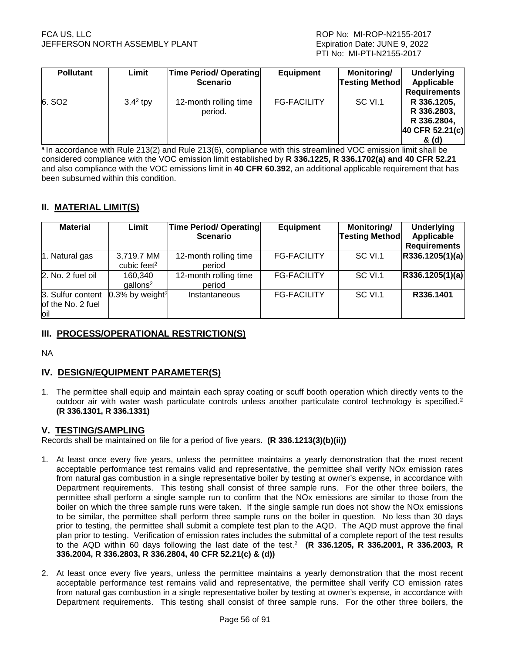| <b>Pollutant</b>   | Limit      | <b>Time Period/ Operating</b><br><b>Scenario</b> | <b>Equipment</b>   | Monitoring/<br><b>Testing Method</b> | <b>Underlying</b><br>Applicable<br><b>Requirements</b>                |
|--------------------|------------|--------------------------------------------------|--------------------|--------------------------------------|-----------------------------------------------------------------------|
| 6. SO <sub>2</sub> | $3.42$ tpy | 12-month rolling time<br>period.                 | <b>FG-FACILITY</b> | SC VI.1                              | R 336.1205,<br>R 336.2803,<br>R 336.2804,<br>40 CFR 52.21(c)<br>& (d) |

a In accordance with Rule 213(2) and Rule 213(6), compliance with this streamlined VOC emission limit shall be considered compliance with the VOC emission limit established by **R 336.1225, R 336.1702(a) and 40 CFR 52.21** and also compliance with the VOC emissions limit in **40 CFR 60.392**, an additional applicable requirement that has been subsumed within this condition.

# **II. MATERIAL LIMIT(S)**

| <b>Material</b>                                | Limit                                 | Time Period/ Operating<br><b>Scenario</b> | <b>Equipment</b>   | Monitoring/<br><b>Testing Method</b> | <b>Underlying</b><br>Applicable<br><b>Requirements</b> |
|------------------------------------------------|---------------------------------------|-------------------------------------------|--------------------|--------------------------------------|--------------------------------------------------------|
| 1. Natural gas                                 | 3,719.7 MM<br>cubic feet <sup>2</sup> | 12-month rolling time<br>period           | <b>FG-FACILITY</b> | SC VI.1                              | R336.1205(1)(a)                                        |
| 2. No. 2 fuel oil                              | 160,340<br>$g$ allons <sup>2</sup>    | 12-month rolling time<br>period           | <b>FG-FACILITY</b> | SC VI.1                              | R336.1205(1)(a)                                        |
| 3. Sulfur content<br>of the No. 2 fuel<br>loil | $0.3\%$ by weight <sup>2</sup>        | Instantaneous                             | <b>FG-FACILITY</b> | SC VI.1                              | R336.1401                                              |

# **III. PROCESS/OPERATIONAL RESTRICTION(S)**

NA

# **IV. DESIGN/EQUIPMENT PARAMETER(S)**

1. The permittee shall equip and maintain each spray coating or scuff booth operation which directly vents to the outdoor air with water wash particulate controls unless another particulate control technology is specified.<sup>2</sup> **(R 336.1301, R 336.1331)** 

# **V. TESTING/SAMPLING**

Records shall be maintained on file for a period of five years. **(R 336.1213(3)(b)(ii))**

- 1. At least once every five years, unless the permittee maintains a yearly demonstration that the most recent acceptable performance test remains valid and representative, the permittee shall verify NOx emission rates from natural gas combustion in a single representative boiler by testing at owner's expense, in accordance with Department requirements. This testing shall consist of three sample runs. For the other three boilers, the permittee shall perform a single sample run to confirm that the NOx emissions are similar to those from the boiler on which the three sample runs were taken. If the single sample run does not show the NOx emissions to be similar, the permittee shall perform three sample runs on the boiler in question. No less than 30 days prior to testing, the permittee shall submit a complete test plan to the AQD. The AQD must approve the final plan prior to testing. Verification of emission rates includes the submittal of a complete report of the test results to the AQD within 60 days following the last date of the test.<sup>2</sup> **(R 336.1205, R 336.2001, R 336.2003, R 336.2004, R 336.2803, R 336.2804, 40 CFR 52.21(c) & (d))**
- 2. At least once every five years, unless the permittee maintains a yearly demonstration that the most recent acceptable performance test remains valid and representative, the permittee shall verify CO emission rates from natural gas combustion in a single representative boiler by testing at owner's expense, in accordance with Department requirements. This testing shall consist of three sample runs. For the other three boilers, the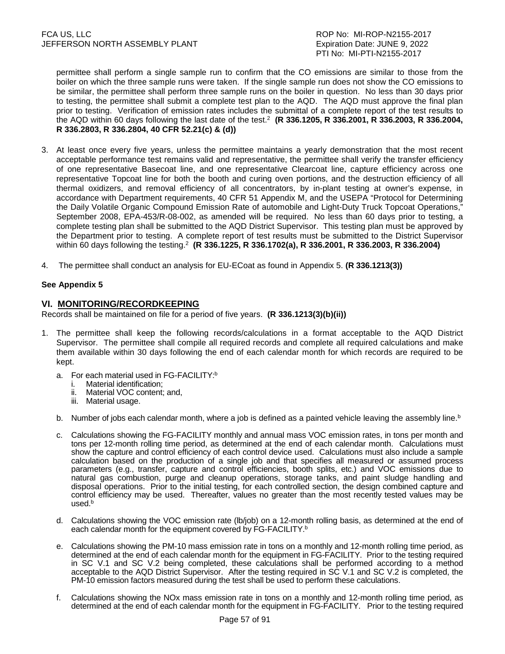permittee shall perform a single sample run to confirm that the CO emissions are similar to those from the boiler on which the three sample runs were taken. If the single sample run does not show the CO emissions to be similar, the permittee shall perform three sample runs on the boiler in question. No less than 30 days prior to testing, the permittee shall submit a complete test plan to the AQD. The AQD must approve the final plan prior to testing. Verification of emission rates includes the submittal of a complete report of the test results to the AQD within 60 days following the last date of the test.<sup>2</sup> **(R 336.1205, R 336.2001, R 336.2003, R 336.2004, R 336.2803, R 336.2804, 40 CFR 52.21(c) & (d))**

- 3. At least once every five years, unless the permittee maintains a yearly demonstration that the most recent acceptable performance test remains valid and representative, the permittee shall verify the transfer efficiency of one representative Basecoat line, and one representative Clearcoat line, capture efficiency across one representative Topcoat line for both the booth and curing oven portions, and the destruction efficiency of all thermal oxidizers, and removal efficiency of all concentrators, by in-plant testing at owner's expense, in accordance with Department requirements, 40 CFR 51 Appendix M, and the USEPA "Protocol for Determining the Daily Volatile Organic Compound Emission Rate of automobile and Light-Duty Truck Topcoat Operations," September 2008, EPA-453/R-08-002, as amended will be required. No less than 60 days prior to testing, a complete testing plan shall be submitted to the AQD District Supervisor. This testing plan must be approved by the Department prior to testing. A complete report of test results must be submitted to the District Supervisor within 60 days following the testing.<sup>2</sup> **(R 336.1225, R 336.1702(a), R 336.2001, R 336.2003, R 336.2004)**
- 4. The permittee shall conduct an analysis for EU-ECoat as found in Appendix 5. **(R 336.1213(3))**

# **See Appendix 5**

### **VI. MONITORING/RECORDKEEPING**

Records shall be maintained on file for a period of five years. **(R 336.1213(3)(b)(ii))**

- 1. The permittee shall keep the following records/calculations in a format acceptable to the AQD District Supervisor. The permittee shall compile all required records and complete all required calculations and make them available within 30 days following the end of each calendar month for which records are required to be kept.
	- a. For each material used in FG-FACILITY:<sup>b</sup>
		- i. Material identification;
		- ii. Material VOC content; and,
		- iii. Material usage.
	- b. Number of jobs each calendar month, where a job is defined as a painted vehicle leaving the assembly line.<sup>b</sup>
	- c. Calculations showing the FG-FACILITY monthly and annual mass VOC emission rates, in tons per month and tons per 12-month rolling time period, as determined at the end of each calendar month. Calculations must show the capture and control efficiency of each control device used. Calculations must also include a sample calculation based on the production of a single job and that specifies all measured or assumed process parameters (e.g., transfer, capture and control efficiencies, booth splits, etc.) and VOC emissions due to natural gas combustion, purge and cleanup operations, storage tanks, and paint sludge handling and disposal operations. Prior to the initial testing, for each controlled section, the design combined capture and control efficiency may be used. Thereafter, values no greater than the most recently tested values may be used.<sup>b</sup>
	- d. Calculations showing the VOC emission rate (lb/job) on a 12-month rolling basis, as determined at the end of each calendar month for the equipment covered by FG-FACILITY.<sup>b</sup>
	- e. Calculations showing the PM-10 mass emission rate in tons on a monthly and 12-month rolling time period, as determined at the end of each calendar month for the equipment in FG-FACILITY. Prior to the testing required in SC V.1 and SC V.2 being completed, these calculations shall be performed according to a method acceptable to the AQD District Supervisor. After the testing required in SC V.1 and SC V.2 is completed, the PM-10 emission factors measured during the test shall be used to perform these calculations.
	- f. Calculations showing the NOx mass emission rate in tons on a monthly and 12-month rolling time period, as determined at the end of each calendar month for the equipment in FG-FACILITY. Prior to the testing required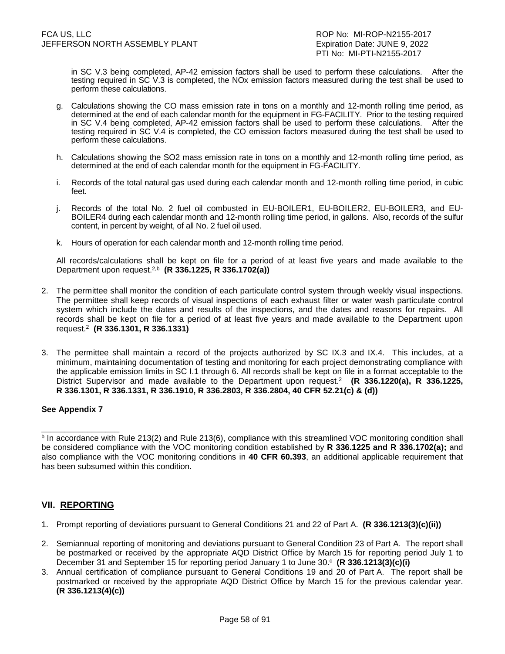PTI No: MI-PTI-N2155-2017

in SC V.3 being completed, AP-42 emission factors shall be used to perform these calculations. After the testing required in SC V.3 is completed, the NOx emission factors measured during the test shall be used to perform these calculations.

- g. Calculations showing the CO mass emission rate in tons on a monthly and 12-month rolling time period, as determined at the end of each calendar month for the equipment in FG-FACILITY. Prior to the testing required in SC V.4 being completed, AP-42 emission factors shall be used to perform these calculations. After the testing required in SC V.4 is completed, the CO emission factors measured during the test shall be used to perform these calculations.
- h. Calculations showing the SO2 mass emission rate in tons on a monthly and 12-month rolling time period, as determined at the end of each calendar month for the equipment in FG-FACILITY.
- i. Records of the total natural gas used during each calendar month and 12-month rolling time period, in cubic feet.
- j. Records of the total No. 2 fuel oil combusted in EU-BOILER1, EU-BOILER2, EU-BOILER3, and EU-BOILER4 during each calendar month and 12-month rolling time period, in gallons. Also, records of the sulfur content, in percent by weight, of all No. 2 fuel oil used.
- k. Hours of operation for each calendar month and 12-month rolling time period.

 All records/calculations shall be kept on file for a period of at least five years and made available to the Department upon request.2,b **(R 336.1225, R 336.1702(a))** 

- 2. The permittee shall monitor the condition of each particulate control system through weekly visual inspections. The permittee shall keep records of visual inspections of each exhaust filter or water wash particulate control system which include the dates and results of the inspections, and the dates and reasons for repairs. All records shall be kept on file for a period of at least five years and made available to the Department upon request.<sup>2</sup> **(R 336.1301, R 336.1331)**
- 3. The permittee shall maintain a record of the projects authorized by SC IX.3 and IX.4. This includes, at a minimum, maintaining documentation of testing and monitoring for each project demonstrating compliance with the applicable emission limits in SC I.1 through 6. All records shall be kept on file in a format acceptable to the District Supervisor and made available to the Department upon request.<sup>2</sup> **(R 336.1220(a), R 336.1225, R 336.1301, R 336.1331, R 336.1910, R 336.2803, R 336.2804, 40 CFR 52.21(c) & (d))**

# **See Appendix 7**

**\_\_\_\_\_\_\_\_\_\_\_\_\_\_\_\_\_** 

# **VII. REPORTING**

- 1. Prompt reporting of deviations pursuant to General Conditions 21 and 22 of Part A. **(R 336.1213(3)(c)(ii))**
- 2. Semiannual reporting of monitoring and deviations pursuant to General Condition 23 of Part A. The report shall be postmarked or received by the appropriate AQD District Office by March 15 for reporting period July 1 to December 31 and September 15 for reporting period January 1 to June 30.<sup>c</sup> (R 336.1213(3)(c)(i)
- 3. Annual certification of compliance pursuant to General Conditions 19 and 20 of Part A. The report shall be postmarked or received by the appropriate AQD District Office by March 15 for the previous calendar year. **(R 336.1213(4)(c))**

**b In accordance with Rule 213(2) and Rule 213(6), compliance with this streamlined VOC monitoring condition shall** be considered compliance with the VOC monitoring condition established by **R 336.1225 and R 336.1702(a);** and also compliance with the VOC monitoring conditions in **40 CFR 60.393**, an additional applicable requirement that has been subsumed within this condition.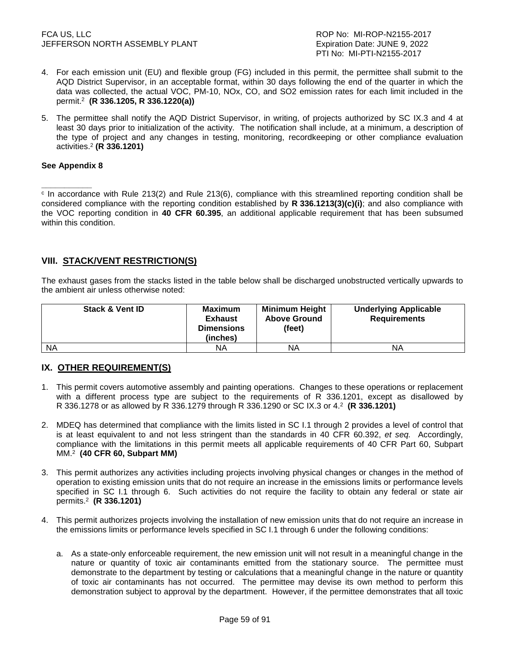#### FCA US, LLC ROP No: MI-ROP-N2155-2017 JEFFERSON NORTH ASSEMBLY PLANT EXAMPLE THE SEXPIRATION Date: JUNE 9, 2022

- 4. For each emission unit (EU) and flexible group (FG) included in this permit, the permittee shall submit to the AQD District Supervisor, in an acceptable format, within 30 days following the end of the quarter in which the data was collected, the actual VOC, PM-10, NOx, CO, and SO2 emission rates for each limit included in the permit.<sup>2</sup> **(R 336.1205, R 336.1220(a))**
- 5. The permittee shall notify the AQD District Supervisor, in writing, of projects authorized by SC IX.3 and 4 at least 30 days prior to initialization of the activity. The notification shall include, at a minimum, a description of the type of project and any changes in testing, monitoring, recordkeeping or other compliance evaluation activities.<sup>2</sup>  **(R 336.1201)**

### **See Appendix 8**

**\_\_\_\_\_\_\_\_\_\_\_** c In accordance with Rule 213(2) and Rule 213(6), compliance with this streamlined reporting condition shall be considered compliance with the reporting condition established by **R 336.1213(3)(c)(i)**; and also compliance with the VOC reporting condition in **40 CFR 60.395**, an additional applicable requirement that has been subsumed within this condition.

# **VIII. STACK/VENT RESTRICTION(S)**

The exhaust gases from the stacks listed in the table below shall be discharged unobstructed vertically upwards to the ambient air unless otherwise noted:

| <b>Stack &amp; Vent ID</b> | <b>Maximum</b><br>Exhaust<br><b>Dimensions</b><br>(inches) | Minimum Height<br><b>Above Ground</b><br>(feet) | <b>Underlying Applicable</b><br><b>Requirements</b> |
|----------------------------|------------------------------------------------------------|-------------------------------------------------|-----------------------------------------------------|
| <b>NA</b>                  | ΝA                                                         | ΝA                                              | ΝA                                                  |

# **IX. OTHER REQUIREMENT(S)**

- 1. This permit covers automotive assembly and painting operations. Changes to these operations or replacement with a different process type are subject to the requirements of R 336.1201, except as disallowed by R 336.1278 or as allowed by R 336.1279 through R 336.1290 or SC IX.3 or 4.<sup>2</sup> **(R 336.1201)**
- 2. MDEQ has determined that compliance with the limits listed in SC I.1 through 2 provides a level of control that is at least equivalent to and not less stringent than the standards in 40 CFR 60.392, et seq. Accordingly, compliance with the limitations in this permit meets all applicable requirements of 40 CFR Part 60, Subpart MM.<sup>2</sup> **(40 CFR 60, Subpart MM)**
- 3. This permit authorizes any activities including projects involving physical changes or changes in the method of operation to existing emission units that do not require an increase in the emissions limits or performance levels specified in SC I.1 through 6. Such activities do not require the facility to obtain any federal or state air permits.<sup>2</sup> **(R 336.1201)**
- 4. This permit authorizes projects involving the installation of new emission units that do not require an increase in the emissions limits or performance levels specified in SC I.1 through 6 under the following conditions:
	- a. As a state-only enforceable requirement, the new emission unit will not result in a meaningful change in the nature or quantity of toxic air contaminants emitted from the stationary source. The permittee must demonstrate to the department by testing or calculations that a meaningful change in the nature or quantity of toxic air contaminants has not occurred. The permittee may devise its own method to perform this demonstration subject to approval by the department. However, if the permittee demonstrates that all toxic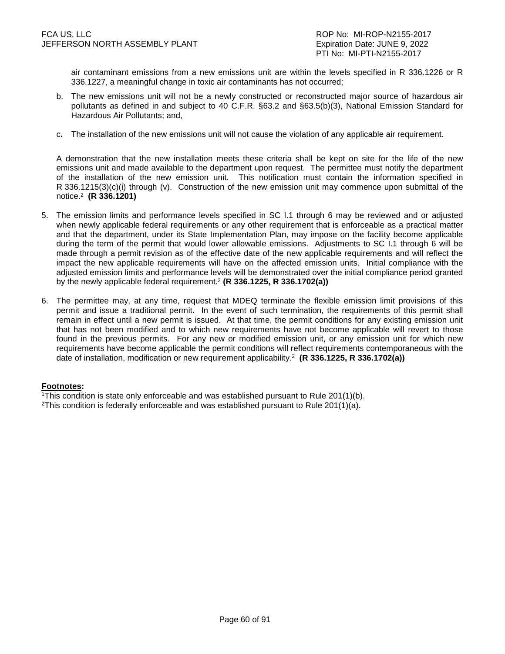air contaminant emissions from a new emissions unit are within the levels specified in R 336.1226 or R 336.1227, a meaningful change in toxic air contaminants has not occurred;

- b. The new emissions unit will not be a newly constructed or reconstructed major source of hazardous air pollutants as defined in and subject to 40 C.F.R. §63.2 and §63.5(b)(3), National Emission Standard for Hazardous Air Pollutants; and,
- c**.** The installation of the new emissions unit will not cause the violation of any applicable air requirement.

 A demonstration that the new installation meets these criteria shall be kept on site for the life of the new emissions unit and made available to the department upon request. The permittee must notify the department of the installation of the new emission unit. This notification must contain the information specified in R 336.1215(3)(c)(i) through (v). Construction of the new emission unit may commence upon submittal of the notice.<sup>2</sup> **(R 336.1201)** 

- 5. The emission limits and performance levels specified in SC I.1 through 6 may be reviewed and or adjusted when newly applicable federal requirements or any other requirement that is enforceable as a practical matter and that the department, under its State Implementation Plan, may impose on the facility become applicable during the term of the permit that would lower allowable emissions. Adjustments to SC I.1 through 6 will be made through a permit revision as of the effective date of the new applicable requirements and will reflect the impact the new applicable requirements will have on the affected emission units. Initial compliance with the adjusted emission limits and performance levels will be demonstrated over the initial compliance period granted by the newly applicable federal requirement.<sup>2</sup> **(R 336.1225, R 336.1702(a))**
- 6. The permittee may, at any time, request that MDEQ terminate the flexible emission limit provisions of this permit and issue a traditional permit. In the event of such termination, the requirements of this permit shall remain in effect until a new permit is issued. At that time, the permit conditions for any existing emission unit that has not been modified and to which new requirements have not become applicable will revert to those found in the previous permits. For any new or modified emission unit, or any emission unit for which new requirements have become applicable the permit conditions will reflect requirements contemporaneous with the date of installation, modification or new requirement applicability.<sup>2</sup> **(R 336.1225, R 336.1702(a))**

#### **Footnotes:**

<sup>1</sup>This condition is state only enforceable and was established pursuant to Rule  $201(1)(b)$ .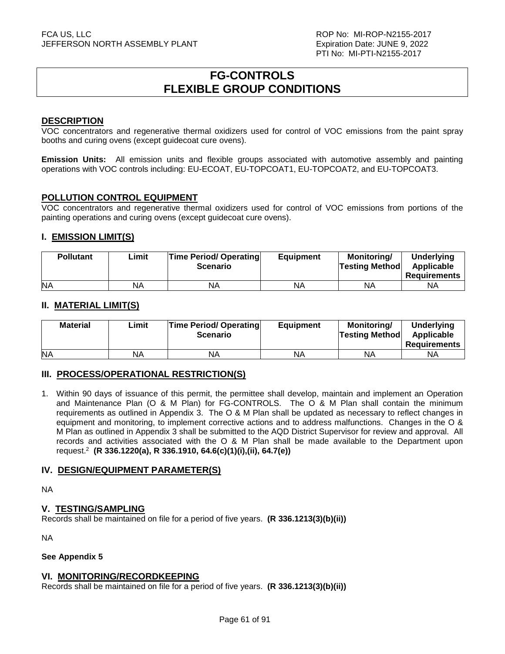# **FG-CONTROLS FLEXIBLE GROUP CONDITIONS**

### **DESCRIPTION**

VOC concentrators and regenerative thermal oxidizers used for control of VOC emissions from the paint spray booths and curing ovens (except guidecoat cure ovens).

**Emission Units:** All emission units and flexible groups associated with automotive assembly and painting operations with VOC controls including: EU-ECOAT, EU-TOPCOAT1, EU-TOPCOAT2, and EU-TOPCOAT3.

### **POLLUTION CONTROL EQUIPMENT**

VOC concentrators and regenerative thermal oxidizers used for control of VOC emissions from portions of the painting operations and curing ovens (except guidecoat cure ovens).

# **I. EMISSION LIMIT(S)**

| <b>Pollutant</b> | Limit | <b>Time Period/ Operating</b><br><b>Scenario</b> | <b>Equipment</b> | <b>Monitoring/</b><br><b>Testing Method</b> | Underlying<br>Applicable<br>Requirements |
|------------------|-------|--------------------------------------------------|------------------|---------------------------------------------|------------------------------------------|
| <b>NA</b>        | NA    | ΝA                                               | NA               | <b>NA</b>                                   | ΝA                                       |

### **II. MATERIAL LIMIT(S)**

| <b>Material</b> | Limit | <b>Time Period/ Operating</b><br><b>Scenario</b> | Equipment | Monitorina/<br><b>Testing Method</b> | <b>Underlying</b><br>Applicable<br><b>Requirements</b> |
|-----------------|-------|--------------------------------------------------|-----------|--------------------------------------|--------------------------------------------------------|
| <b>NA</b>       | NA    | <b>NA</b>                                        | NA        | ΝA                                   | ΝA                                                     |

# **III. PROCESS/OPERATIONAL RESTRICTION(S)**

1. Within 90 days of issuance of this permit, the permittee shall develop, maintain and implement an Operation and Maintenance Plan (O & M Plan) for FG-CONTROLS. The O & M Plan shall contain the minimum requirements as outlined in Appendix 3. The O & M Plan shall be updated as necessary to reflect changes in equipment and monitoring, to implement corrective actions and to address malfunctions. Changes in the O & M Plan as outlined in Appendix 3 shall be submitted to the AQD District Supervisor for review and approval. All records and activities associated with the O & M Plan shall be made available to the Department upon request.<sup>2</sup> **(R 336.1220(a), R 336.1910, 64.6(c)(1)(i),(ii), 64.7(e))**

# **IV. DESIGN/EQUIPMENT PARAMETER(S)**

NA

#### **V. TESTING/SAMPLING**

Records shall be maintained on file for a period of five years. **(R 336.1213(3)(b)(ii))**

NA

#### **See Appendix 5**

#### **VI. MONITORING/RECORDKEEPING**

Records shall be maintained on file for a period of five years. **(R 336.1213(3)(b)(ii))**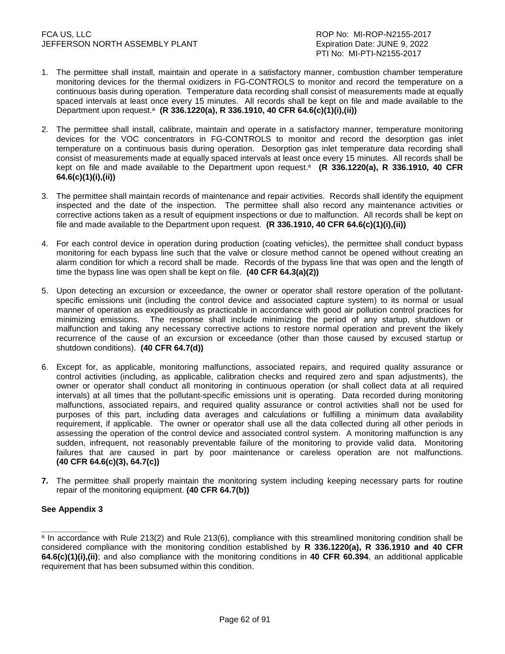- 1. The permittee shall install, maintain and operate in a satisfactory manner, combustion chamber temperature monitoring devices for the thermal oxidizers in FG-CONTROLS to monitor and record the temperature on a continuous basis during operation. Temperature data recording shall consist of measurements made at equally spaced intervals at least once every 15 minutes. All records shall be kept on file and made available to the Department upon request.<sup>a</sup> (R 336.1220(a), R 336.1910, 40 CFR 64.6(c)(1)(i),(ii))
- 2. The permittee shall install, calibrate, maintain and operate in a satisfactory manner, temperature monitoring devices for the VOC concentrators in FG-CONTROLS to monitor and record the desorption gas inlet temperature on a continuous basis during operation. Desorption gas inlet temperature data recording shall consist of measurements made at equally spaced intervals at least once every 15 minutes. All records shall be kept on file and made available to the Department upon request.<sup>a</sup> (R 336.1220(a), R 336.1910, 40 CFR **64.6(c)(1)(i),(ii))**
- 3. The permittee shall maintain records of maintenance and repair activities. Records shall identify the equipment inspected and the date of the inspection. The permittee shall also record any maintenance activities or corrective actions taken as a result of equipment inspections or due to malfunction. All records shall be kept on file and made available to the Department upon request. **(R 336.1910, 40 CFR 64.6(c)(1)(i),(ii))**
- 4. For each control device in operation during production (coating vehicles), the permittee shall conduct bypass monitoring for each bypass line such that the valve or closure method cannot be opened without creating an alarm condition for which a record shall be made. Records of the bypass line that was open and the length of time the bypass line was open shall be kept on file. **(40 CFR 64.3(a)(2))**
- 5. Upon detecting an excursion or exceedance, the owner or operator shall restore operation of the pollutantspecific emissions unit (including the control device and associated capture system) to its normal or usual manner of operation as expeditiously as practicable in accordance with good air pollution control practices for minimizing emissions. The response shall include minimizing the period of any startup, shutdown or malfunction and taking any necessary corrective actions to restore normal operation and prevent the likely recurrence of the cause of an excursion or exceedance (other than those caused by excused startup or shutdown conditions). **(40 CFR 64.7(d))**
- 6. Except for, as applicable, monitoring malfunctions, associated repairs, and required quality assurance or control activities (including, as applicable, calibration checks and required zero and span adjustments), the owner or operator shall conduct all monitoring in continuous operation (or shall collect data at all required intervals) at all times that the pollutant-specific emissions unit is operating. Data recorded during monitoring malfunctions, associated repairs, and required quality assurance or control activities shall not be used for purposes of this part, including data averages and calculations or fulfilling a minimum data availability requirement, if applicable. The owner or operator shall use all the data collected during all other periods in assessing the operation of the control device and associated control system. A monitoring malfunction is any sudden, infrequent, not reasonably preventable failure of the monitoring to provide valid data. Monitoring failures that are caused in part by poor maintenance or careless operation are not malfunctions. **(40 CFR 64.6(c)(3), 64.7(c))**
- **7.** The permittee shall properly maintain the monitoring system including keeping necessary parts for routine repair of the monitoring equipment. **(40 CFR 64.7(b))**

# **See Appendix 3**

**\_\_\_\_\_\_\_\_\_\_** 

<sup>&</sup>lt;sup>a</sup> In accordance with Rule 213(2) and Rule 213(6), compliance with this streamlined monitoring condition shall be considered compliance with the monitoring condition established by **R 336.1220(a), R 336.1910 and 40 CFR 64.6(c)(1)(i),(ii)**; and also compliance with the monitoring conditions in **40 CFR 60.394**, an additional applicable requirement that has been subsumed within this condition.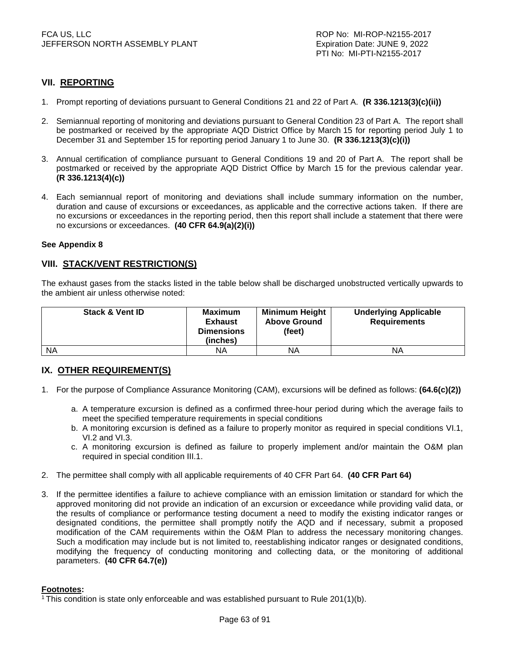# **VII. REPORTING**

- 1. Prompt reporting of deviations pursuant to General Conditions 21 and 22 of Part A. **(R 336.1213(3)(c)(ii))**
- 2. Semiannual reporting of monitoring and deviations pursuant to General Condition 23 of Part A. The report shall be postmarked or received by the appropriate AQD District Office by March 15 for reporting period July 1 to December 31 and September 15 for reporting period January 1 to June 30. **(R 336.1213(3)(c)(i))**
- 3. Annual certification of compliance pursuant to General Conditions 19 and 20 of Part A. The report shall be postmarked or received by the appropriate AQD District Office by March 15 for the previous calendar year. **(R 336.1213(4)(c))**
- 4. Each semiannual report of monitoring and deviations shall include summary information on the number, duration and cause of excursions or exceedances, as applicable and the corrective actions taken. If there are no excursions or exceedances in the reporting period, then this report shall include a statement that there were no excursions or exceedances. **(40 CFR 64.9(a)(2)(i))**

#### **See Appendix 8**

### **VIII. STACK/VENT RESTRICTION(S)**

The exhaust gases from the stacks listed in the table below shall be discharged unobstructed vertically upwards to the ambient air unless otherwise noted:

| <b>Stack &amp; Vent ID</b> | <b>Maximum</b><br><b>Exhaust</b><br><b>Dimensions</b><br>(inches) | <b>Minimum Height</b><br><b>Above Ground</b><br>(feet) | <b>Underlying Applicable</b><br><b>Requirements</b> |
|----------------------------|-------------------------------------------------------------------|--------------------------------------------------------|-----------------------------------------------------|
| <b>NA</b>                  | ΝA                                                                | ΝA                                                     | ΝA                                                  |

# **IX. OTHER REQUIREMENT(S)**

- 1. For the purpose of Compliance Assurance Monitoring (CAM), excursions will be defined as follows: **(64.6(c)(2))** 
	- a. A temperature excursion is defined as a confirmed three-hour period during which the average fails to meet the specified temperature requirements in special conditions
	- b. A monitoring excursion is defined as a failure to properly monitor as required in special conditions VI.1, VI.2 and VI.3.
	- c. A monitoring excursion is defined as failure to properly implement and/or maintain the O&M plan required in special condition III.1.
- 2. The permittee shall comply with all applicable requirements of 40 CFR Part 64. **(40 CFR Part 64)**
- 3. If the permittee identifies a failure to achieve compliance with an emission limitation or standard for which the approved monitoring did not provide an indication of an excursion or exceedance while providing valid data, or the results of compliance or performance testing document a need to modify the existing indicator ranges or designated conditions, the permittee shall promptly notify the AQD and if necessary, submit a proposed modification of the CAM requirements within the O&M Plan to address the necessary monitoring changes. Such a modification may include but is not limited to, reestablishing indicator ranges or designated conditions, modifying the frequency of conducting monitoring and collecting data, or the monitoring of additional parameters. **(40 CFR 64.7(e))**

#### **Footnotes:**

1 This condition is state only enforceable and was established pursuant to Rule 201(1)(b).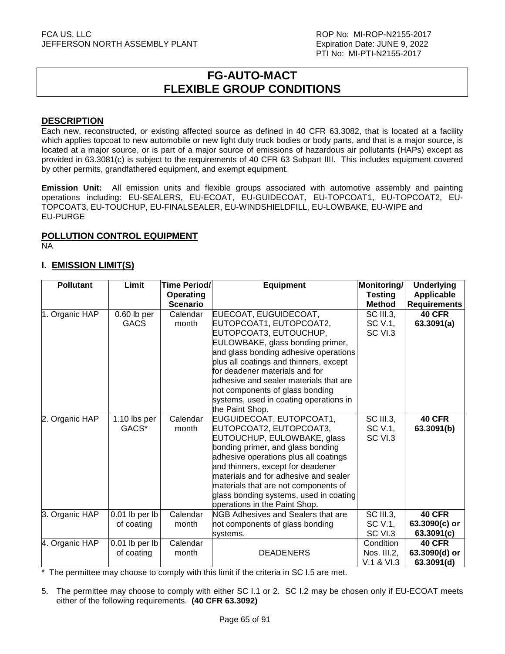# **FG-AUTO-MACT FLEXIBLE GROUP CONDITIONS**

### **DESCRIPTION**

Each new, reconstructed, or existing affected source as defined in 40 CFR 63.3082, that is located at a facility which applies topcoat to new automobile or new light duty truck bodies or body parts, and that is a major source, is located at a major source, or is part of a major source of emissions of hazardous air pollutants (HAPs) except as provided in 63.3081(c) is subject to the requirements of 40 CFR 63 Subpart IIII. This includes equipment covered by other permits, grandfathered equipment, and exempt equipment.

**Emission Unit:** All emission units and flexible groups associated with automotive assembly and painting operations including: EU-SEALERS, EU-ECOAT, EU-GUIDECOAT, EU-TOPCOAT1, EU-TOPCOAT2, EU-TOPCOAT3, EU-TOUCHUP, EU-FINALSEALER, EU-WINDSHIELDFILL, EU-LOWBAKE, EU-WIPE and EU-PURGE

# **POLLUTION CONTROL EQUIPMENT**

NA

# **I. EMISSION LIMIT(S)**

| <b>Testing</b><br><b>Operating</b>                                                                                               | <b>Applicable</b>           |
|----------------------------------------------------------------------------------------------------------------------------------|-----------------------------|
|                                                                                                                                  |                             |
| <b>Scenario</b><br><b>Method</b>                                                                                                 | <b>Requirements</b>         |
| 1. Organic HAP<br>EUECOAT, EUGUIDECOAT,<br><b>SC III.3.</b><br>$0.60$ lb per<br>Calendar                                         | <b>40 CFR</b>               |
| EUTOPCOAT1, EUTOPCOAT2,<br><b>GACS</b><br>month<br>SC V.1,                                                                       | 63.3091(a)                  |
| EUTOPCOAT3, EUTOUCHUP,<br>SC VI.3                                                                                                |                             |
| EULOWBAKE, glass bonding primer,                                                                                                 |                             |
| and glass bonding adhesive operations                                                                                            |                             |
| plus all coatings and thinners, except                                                                                           |                             |
| for deadener materials and for                                                                                                   |                             |
| adhesive and sealer materials that are                                                                                           |                             |
| not components of glass bonding                                                                                                  |                             |
| systems, used in coating operations in                                                                                           |                             |
| the Paint Shop.                                                                                                                  |                             |
| <b>SC III.3,</b><br>Calendar<br>EUGUIDECOAT, EUTOPCOAT1,<br>2. Organic HAP<br>1.10 $\mathsf{lbs}$ per                            | <b>40 CFR</b>               |
| GACS*<br>EUTOPCOAT2, EUTOPCOAT3,<br>SC V.1,<br>month                                                                             | 63.3091(b)                  |
| EUTOUCHUP, EULOWBAKE, glass<br>SC VI.3                                                                                           |                             |
| bonding primer, and glass bonding                                                                                                |                             |
| adhesive operations plus all coatings                                                                                            |                             |
| and thinners, except for deadener                                                                                                |                             |
| materials and for adhesive and sealer                                                                                            |                             |
| materials that are not components of                                                                                             |                             |
| glass bonding systems, used in coating                                                                                           |                             |
| operations in the Paint Shop.<br>SC III.3,<br>3. Organic HAP<br>0.01 lb per lb<br>Calendar<br>NGB Adhesives and Sealers that are | <b>40 CFR</b>               |
| of coating<br>SC V.1,<br>month                                                                                                   |                             |
| not components of glass bonding<br>SC VI.3                                                                                       | 63.3090(c) or<br>63.3091(c) |
| systems.<br>Condition<br>4. Organic HAP<br>0.01 lb per lb<br>Calendar                                                            | <b>40 CFR</b>               |
| <b>DEADENERS</b><br>Nos. III.2,<br>of coating<br>month                                                                           | 63.3090(d) or               |
| V.1 & VI.3                                                                                                                       | 63.3091(d)                  |

 $*$  The permittee may choose to comply with this limit if the criteria in SC I.5 are met.

5. The permittee may choose to comply with either SC I.1 or 2. SC I.2 may be chosen only if EU-ECOAT meets either of the following requirements. **(40 CFR 63.3092)**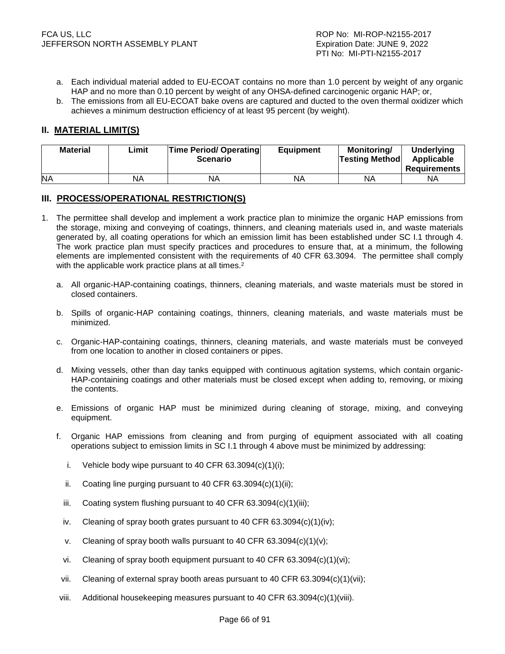- a. Each individual material added to EU-ECOAT contains no more than 1.0 percent by weight of any organic HAP and no more than 0.10 percent by weight of any OHSA-defined carcinogenic organic HAP; or,
- b. The emissions from all EU-ECOAT bake ovens are captured and ducted to the oven thermal oxidizer which achieves a minimum destruction efficiency of at least 95 percent (by weight).

# **II. MATERIAL LIMIT(S)**

| <b>Material</b> | ∟imit | <b>Time Period/ Operating</b><br><b>Scenario</b> | <b>Equipment</b> | <b>Monitoring/</b><br><b>Testing Method</b> | <b>Underlying</b><br>Applicable<br><b>Requirements</b> |
|-----------------|-------|--------------------------------------------------|------------------|---------------------------------------------|--------------------------------------------------------|
| <b>NA</b>       | NA    | ΝA                                               | NA               | ΝA                                          | NА                                                     |

# **III. PROCESS/OPERATIONAL RESTRICTION(S)**

- 1. The permittee shall develop and implement a work practice plan to minimize the organic HAP emissions from the storage, mixing and conveying of coatings, thinners, and cleaning materials used in, and waste materials generated by, all coating operations for which an emission limit has been established under SC I.1 through 4. The work practice plan must specify practices and procedures to ensure that, at a minimum, the following elements are implemented consistent with the requirements of 40 CFR 63.3094. The permittee shall comply with the applicable work practice plans at all times.<sup>2</sup>
	- a. All organic-HAP-containing coatings, thinners, cleaning materials, and waste materials must be stored in closed containers.
	- b. Spills of organic-HAP containing coatings, thinners, cleaning materials, and waste materials must be minimized.
	- c. Organic-HAP-containing coatings, thinners, cleaning materials, and waste materials must be conveyed from one location to another in closed containers or pipes.
	- d. Mixing vessels, other than day tanks equipped with continuous agitation systems, which contain organic-HAP-containing coatings and other materials must be closed except when adding to, removing, or mixing the contents.
	- e. Emissions of organic HAP must be minimized during cleaning of storage, mixing, and conveying equipment.
	- f. Organic HAP emissions from cleaning and from purging of equipment associated with all coating operations subject to emission limits in SC I.1 through 4 above must be minimized by addressing:
		- i. Vehicle body wipe pursuant to 40 CFR  $63.3094(c)(1)(i)$ ;
		- ii. Coating line purging pursuant to 40 CFR 63.3094(c)(1)(ii);
		- iii. Coating system flushing pursuant to 40 CFR 63.3094(c)(1)(iii);
		- iv. Cleaning of spray booth grates pursuant to 40 CFR 63.3094(c)(1)(iv);
		- v. Cleaning of spray booth walls pursuant to 40 CFR 63.3094(c)(1)(v);
		- vi. Cleaning of spray booth equipment pursuant to 40 CFR  $63.3094(c)(1)(vi)$ ;
	- vii. Cleaning of external spray booth areas pursuant to 40 CFR  $63.3094(c)(1)(vi)$ ;
	- viii. Additional housekeeping measures pursuant to 40 CFR 63.3094(c)(1)(viii).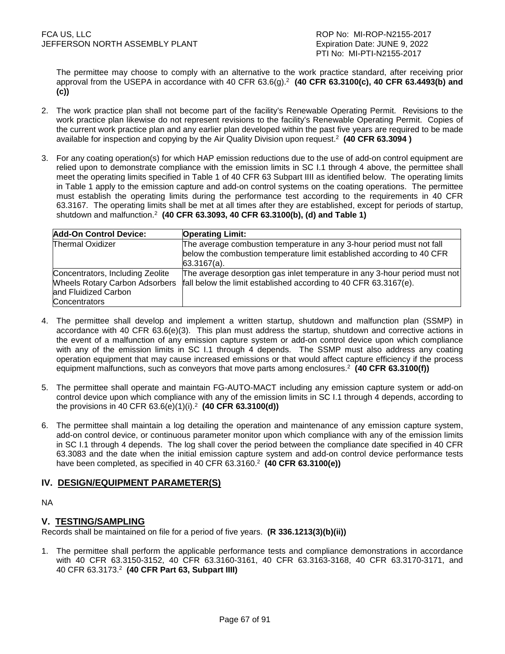The permittee may choose to comply with an alternative to the work practice standard, after receiving prior approval from the USEPA in accordance with 40 CFR 63.6(g).<sup>2</sup> (40 CFR 63.3100(c), 40 CFR 63.4493(b) and **(c))** 

- 2. The work practice plan shall not become part of the facility's Renewable Operating Permit. Revisions to the work practice plan likewise do not represent revisions to the facility's Renewable Operating Permit. Copies of the current work practice plan and any earlier plan developed within the past five years are required to be made available for inspection and copying by the Air Quality Division upon request.<sup>2</sup> **(40 CFR 63.3094 )**
- 3. For any coating operation(s) for which HAP emission reductions due to the use of add-on control equipment are relied upon to demonstrate compliance with the emission limits in SC I.1 through 4 above, the permittee shall meet the operating limits specified in Table 1 of 40 CFR 63 Subpart IIII as identified below. The operating limits in Table 1 apply to the emission capture and add-on control systems on the coating operations. The permittee must establish the operating limits during the performance test according to the requirements in 40 CFR 63.3167. The operating limits shall be met at all times after they are established, except for periods of startup, shutdown and malfunction.<sup>2</sup> **(40 CFR 63.3093, 40 CFR 63.3100(b), (d) and Table 1)**

| <b>Add-On Control Device:</b>         | <b>Operating Limit:</b>                                                                                                                         |
|---------------------------------------|-------------------------------------------------------------------------------------------------------------------------------------------------|
| <b>Thermal Oxidizer</b>               | The average combustion temperature in any 3-hour period must not fall<br>below the combustion temperature limit established according to 40 CFR |
|                                       | $63.3167(a)$ .                                                                                                                                  |
| Concentrators, Including Zeolite      | The average desorption gas inlet temperature in any 3-hour period must not                                                                      |
| <b>Wheels Rotary Carbon Adsorbers</b> | fall below the limit established according to 40 CFR 63.3167(e).                                                                                |
| and Fluidized Carbon                  |                                                                                                                                                 |
| Concentrators                         |                                                                                                                                                 |

- 4. The permittee shall develop and implement a written startup, shutdown and malfunction plan (SSMP) in accordance with 40 CFR 63.6(e)(3). This plan must address the startup, shutdown and corrective actions in the event of a malfunction of any emission capture system or add-on control device upon which compliance with any of the emission limits in SC I.1 through 4 depends. The SSMP must also address any coating operation equipment that may cause increased emissions or that would affect capture efficiency if the process equipment malfunctions, such as conveyors that move parts among enclosures.<sup>2</sup> (40 CFR 63.3100(f))
- 5. The permittee shall operate and maintain FG-AUTO-MACT including any emission capture system or add-on control device upon which compliance with any of the emission limits in SC I.1 through 4 depends, according to the provisions in 40 CFR 63.6(e)(1)(i).<sup>2</sup> **(40 CFR 63.3100(d))**
- 6. The permittee shall maintain a log detailing the operation and maintenance of any emission capture system, add-on control device, or continuous parameter monitor upon which compliance with any of the emission limits in SC I.1 through 4 depends. The log shall cover the period between the compliance date specified in 40 CFR 63.3083 and the date when the initial emission capture system and add-on control device performance tests have been completed, as specified in 40 CFR 63.3160. 2 **(40 CFR 63.3100(e))**

# **IV. DESIGN/EQUIPMENT PARAMETER(S)**

NA

# **V. TESTING/SAMPLING**

Records shall be maintained on file for a period of five years. **(R 336.1213(3)(b)(ii))**

1. The permittee shall perform the applicable performance tests and compliance demonstrations in accordance with 40 CFR 63.3150-3152, 40 CFR 63.3160-3161, 40 CFR 63.3163-3168, 40 CFR 63.3170-3171, and 40 CFR 63.3173.<sup>2</sup> **(40 CFR Part 63, Subpart IIII)**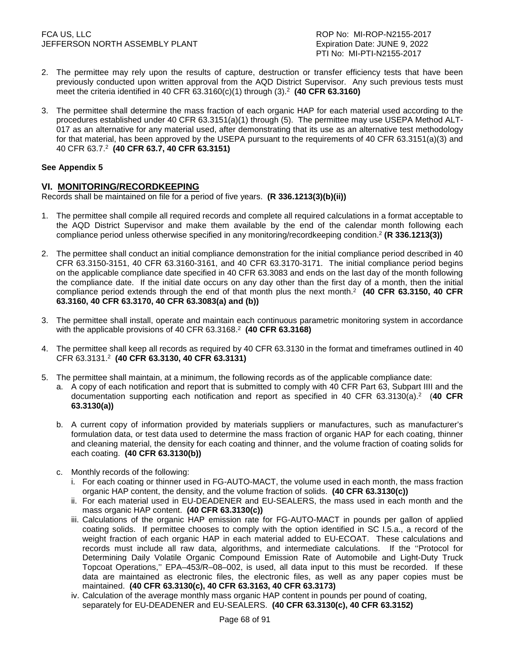- 2. The permittee may rely upon the results of capture, destruction or transfer efficiency tests that have been previously conducted upon written approval from the AQD District Supervisor. Any such previous tests must meet the criteria identified in 40 CFR 63.3160(c)(1) through (3).<sup>2</sup> **(40 CFR 63.3160)**
- 3. The permittee shall determine the mass fraction of each organic HAP for each material used according to the procedures established under 40 CFR 63.3151(a)(1) through (5). The permittee may use USEPA Method ALT-017 as an alternative for any material used, after demonstrating that its use as an alternative test methodology for that material, has been approved by the USEPA pursuant to the requirements of 40 CFR 63.3151(a)(3) and 40 CFR 63.7.<sup>2</sup> **(40 CFR 63.7, 40 CFR 63.3151)**

# **See Appendix 5**

# **VI. MONITORING/RECORDKEEPING**

Records shall be maintained on file for a period of five years. **(R 336.1213(3)(b)(ii))**

- 1. The permittee shall compile all required records and complete all required calculations in a format acceptable to the AQD District Supervisor and make them available by the end of the calendar month following each compliance period unless otherwise specified in any monitoring/recordkeeping condition.<sup>2</sup> **(R 336.1213(3))**
- 2. The permittee shall conduct an initial compliance demonstration for the initial compliance period described in 40 CFR 63.3150-3151, 40 CFR 63.3160-3161, and 40 CFR 63.3170-3171. The initial compliance period begins on the applicable compliance date specified in 40 CFR 63.3083 and ends on the last day of the month following the compliance date. If the initial date occurs on any day other than the first day of a month, then the initial compliance period extends through the end of that month plus the next month.<sup>2</sup> **(40 CFR 63.3150, 40 CFR 63.3160, 40 CFR 63.3170, 40 CFR 63.3083(a) and (b))**
- 3. The permittee shall install, operate and maintain each continuous parametric monitoring system in accordance with the applicable provisions of 40 CFR 63.3168.<sup>2</sup> (40 CFR 63.3168)
- 4. The permittee shall keep all records as required by 40 CFR 63.3130 in the format and timeframes outlined in 40 CFR 63.3131.<sup>2</sup> **(40 CFR 63.3130, 40 CFR 63.3131)**
- 5. The permittee shall maintain, at a minimum, the following records as of the applicable compliance date:
	- a. A copy of each notification and report that is submitted to comply with 40 CFR Part 63, Subpart IIII and the documentation supporting each notification and report as specified in 40 CFR 63.3130(a).<sup>2</sup> (40 CFR **63.3130(a))**
	- b. A current copy of information provided by materials suppliers or manufactures, such as manufacturer's formulation data, or test data used to determine the mass fraction of organic HAP for each coating, thinner and cleaning material, the density for each coating and thinner, and the volume fraction of coating solids for each coating. **(40 CFR 63.3130(b))**
	- c. Monthly records of the following:
		- i. For each coating or thinner used in FG-AUTO-MACT, the volume used in each month, the mass fraction organic HAP content, the density, and the volume fraction of solids. **(40 CFR 63.3130(c))**
		- ii. For each material used in EU-DEADENER and EU-SEALERS, the mass used in each month and the mass organic HAP content. **(40 CFR 63.3130(c))**
		- iii. Calculations of the organic HAP emission rate for FG-AUTO-MACT in pounds per gallon of applied coating solids. If permittee chooses to comply with the option identified in SC I.5.a., a record of the weight fraction of each organic HAP in each material added to EU-ECOAT. These calculations and records must include all raw data, algorithms, and intermediate calculations. If the ''Protocol for Determining Daily Volatile Organic Compound Emission Rate of Automobile and Light-Duty Truck Topcoat Operations,'' EPA–453/R–08–002, is used, all data input to this must be recorded. If these data are maintained as electronic files, the electronic files, as well as any paper copies must be maintained. **(40 CFR 63.3130(c), 40 CFR 63.3163, 40 CFR 63.3173)**
		- iv. Calculation of the average monthly mass organic HAP content in pounds per pound of coating, separately for EU-DEADENER and EU-SEALERS. **(40 CFR 63.3130(c), 40 CFR 63.3152)**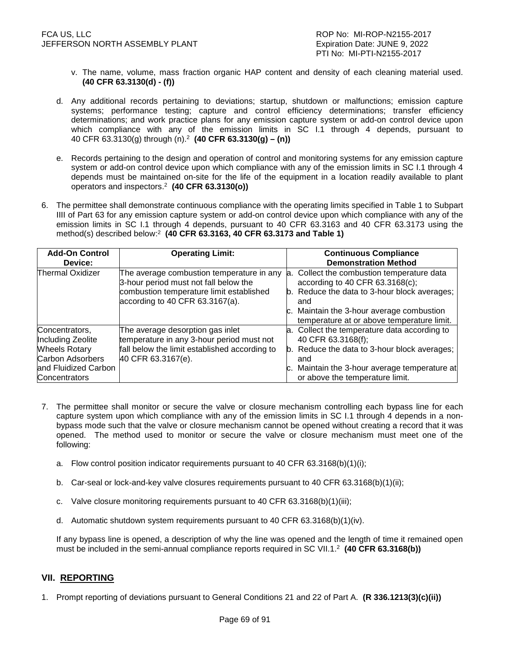- v. The name, volume, mass fraction organic HAP content and density of each cleaning material used. **(40 CFR 63.3130(d) - (f))**
- d. Any additional records pertaining to deviations; startup, shutdown or malfunctions; emission capture systems; performance testing; capture and control efficiency determinations; transfer efficiency determinations; and work practice plans for any emission capture system or add-on control device upon which compliance with any of the emission limits in SC I.1 through 4 depends, pursuant to 40 CFR 63.3130(g) through (n).<sup>2</sup> **(40 CFR 63.3130(g) – (n))**
- e. Records pertaining to the design and operation of control and monitoring systems for any emission capture system or add-on control device upon which compliance with any of the emission limits in SC I.1 through 4 depends must be maintained on-site for the life of the equipment in a location readily available to plant operators and inspectors.<sup>2</sup> **(40 CFR 63.3130(o))**
- 6. The permittee shall demonstrate continuous compliance with the operating limits specified in Table 1 to Subpart IIII of Part 63 for any emission capture system or add-on control device upon which compliance with any of the emission limits in SC I.1 through 4 depends, pursuant to 40 CFR 63.3163 and 40 CFR 63.3173 using the method(s) described below:<sup>2</sup> **(40 CFR 63.3163, 40 CFR 63.3173 and Table 1)**

| <b>Add-On Control</b><br>Device:                                                                                                | <b>Operating Limit:</b>                                                                                                                                              | <b>Continuous Compliance</b><br><b>Demonstration Method</b>                                                                                                                                                                     |
|---------------------------------------------------------------------------------------------------------------------------------|----------------------------------------------------------------------------------------------------------------------------------------------------------------------|---------------------------------------------------------------------------------------------------------------------------------------------------------------------------------------------------------------------------------|
| <b>Thermal Oxidizer</b>                                                                                                         | The average combustion temperature in any<br>3-hour period must not fall below the<br>combustion temperature limit established<br>according to 40 CFR $63.3167(a)$ . | a. Collect the combustion temperature data<br>according to 40 CFR 63.3168(c);<br>b. Reduce the data to 3-hour block averages;<br>and<br>c. Maintain the 3-hour average combustion<br>temperature at or above temperature limit. |
| Concentrators,<br>Including Zeolite<br><b>Wheels Rotary</b><br><b>Carbon Adsorbers</b><br>and Fluidized Carbon<br>Concentrators | The average desorption gas inlet<br>temperature in any 3-hour period must not<br>fall below the limit established according to<br>40 CFR 63.3167(e).                 | a. Collect the temperature data according to<br>40 CFR 63.3168(f);<br>b. Reduce the data to 3-hour block averages;<br>and<br>c. Maintain the 3-hour average temperature at<br>or above the temperature limit.                   |

- 7. The permittee shall monitor or secure the valve or closure mechanism controlling each bypass line for each capture system upon which compliance with any of the emission limits in SC I.1 through 4 depends in a nonbypass mode such that the valve or closure mechanism cannot be opened without creating a record that it was opened. The method used to monitor or secure the valve or closure mechanism must meet one of the following:
	- a. Flow control position indicator requirements pursuant to 40 CFR 63.3168(b)(1)(i);
	- b. Car-seal or lock-and-key valve closures requirements pursuant to 40 CFR 63.3168(b)(1)(ii);
	- c. Valve closure monitoring requirements pursuant to 40 CFR 63.3168(b)(1)(iii);
	- d. Automatic shutdown system requirements pursuant to 40 CFR 63.3168(b)(1)(iv).

 If any bypass line is opened, a description of why the line was opened and the length of time it remained open must be included in the semi-annual compliance reports required in SC VII.1.<sup>2</sup> **(40 CFR 63.3168(b))** 

# **VII. REPORTING**

1. Prompt reporting of deviations pursuant to General Conditions 21 and 22 of Part A. **(R 336.1213(3)(c)(ii))**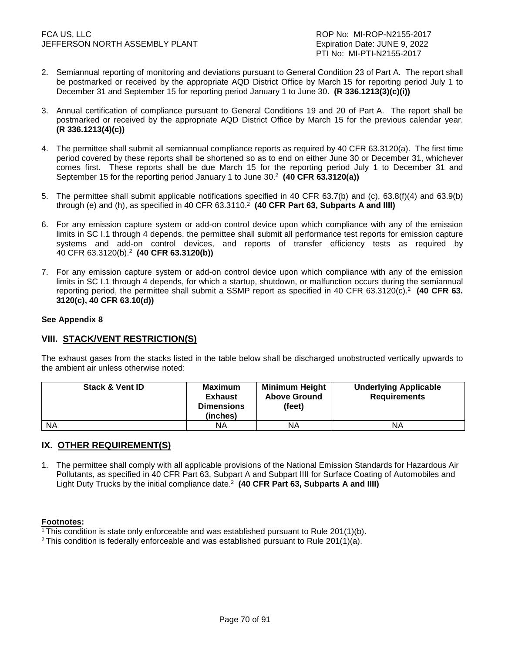- 2. Semiannual reporting of monitoring and deviations pursuant to General Condition 23 of Part A. The report shall be postmarked or received by the appropriate AQD District Office by March 15 for reporting period July 1 to December 31 and September 15 for reporting period January 1 to June 30. **(R 336.1213(3)(c)(i))**
- 3. Annual certification of compliance pursuant to General Conditions 19 and 20 of Part A. The report shall be postmarked or received by the appropriate AQD District Office by March 15 for the previous calendar year. **(R 336.1213(4)(c))**
- 4. The permittee shall submit all semiannual compliance reports as required by 40 CFR 63.3120(a). The first time period covered by these reports shall be shortened so as to end on either June 30 or December 31, whichever comes first. These reports shall be due March 15 for the reporting period July 1 to December 31 and September 15 for the reporting period January 1 to June 30.<sup>2</sup> **(40 CFR 63.3120(a))**
- 5. The permittee shall submit applicable notifications specified in 40 CFR 63.7(b) and (c), 63.8(f)(4) and 63.9(b) through (e) and (h), as specified in 40 CFR 63.3110. 2 **(40 CFR Part 63, Subparts A and IIII)**
- 6. For any emission capture system or add-on control device upon which compliance with any of the emission limits in SC I.1 through 4 depends, the permittee shall submit all performance test reports for emission capture systems and add-on control devices, and reports of transfer efficiency tests as required by 40 CFR 63.3120(b).<sup>2</sup> **(40 CFR 63.3120(b))**
- 7. For any emission capture system or add-on control device upon which compliance with any of the emission limits in SC I.1 through 4 depends, for which a startup, shutdown, or malfunction occurs during the semiannual reporting period, the permittee shall submit a SSMP report as specified in 40 CFR 63.3120(c).<sup>2</sup> (40 CFR 63. **3120(c), 40 CFR 63.10(d))**

### **See Appendix 8**

# **VIII. STACK/VENT RESTRICTION(S)**

The exhaust gases from the stacks listed in the table below shall be discharged unobstructed vertically upwards to the ambient air unless otherwise noted:

| <b>Stack &amp; Vent ID</b> | <b>Maximum</b><br><b>Exhaust</b><br><b>Dimensions</b><br>(inches) | <b>Minimum Height</b><br><b>Above Ground</b><br>(feet) | <b>Underlying Applicable</b><br><b>Requirements</b> |
|----------------------------|-------------------------------------------------------------------|--------------------------------------------------------|-----------------------------------------------------|
| <b>NA</b>                  | ΝA                                                                | ΝA                                                     | ΝA                                                  |

# **IX. OTHER REQUIREMENT(S)**

1. The permittee shall comply with all applicable provisions of the National Emission Standards for Hazardous Air Pollutants, as specified in 40 CFR Part 63, Subpart A and Subpart IIII for Surface Coating of Automobiles and Light Duty Trucks by the initial compliance date.<sup>2</sup> (40 CFR Part 63, Subparts A and IIII)

#### **Footnotes:**

<sup>1</sup>This condition is state only enforceable and was established pursuant to Rule 201(1)(b).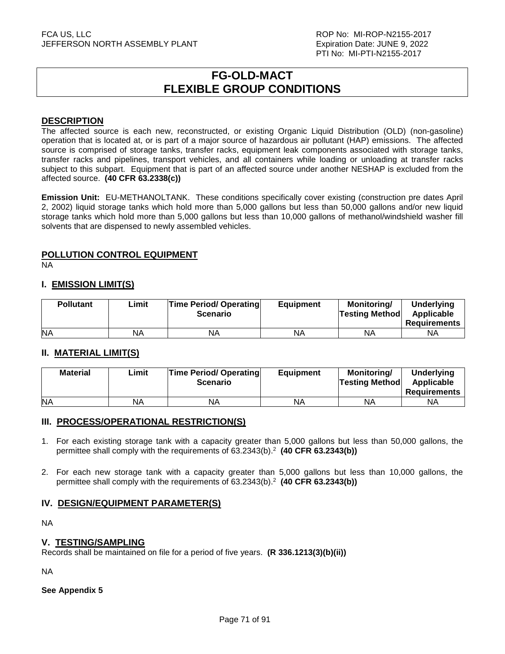# **FG-OLD-MACT FLEXIBLE GROUP CONDITIONS**

# **DESCRIPTION**

The affected source is each new, reconstructed, or existing Organic Liquid Distribution (OLD) (non-gasoline) operation that is located at, or is part of a major source of hazardous air pollutant (HAP) emissions. The affected source is comprised of storage tanks, transfer racks, equipment leak components associated with storage tanks, transfer racks and pipelines, transport vehicles, and all containers while loading or unloading at transfer racks subject to this subpart. Equipment that is part of an affected source under another NESHAP is excluded from the affected source. **(40 CFR 63.2338(c))** 

**Emission Unit:** EU-METHANOLTANK. These conditions specifically cover existing (construction pre dates April 2, 2002) liquid storage tanks which hold more than 5,000 gallons but less than 50,000 gallons and/or new liquid storage tanks which hold more than 5,000 gallons but less than 10,000 gallons of methanol/windshield washer fill solvents that are dispensed to newly assembled vehicles.

# **POLLUTION CONTROL EQUIPMENT**

NA

# **I. EMISSION LIMIT(S)**

| <b>Pollutant</b> | ∟imit | <b>Time Period/ Operating</b><br><b>Scenario</b> | <b>Equipment</b> | Monitoring/<br><b>Testing Method</b> | <b>Underlying</b><br>Applicable<br>Requirements |
|------------------|-------|--------------------------------------------------|------------------|--------------------------------------|-------------------------------------------------|
| <b>NA</b>        | NA    | ΝA                                               | NA               | ΝA                                   | ΝA                                              |

# **II. MATERIAL LIMIT(S)**

| <b>Material</b> | Limit | <b>Time Period/ Operating</b><br><b>Scenario</b> | <b>Equipment</b> | Monitoring/<br><b>Testing Method</b> | Underlying<br>Applicable<br><b>Requirements</b> |
|-----------------|-------|--------------------------------------------------|------------------|--------------------------------------|-------------------------------------------------|
| <b>NA</b>       | NА    | ΝA                                               | NA               | ΝA                                   | ΝA                                              |

# **III. PROCESS/OPERATIONAL RESTRICTION(S)**

- 1. For each existing storage tank with a capacity greater than 5,000 gallons but less than 50,000 gallons, the permittee shall comply with the requirements of 63.2343(b).<sup>2</sup> (40 CFR 63.2343(b))
- 2. For each new storage tank with a capacity greater than 5,000 gallons but less than 10,000 gallons, the permittee shall comply with the requirements of 63.2343(b).<sup>2</sup> (40 CFR 63.2343(b))

# **IV. DESIGN/EQUIPMENT PARAMETER(S)**

NA

# **V. TESTING/SAMPLING**

Records shall be maintained on file for a period of five years. **(R 336.1213(3)(b)(ii))**

NA

**See Appendix 5**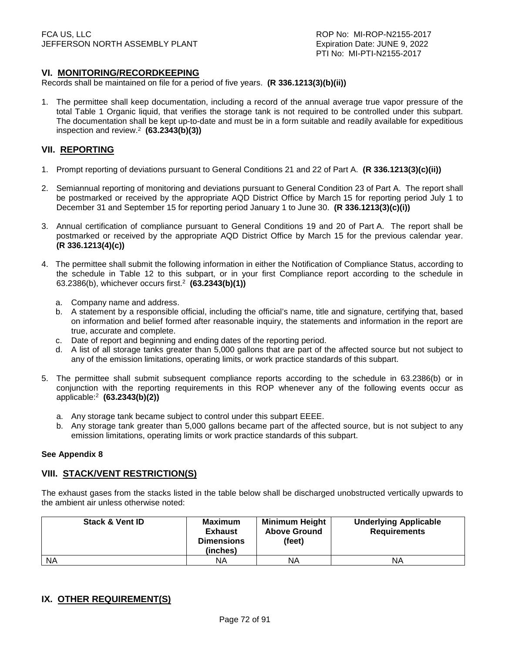# **VI. MONITORING/RECORDKEEPING**

Records shall be maintained on file for a period of five years. **(R 336.1213(3)(b)(ii))**

1. The permittee shall keep documentation, including a record of the annual average true vapor pressure of the total Table 1 Organic liquid, that verifies the storage tank is not required to be controlled under this subpart. The documentation shall be kept up-to-date and must be in a form suitable and readily available for expeditious inspection and review.<sup>2</sup> **(63.2343(b)(3))**

# **VII. REPORTING**

- 1. Prompt reporting of deviations pursuant to General Conditions 21 and 22 of Part A. **(R 336.1213(3)(c)(ii))**
- 2. Semiannual reporting of monitoring and deviations pursuant to General Condition 23 of Part A. The report shall be postmarked or received by the appropriate AQD District Office by March 15 for reporting period July 1 to December 31 and September 15 for reporting period January 1 to June 30. **(R 336.1213(3)(c)(i))**
- 3. Annual certification of compliance pursuant to General Conditions 19 and 20 of Part A. The report shall be postmarked or received by the appropriate AQD District Office by March 15 for the previous calendar year. **(R 336.1213(4)(c))**
- 4. The permittee shall submit the following information in either the Notification of Compliance Status, according to the schedule in Table 12 to this subpart, or in your first Compliance report according to the schedule in 63.2386(b), whichever occurs first.<sup>2</sup> **(63.2343(b)(1))** 
	- a. Company name and address.
	- b. A statement by a responsible official, including the official's name, title and signature, certifying that, based on information and belief formed after reasonable inquiry, the statements and information in the report are true, accurate and complete.
	- c. Date of report and beginning and ending dates of the reporting period.
	- d. A list of all storage tanks greater than 5,000 gallons that are part of the affected source but not subject to any of the emission limitations, operating limits, or work practice standards of this subpart.
- 5. The permittee shall submit subsequent compliance reports according to the schedule in 63.2386(b) or in conjunction with the reporting requirements in this ROP whenever any of the following events occur as applicable:<sup>2</sup> **(63.2343(b)(2))**
	- a. Any storage tank became subject to control under this subpart EEEE.
	- b. Any storage tank greater than 5,000 gallons became part of the affected source, but is not subject to any emission limitations, operating limits or work practice standards of this subpart.

#### **See Appendix 8**

# **VIII. STACK/VENT RESTRICTION(S)**

The exhaust gases from the stacks listed in the table below shall be discharged unobstructed vertically upwards to the ambient air unless otherwise noted:

| <b>Stack &amp; Vent ID</b> | <b>Maximum</b><br><b>Exhaust</b><br><b>Dimensions</b><br>(inches) | <b>Minimum Height</b><br><b>Above Ground</b><br>(feet) | <b>Underlying Applicable</b><br><b>Requirements</b> |
|----------------------------|-------------------------------------------------------------------|--------------------------------------------------------|-----------------------------------------------------|
| <b>NA</b>                  | ΝA                                                                | ΝA                                                     | ΝA                                                  |

# **IX. OTHER REQUIREMENT(S)**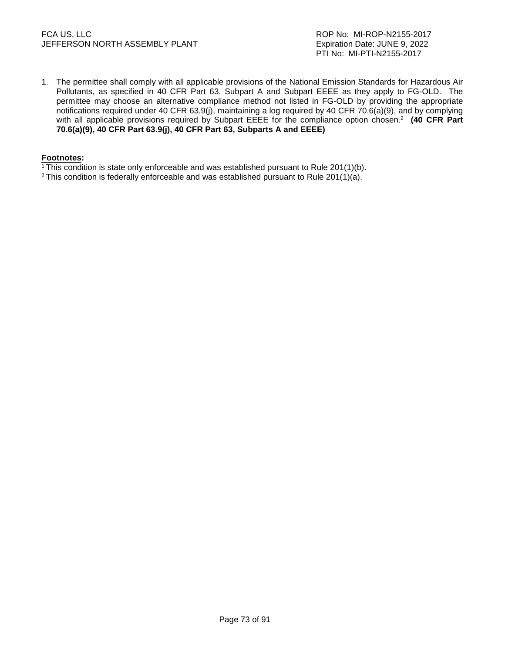### FCA US, LLC ROP No: MI-ROP-N2155-2017 JEFFERSON NORTH ASSEMBLY PLANT **Expiration Date: JUNE 9, 2022**

1. The permittee shall comply with all applicable provisions of the National Emission Standards for Hazardous Air Pollutants, as specified in 40 CFR Part 63, Subpart A and Subpart EEEE as they apply to FG-OLD. The permittee may choose an alternative compliance method not listed in FG-OLD by providing the appropriate notifications required under 40 CFR 63.9(j), maintaining a log required by 40 CFR 70.6(a)(9), and by complying with all applicable provisions required by Subpart EEEE for the compliance option chosen.<sup>2</sup> **(40 CFR Part 70.6(a)(9), 40 CFR Part 63.9(j), 40 CFR Part 63, Subparts A and EEEE)**

### **Footnotes:**

- <sup>1</sup>This condition is state only enforceable and was established pursuant to Rule 201(1)(b).
- <sup>2</sup> This condition is federally enforceable and was established pursuant to Rule 201(1)(a).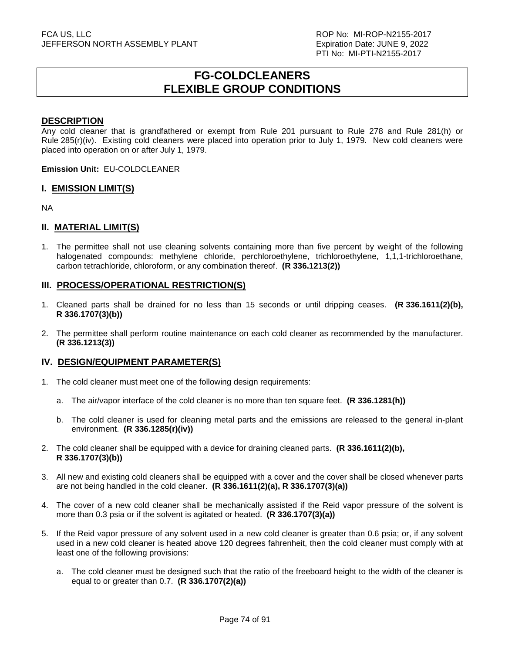# **FG-COLDCLEANERS FLEXIBLE GROUP CONDITIONS**

### **DESCRIPTION**

Any cold cleaner that is grandfathered or exempt from Rule 201 pursuant to Rule 278 and Rule 281(h) or Rule 285(r)(iv). Existing cold cleaners were placed into operation prior to July 1, 1979. New cold cleaners were placed into operation on or after July 1, 1979.

**Emission Unit:** EU-COLDCLEANER

### **I. EMISSION LIMIT(S)**

NA

## **II. MATERIAL LIMIT(S)**

1. The permittee shall not use cleaning solvents containing more than five percent by weight of the following halogenated compounds: methylene chloride, perchloroethylene, trichloroethylene, 1,1,1-trichloroethane, carbon tetrachloride, chloroform, or any combination thereof. **(R 336.1213(2))**

### **III. PROCESS/OPERATIONAL RESTRICTION(S)**

- 1. Cleaned parts shall be drained for no less than 15 seconds or until dripping ceases. **(R 336.1611(2)(b), R 336.1707(3)(b))**
- 2. The permittee shall perform routine maintenance on each cold cleaner as recommended by the manufacturer. **(R 336.1213(3))**

### **IV. DESIGN/EQUIPMENT PARAMETER(S)**

- 1. The cold cleaner must meet one of the following design requirements:
	- a. The air/vapor interface of the cold cleaner is no more than ten square feet. **(R 336.1281(h))**
	- b. The cold cleaner is used for cleaning metal parts and the emissions are released to the general in-plant environment. **(R 336.1285(r)(iv))**
- 2. The cold cleaner shall be equipped with a device for draining cleaned parts. **(R 336.1611(2)(b), R 336.1707(3)(b))**
- 3. All new and existing cold cleaners shall be equipped with a cover and the cover shall be closed whenever parts are not being handled in the cold cleaner. **(R 336.1611(2)(a), R 336.1707(3)(a))**
- 4. The cover of a new cold cleaner shall be mechanically assisted if the Reid vapor pressure of the solvent is more than 0.3 psia or if the solvent is agitated or heated. **(R 336.1707(3)(a))**
- 5. If the Reid vapor pressure of any solvent used in a new cold cleaner is greater than 0.6 psia; or, if any solvent used in a new cold cleaner is heated above 120 degrees fahrenheit, then the cold cleaner must comply with at least one of the following provisions:
	- a. The cold cleaner must be designed such that the ratio of the freeboard height to the width of the cleaner is equal to or greater than 0.7. **(R 336.1707(2)(a))**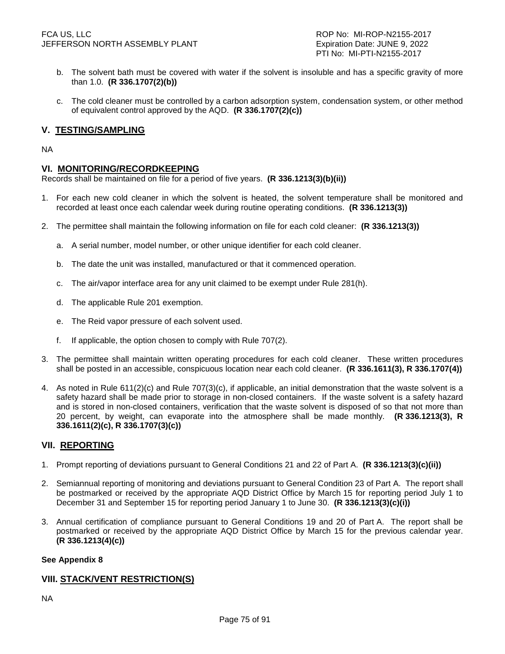### FCA US, LLC ROP No: MI-ROP-N2155-2017 JEFFERSON NORTH ASSEMBLY PLANT EXAMPLE THE SEXPIRATION Date: JUNE 9, 2022

- b. The solvent bath must be covered with water if the solvent is insoluble and has a specific gravity of more than 1.0. **(R 336.1707(2)(b))**
- c. The cold cleaner must be controlled by a carbon adsorption system, condensation system, or other method of equivalent control approved by the AQD. **(R 336.1707(2)(c))**

# **V. TESTING/SAMPLING**

NA

### **VI. MONITORING/RECORDKEEPING**

Records shall be maintained on file for a period of five years. **(R 336.1213(3)(b)(ii))** 

- 1. For each new cold cleaner in which the solvent is heated, the solvent temperature shall be monitored and recorded at least once each calendar week during routine operating conditions. **(R 336.1213(3))**
- 2. The permittee shall maintain the following information on file for each cold cleaner: **(R 336.1213(3))** 
	- a. A serial number, model number, or other unique identifier for each cold cleaner.
	- b. The date the unit was installed, manufactured or that it commenced operation.
	- c. The air/vapor interface area for any unit claimed to be exempt under Rule 281(h).
	- d. The applicable Rule 201 exemption.
	- e. The Reid vapor pressure of each solvent used.
	- f. If applicable, the option chosen to comply with Rule 707(2).
- The permittee shall maintain written operating procedures for each cold cleaner. These written procedures shall be posted in an accessible, conspicuous location near each cold cleaner. **(R 336.1611(3), R 336.1707(4))**
- 4. As noted in Rule 611(2)(c) and Rule 707(3)(c), if applicable, an initial demonstration that the waste solvent is a safety hazard shall be made prior to storage in non-closed containers. If the waste solvent is a safety hazard and is stored in non-closed containers, verification that the waste solvent is disposed of so that not more than 20 percent, by weight, can evaporate into the atmosphere shall be made monthly. **(R 336.1213(3), R 336.1611(2)(c), R 336.1707(3)(c))**

## **VII. REPORTING**

- 1. Prompt reporting of deviations pursuant to General Conditions 21 and 22 of Part A. **(R 336.1213(3)(c)(ii))**
- 2. Semiannual reporting of monitoring and deviations pursuant to General Condition 23 of Part A. The report shall be postmarked or received by the appropriate AQD District Office by March 15 for reporting period July 1 to December 31 and September 15 for reporting period January 1 to June 30. **(R 336.1213(3)(c)(i))**
- 3. Annual certification of compliance pursuant to General Conditions 19 and 20 of Part A. The report shall be postmarked or received by the appropriate AQD District Office by March 15 for the previous calendar year. **(R 336.1213(4)(c))**

### **See Appendix 8**

## **VIII. STACK/VENT RESTRICTION(S)**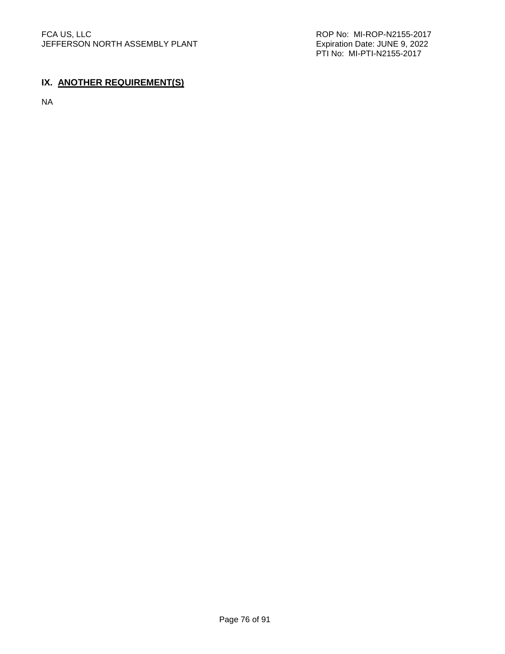PTI No: MI-PTI-N2155-2017

# **IX. ANOTHER REQUIREMENT(S)**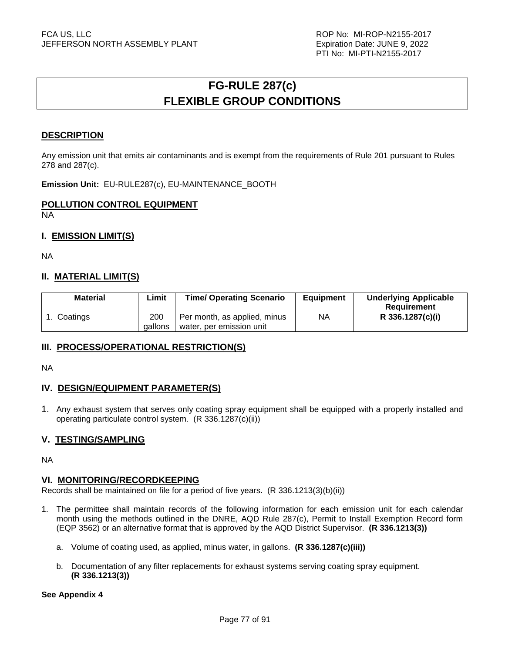# **FG-RULE 287(c) FLEXIBLE GROUP CONDITIONS**

## **DESCRIPTION**

Any emission unit that emits air contaminants and is exempt from the requirements of Rule 201 pursuant to Rules 278 and 287(c).

**Emission Unit:** EU-RULE287(c), EU-MAINTENANCE\_BOOTH

# **POLLUTION CONTROL EQUIPMENT**

NA

# **I. EMISSION LIMIT(S)**

NA

## **II. MATERIAL LIMIT(S)**

| <b>Material</b> | Limit          | <b>Time/ Operating Scenario</b>                          | Equipment | <b>Underlying Applicable</b><br>Requirement |
|-----------------|----------------|----------------------------------------------------------|-----------|---------------------------------------------|
| Coatings        | 200<br>qallons | Per month, as applied, minus<br>water, per emission unit | NA        | R 336.1287(c)(i)                            |

## **III. PROCESS/OPERATIONAL RESTRICTION(S)**

NA

## **IV. DESIGN/EQUIPMENT PARAMETER(S)**

1. Any exhaust system that serves only coating spray equipment shall be equipped with a properly installed and operating particulate control system. (R 336.1287(c)(ii))

## **V. TESTING/SAMPLING**

NA

## **VI. MONITORING/RECORDKEEPING**

Records shall be maintained on file for a period of five years. (R 336.1213(3)(b)(ii))

- 1. The permittee shall maintain records of the following information for each emission unit for each calendar month using the methods outlined in the DNRE, AQD Rule 287(c), Permit to Install Exemption Record form (EQP 3562) or an alternative format that is approved by the AQD District Supervisor. **(R 336.1213(3))** 
	- a. Volume of coating used, as applied, minus water, in gallons. **(R 336.1287(c)(iii))**
	- b. Documentation of any filter replacements for exhaust systems serving coating spray equipment. **(R 336.1213(3))**

### **See Appendix 4**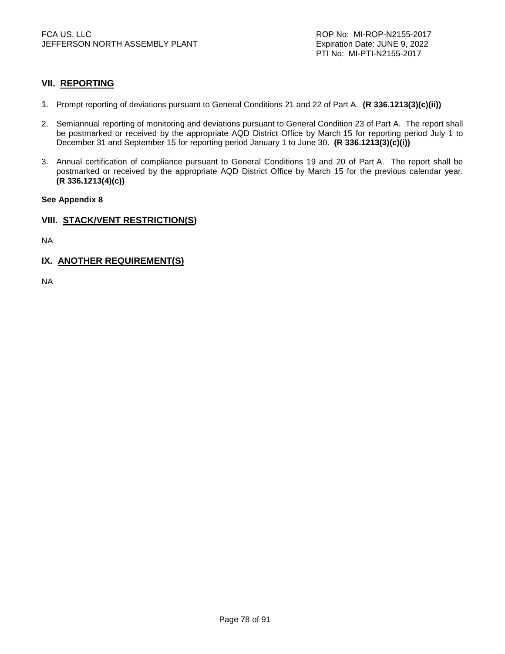# **VII. REPORTING**

- 1. Prompt reporting of deviations pursuant to General Conditions 21 and 22 of Part A. **(R 336.1213(3)(c)(ii))**
- 2. Semiannual reporting of monitoring and deviations pursuant to General Condition 23 of Part A. The report shall be postmarked or received by the appropriate AQD District Office by March 15 for reporting period July 1 to December 31 and September 15 for reporting period January 1 to June 30. **(R 336.1213(3)(c)(i))**
- 3. Annual certification of compliance pursuant to General Conditions 19 and 20 of Part A. The report shall be postmarked or received by the appropriate AQD District Office by March 15 for the previous calendar year. **(R 336.1213(4)(c))**

### **See Appendix 8**

## **VIII. STACK/VENT RESTRICTION(S)**

NA

# **IX. ANOTHER REQUIREMENT(S)**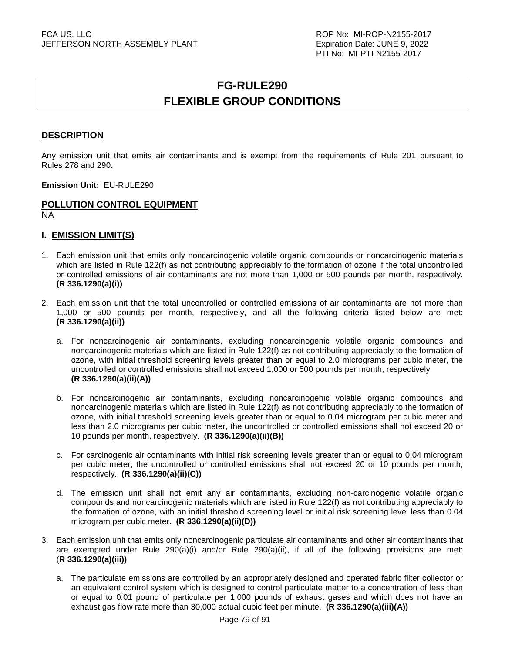# **FG-RULE290 FLEXIBLE GROUP CONDITIONS**

## **DESCRIPTION**

Any emission unit that emits air contaminants and is exempt from the requirements of Rule 201 pursuant to Rules 278 and 290.

**Emission Unit:** EU-RULE290

# **POLLUTION CONTROL EQUIPMENT**

NA

## **I. EMISSION LIMIT(S)**

- 1. Each emission unit that emits only noncarcinogenic volatile organic compounds or noncarcinogenic materials which are listed in Rule 122(f) as not contributing appreciably to the formation of ozone if the total uncontrolled or controlled emissions of air contaminants are not more than 1,000 or 500 pounds per month, respectively. **(R 336.1290(a)(i))**
- 2. Each emission unit that the total uncontrolled or controlled emissions of air contaminants are not more than 1,000 or 500 pounds per month, respectively, and all the following criteria listed below are met: **(R 336.1290(a)(ii))** 
	- a. For noncarcinogenic air contaminants, excluding noncarcinogenic volatile organic compounds and noncarcinogenic materials which are listed in Rule 122(f) as not contributing appreciably to the formation of ozone, with initial threshold screening levels greater than or equal to 2.0 micrograms per cubic meter, the uncontrolled or controlled emissions shall not exceed 1,000 or 500 pounds per month, respectively. **(R 336.1290(a)(ii)(A))**
	- b. For noncarcinogenic air contaminants, excluding noncarcinogenic volatile organic compounds and noncarcinogenic materials which are listed in Rule 122(f) as not contributing appreciably to the formation of ozone, with initial threshold screening levels greater than or equal to 0.04 microgram per cubic meter and less than 2.0 micrograms per cubic meter, the uncontrolled or controlled emissions shall not exceed 20 or 10 pounds per month, respectively. **(R 336.1290(a)(ii)(B))**
	- c. For carcinogenic air contaminants with initial risk screening levels greater than or equal to 0.04 microgram per cubic meter, the uncontrolled or controlled emissions shall not exceed 20 or 10 pounds per month, respectively. **(R 336.1290(a)(ii)(C))**
	- d. The emission unit shall not emit any air contaminants, excluding non-carcinogenic volatile organic compounds and noncarcinogenic materials which are listed in Rule 122(f) as not contributing appreciably to the formation of ozone, with an initial threshold screening level or initial risk screening level less than 0.04 microgram per cubic meter. **(R 336.1290(a)(ii)(D))**
- 3. Each emission unit that emits only noncarcinogenic particulate air contaminants and other air contaminants that are exempted under Rule 290(a)(i) and/or Rule 290(a)(ii), if all of the following provisions are met: (**R 336.1290(a)(iii))** 
	- a. The particulate emissions are controlled by an appropriately designed and operated fabric filter collector or an equivalent control system which is designed to control particulate matter to a concentration of less than or equal to 0.01 pound of particulate per 1,000 pounds of exhaust gases and which does not have an exhaust gas flow rate more than 30,000 actual cubic feet per minute. **(R 336.1290(a)(iii)(A))**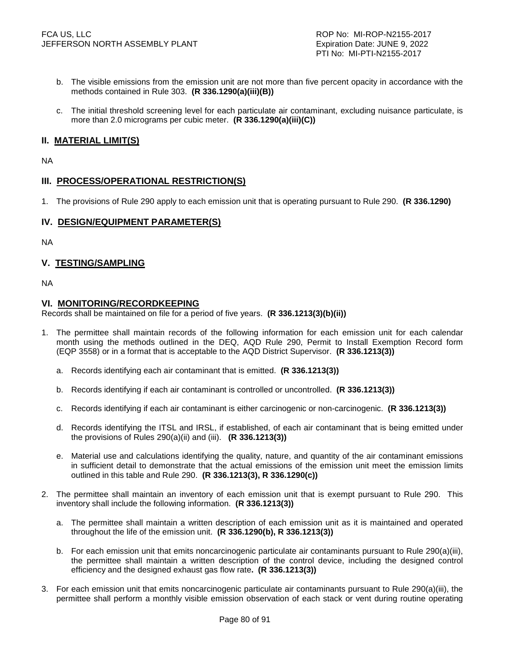- b. The visible emissions from the emission unit are not more than five percent opacity in accordance with the methods contained in Rule 303. **(R 336.1290(a)(iii)(B))**
- c. The initial threshold screening level for each particulate air contaminant, excluding nuisance particulate, is more than 2.0 micrograms per cubic meter. **(R 336.1290(a)(iii)(C))**

# **II. MATERIAL LIMIT(S)**

NA

# **III. PROCESS/OPERATIONAL RESTRICTION(S)**

1. The provisions of Rule 290 apply to each emission unit that is operating pursuant to Rule 290. **(R 336.1290)**

## **IV. DESIGN/EQUIPMENT PARAMETER(S)**

NA

# **V. TESTING/SAMPLING**

NA

### **VI. MONITORING/RECORDKEEPING**

Records shall be maintained on file for a period of five years. **(R 336.1213(3)(b)(ii))**

- 1. The permittee shall maintain records of the following information for each emission unit for each calendar month using the methods outlined in the DEQ, AQD Rule 290, Permit to Install Exemption Record form (EQP 3558) or in a format that is acceptable to the AQD District Supervisor. **(R 336.1213(3))** 
	- a. Records identifying each air contaminant that is emitted. **(R 336.1213(3))**
	- b. Records identifying if each air contaminant is controlled or uncontrolled. **(R 336.1213(3))**
	- c. Records identifying if each air contaminant is either carcinogenic or non-carcinogenic. **(R 336.1213(3))**
	- d. Records identifying the ITSL and IRSL, if established, of each air contaminant that is being emitted under the provisions of Rules 290(a)(ii) and (iii). **(R 336.1213(3))**
	- e. Material use and calculations identifying the quality, nature, and quantity of the air contaminant emissions in sufficient detail to demonstrate that the actual emissions of the emission unit meet the emission limits outlined in this table and Rule 290. **(R 336.1213(3), R 336.1290(c))**
- 2. The permittee shall maintain an inventory of each emission unit that is exempt pursuant to Rule 290. This inventory shall include the following information. **(R 336.1213(3))** 
	- a. The permittee shall maintain a written description of each emission unit as it is maintained and operated throughout the life of the emission unit. **(R 336.1290(b), R 336.1213(3))**
	- b. For each emission unit that emits noncarcinogenic particulate air contaminants pursuant to Rule 290(a)(iii), the permittee shall maintain a written description of the control device, including the designed control efficiency and the designed exhaust gas flow rate**. (R 336.1213(3))**
- 3. For each emission unit that emits noncarcinogenic particulate air contaminants pursuant to Rule 290(a)(iii), the permittee shall perform a monthly visible emission observation of each stack or vent during routine operating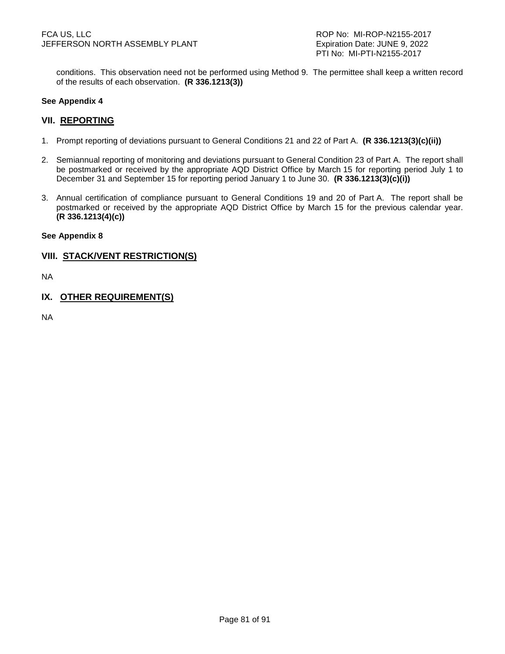conditions. This observation need not be performed using Method 9. The permittee shall keep a written record of the results of each observation. **(R 336.1213(3))**

### **See Appendix 4**

### **VII. REPORTING**

- 1. Prompt reporting of deviations pursuant to General Conditions 21 and 22 of Part A. **(R 336.1213(3)(c)(ii))**
- 2. Semiannual reporting of monitoring and deviations pursuant to General Condition 23 of Part A. The report shall be postmarked or received by the appropriate AQD District Office by March 15 for reporting period July 1 to December 31 and September 15 for reporting period January 1 to June 30. **(R 336.1213(3)(c)(i))**
- 3. Annual certification of compliance pursuant to General Conditions 19 and 20 of Part A. The report shall be postmarked or received by the appropriate AQD District Office by March 15 for the previous calendar year. **(R 336.1213(4)(c))**

#### **See Appendix 8**

### **VIII. STACK/VENT RESTRICTION(S)**

NA

**IX. OTHER REQUIREMENT(S)**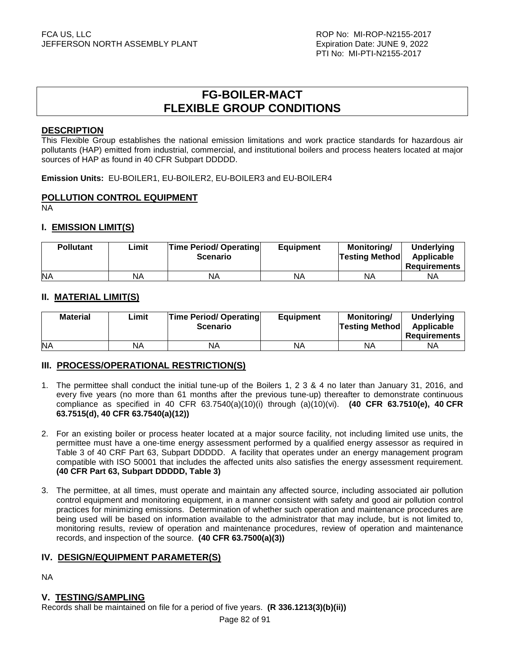# **FG-BOILER-MACT FLEXIBLE GROUP CONDITIONS**

## **DESCRIPTION**

This Flexible Group establishes the national emission limitations and work practice standards for hazardous air pollutants (HAP) emitted from industrial, commercial, and institutional boilers and process heaters located at major sources of HAP as found in 40 CFR Subpart DDDDD.

**Emission Units:** EU-BOILER1, EU-BOILER2, EU-BOILER3 and EU-BOILER4

## **POLLUTION CONTROL EQUIPMENT**

NA

# **I. EMISSION LIMIT(S)**

| <b>Pollutant</b> | Limit | <b>Time Period/ Operating</b><br><b>Scenario</b> | <b>Equipment</b> | Monitoring/<br><b>Testing Method</b> | <b>Underlying</b><br>Applicable<br><b>Requirements</b> |
|------------------|-------|--------------------------------------------------|------------------|--------------------------------------|--------------------------------------------------------|
| <b>NA</b>        | NA    | NA                                               | NA               | ΝA                                   | ΝA                                                     |

# **II. MATERIAL LIMIT(S)**

| <b>Material</b> | Limit | <b>Time Period/ Operating</b><br><b>Scenario</b> | <b>Equipment</b> | Monitoring/<br><b>Testing Method</b> | Underlying<br>Applicable<br><b>Requirements</b> |
|-----------------|-------|--------------------------------------------------|------------------|--------------------------------------|-------------------------------------------------|
| <b>NA</b>       | NA    | <b>NA</b>                                        | NA               | ΝA                                   | ΝA                                              |

# **III. PROCESS/OPERATIONAL RESTRICTION(S)**

- 1. The permittee shall conduct the initial tune-up of the Boilers 1, 2 3 & 4 no later than January 31, 2016, and every five years (no more than 61 months after the previous tune-up) thereafter to demonstrate continuous compliance as specified in 40 CFR 63.7540(a)(10)(i) through (a)(10)(vi). **(40 CFR 63.7510(e), 40 CFR 63.7515(d), 40 CFR 63.7540(a)(12))**
- 2. For an existing boiler or process heater located at a major source facility, not including limited use units, the permittee must have a one-time energy assessment performed by a qualified energy assessor as required in Table 3 of 40 CRF Part 63, Subpart DDDDD. A facility that operates under an energy management program compatible with ISO 50001 that includes the affected units also satisfies the energy assessment requirement. **(40 CFR Part 63, Subpart DDDDD, Table 3)**
- 3. The permittee, at all times, must operate and maintain any affected source, including associated air pollution control equipment and monitoring equipment, in a manner consistent with safety and good air pollution control practices for minimizing emissions. Determination of whether such operation and maintenance procedures are being used will be based on information available to the administrator that may include, but is not limited to, monitoring results, review of operation and maintenance procedures, review of operation and maintenance records, and inspection of the source. **(40 CFR 63.7500(a)(3))**

## **IV. DESIGN/EQUIPMENT PARAMETER(S)**

NA

## **V. TESTING/SAMPLING**

Records shall be maintained on file for a period of five years. **(R 336.1213(3)(b)(ii))**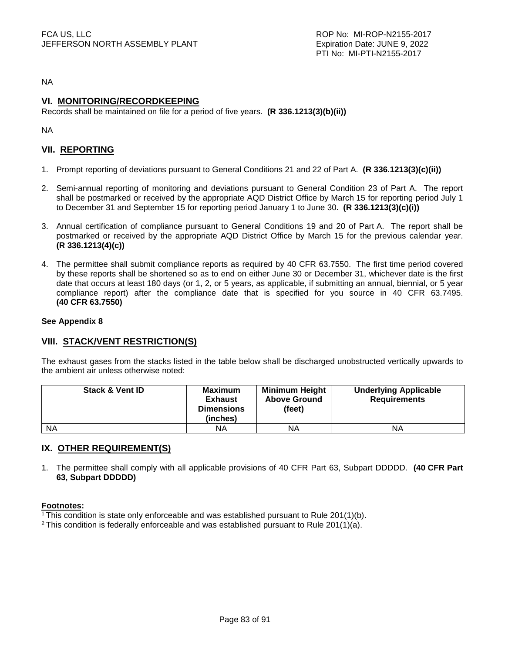NA

# **VI. MONITORING/RECORDKEEPING**

Records shall be maintained on file for a period of five years. **(R 336.1213(3)(b)(ii))**

NA

# **VII. REPORTING**

- 1. Prompt reporting of deviations pursuant to General Conditions 21 and 22 of Part A. **(R 336.1213(3)(c)(ii))**
- 2. Semi-annual reporting of monitoring and deviations pursuant to General Condition 23 of Part A. The report shall be postmarked or received by the appropriate AQD District Office by March 15 for reporting period July 1 to December 31 and September 15 for reporting period January 1 to June 30. **(R 336.1213(3)(c)(i))**
- 3. Annual certification of compliance pursuant to General Conditions 19 and 20 of Part A. The report shall be postmarked or received by the appropriate AQD District Office by March 15 for the previous calendar year. **(R 336.1213(4)(c))**
- 4. The permittee shall submit compliance reports as required by 40 CFR 63.7550. The first time period covered by these reports shall be shortened so as to end on either June 30 or December 31, whichever date is the first date that occurs at least 180 days (or 1, 2, or 5 years, as applicable, if submitting an annual, biennial, or 5 year compliance report) after the compliance date that is specified for you source in 40 CFR 63.7495. **(40 CFR 63.7550)**

### **See Appendix 8**

## **VIII. STACK/VENT RESTRICTION(S)**

The exhaust gases from the stacks listed in the table below shall be discharged unobstructed vertically upwards to the ambient air unless otherwise noted:

| <b>Stack &amp; Vent ID</b> | Maximum<br><b>Exhaust</b><br><b>Dimensions</b><br>(inches) | <b>Minimum Height</b><br><b>Above Ground</b><br>(feet) | <b>Underlying Applicable</b><br><b>Requirements</b> |
|----------------------------|------------------------------------------------------------|--------------------------------------------------------|-----------------------------------------------------|
| <b>NA</b>                  | NA                                                         | ΝA                                                     | NA                                                  |

## **IX. OTHER REQUIREMENT(S)**

1. The permittee shall comply with all applicable provisions of 40 CFR Part 63, Subpart DDDDD. **(40 CFR Part 63, Subpart DDDDD)** 

### **Footnotes:**

<sup>1</sup>This condition is state only enforceable and was established pursuant to Rule 201(1)(b).

<sup>2</sup> This condition is federally enforceable and was established pursuant to Rule 201(1)(a).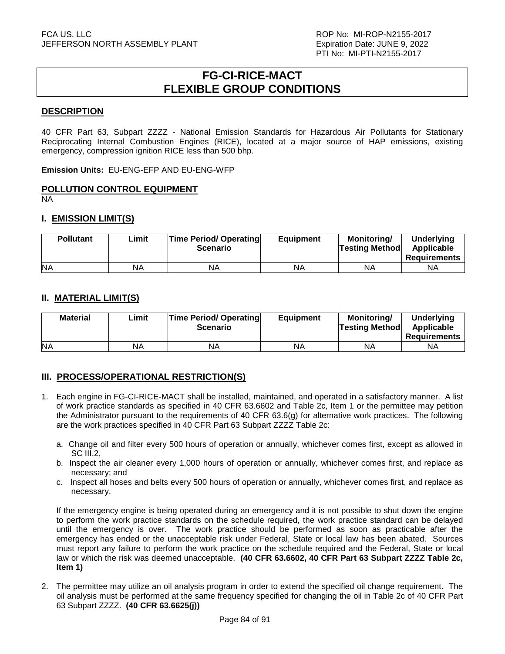# **FG-CI-RICE-MACT FLEXIBLE GROUP CONDITIONS**

# **DESCRIPTION**

40 CFR Part 63, Subpart ZZZZ - National Emission Standards for Hazardous Air Pollutants for Stationary Reciprocating Internal Combustion Engines (RICE), located at a major source of HAP emissions, existing emergency, compression ignition RICE less than 500 bhp.

**Emission Units:** EU-ENG-EFP AND EU-ENG-WFP

### **POLLUTION CONTROL EQUIPMENT**

NA

### **I. EMISSION LIMIT(S)**

| <b>Pollutant</b> | Limit | <b>Time Period/ Operating</b><br><b>Scenario</b> | <b>Equipment</b> | Monitorina/<br><b>Testing Method</b> | <b>Underlying</b><br>Applicable<br>Requirements |
|------------------|-------|--------------------------------------------------|------------------|--------------------------------------|-------------------------------------------------|
| <b>NA</b>        | NA    | ΝA                                               | ΝA               | <b>NA</b>                            | NA                                              |

### **II. MATERIAL LIMIT(S)**

| <b>Material</b> | Limit | <b>Time Period/ Operating</b><br><b>Scenario</b> | <b>Equipment</b> | Monitoring/<br><b>Testing Method</b> | <b>Underlying</b><br>Applicable<br><b>Requirements</b> |
|-----------------|-------|--------------------------------------------------|------------------|--------------------------------------|--------------------------------------------------------|
| <b>NA</b>       | NA    | NA                                               | NA               | ΝA                                   | ΝA                                                     |

# **III. PROCESS/OPERATIONAL RESTRICTION(S)**

- 1. Each engine in FG-CI-RICE-MACT shall be installed, maintained, and operated in a satisfactory manner. A list of work practice standards as specified in 40 CFR 63.6602 and Table 2c, Item 1 or the permittee may petition the Administrator pursuant to the requirements of 40 CFR 63.6(g) for alternative work practices. The following are the work practices specified in 40 CFR Part 63 Subpart ZZZZ Table 2c:
	- a. Change oil and filter every 500 hours of operation or annually, whichever comes first, except as allowed in SC III.2.
	- b. Inspect the air cleaner every 1,000 hours of operation or annually, whichever comes first, and replace as necessary; and
	- c. Inspect all hoses and belts every 500 hours of operation or annually, whichever comes first, and replace as necessary.

If the emergency engine is being operated during an emergency and it is not possible to shut down the engine to perform the work practice standards on the schedule required, the work practice standard can be delayed until the emergency is over. The work practice should be performed as soon as practicable after the emergency has ended or the unacceptable risk under Federal, State or local law has been abated. Sources must report any failure to perform the work practice on the schedule required and the Federal, State or local law or which the risk was deemed unacceptable. **(40 CFR 63.6602, 40 CFR Part 63 Subpart ZZZZ Table 2c, Item 1)** 

2. The permittee may utilize an oil analysis program in order to extend the specified oil change requirement. The oil analysis must be performed at the same frequency specified for changing the oil in Table 2c of 40 CFR Part 63 Subpart ZZZZ. **(40 CFR 63.6625(j))**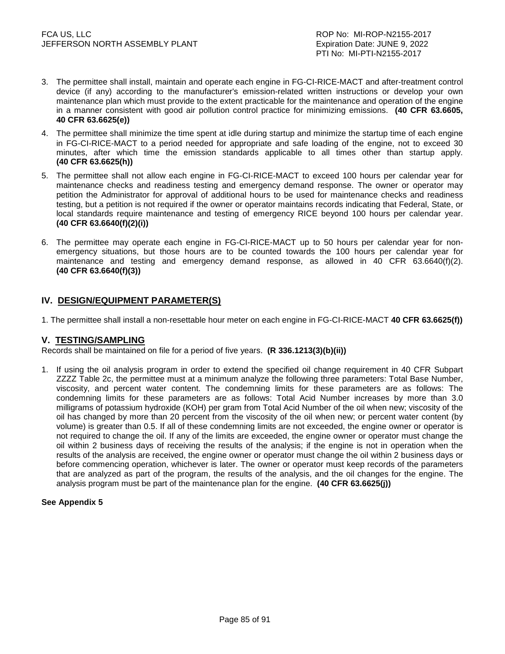- 3. The permittee shall install, maintain and operate each engine in FG-CI-RICE-MACT and after-treatment control device (if any) according to the manufacturer's emission-related written instructions or develop your own maintenance plan which must provide to the extent practicable for the maintenance and operation of the engine in a manner consistent with good air pollution control practice for minimizing emissions. **(40 CFR 63.6605, 40 CFR 63.6625(e))**
- 4. The permittee shall minimize the time spent at idle during startup and minimize the startup time of each engine in FG-CI-RICE-MACT to a period needed for appropriate and safe loading of the engine, not to exceed 30 minutes, after which time the emission standards applicable to all times other than startup apply. **(40 CFR 63.6625(h))**
- 5. The permittee shall not allow each engine in FG-CI-RICE-MACT to exceed 100 hours per calendar year for maintenance checks and readiness testing and emergency demand response. The owner or operator may petition the Administrator for approval of additional hours to be used for maintenance checks and readiness testing, but a petition is not required if the owner or operator maintains records indicating that Federal, State, or local standards require maintenance and testing of emergency RICE beyond 100 hours per calendar year. **(40 CFR 63.6640(f)(2)(i))**
- 6. The permittee may operate each engine in FG-CI-RICE-MACT up to 50 hours per calendar year for nonemergency situations, but those hours are to be counted towards the 100 hours per calendar year for maintenance and testing and emergency demand response, as allowed in 40 CFR 63.6640(f)(2). **(40 CFR 63.6640(f)(3))**

# **IV. DESIGN/EQUIPMENT PARAMETER(S)**

1. The permittee shall install a non-resettable hour meter on each engine in FG-CI-RICE-MACT **40 CFR 63.6625(f))** 

## **V. TESTING/SAMPLING**

Records shall be maintained on file for a period of five years. **(R 336.1213(3)(b)(ii))**

1. If using the oil analysis program in order to extend the specified oil change requirement in 40 CFR Subpart ZZZZ Table 2c, the permittee must at a minimum analyze the following three parameters: Total Base Number, viscosity, and percent water content. The condemning limits for these parameters are as follows: The condemning limits for these parameters are as follows: Total Acid Number increases by more than 3.0 milligrams of potassium hydroxide (KOH) per gram from Total Acid Number of the oil when new; viscosity of the oil has changed by more than 20 percent from the viscosity of the oil when new; or percent water content (by volume) is greater than 0.5. If all of these condemning limits are not exceeded, the engine owner or operator is not required to change the oil. If any of the limits are exceeded, the engine owner or operator must change the oil within 2 business days of receiving the results of the analysis; if the engine is not in operation when the results of the analysis are received, the engine owner or operator must change the oil within 2 business days or before commencing operation, whichever is later. The owner or operator must keep records of the parameters that are analyzed as part of the program, the results of the analysis, and the oil changes for the engine. The analysis program must be part of the maintenance plan for the engine. **(40 CFR 63.6625(j))** 

### **See Appendix 5**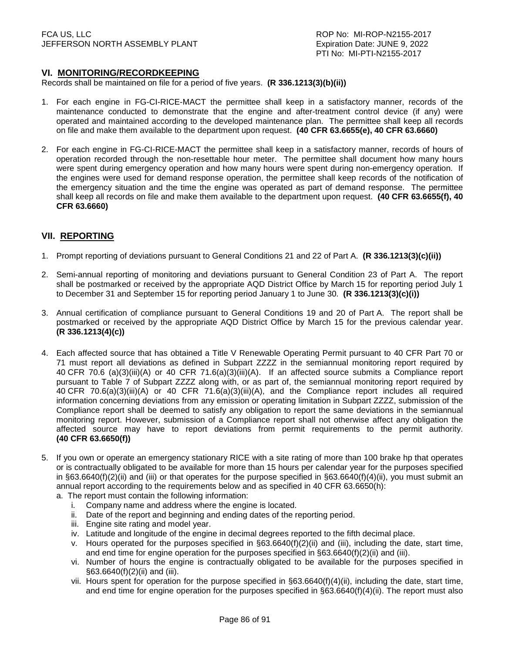## **VI. MONITORING/RECORDKEEPING**

Records shall be maintained on file for a period of five years. **(R 336.1213(3)(b)(ii))**

- 1. For each engine in FG-CI-RICE-MACT the permittee shall keep in a satisfactory manner, records of the maintenance conducted to demonstrate that the engine and after-treatment control device (if any) were operated and maintained according to the developed maintenance plan. The permittee shall keep all records on file and make them available to the department upon request. **(40 CFR 63.6655(e), 40 CFR 63.6660)**
- 2. For each engine in FG-CI-RICE-MACT the permittee shall keep in a satisfactory manner, records of hours of operation recorded through the non-resettable hour meter. The permittee shall document how many hours were spent during emergency operation and how many hours were spent during non-emergency operation. If the engines were used for demand response operation, the permittee shall keep records of the notification of the emergency situation and the time the engine was operated as part of demand response. The permittee shall keep all records on file and make them available to the department upon request. **(40 CFR 63.6655(f), 40 CFR 63.6660)**

# **VII. REPORTING**

- 1. Prompt reporting of deviations pursuant to General Conditions 21 and 22 of Part A. **(R 336.1213(3)(c)(ii))**
- 2. Semi-annual reporting of monitoring and deviations pursuant to General Condition 23 of Part A. The report shall be postmarked or received by the appropriate AQD District Office by March 15 for reporting period July 1 to December 31 and September 15 for reporting period January 1 to June 30. **(R 336.1213(3)(c)(i))**
- 3. Annual certification of compliance pursuant to General Conditions 19 and 20 of Part A. The report shall be postmarked or received by the appropriate AQD District Office by March 15 for the previous calendar year. **(R 336.1213(4)(c))**
- 4. Each affected source that has obtained a Title V Renewable Operating Permit pursuant to 40 CFR Part 70 or 71 must report all deviations as defined in Subpart ZZZZ in the semiannual monitoring report required by 40 CFR 70.6 (a)(3)(iii)(A) or 40 CFR 71.6(a)(3)(iii)(A). If an affected source submits a Compliance report pursuant to Table 7 of Subpart ZZZZ along with, or as part of, the semiannual monitoring report required by 40 CFR 70.6(a)(3)(iii)(A) or 40 CFR 71.6(a)(3)(iii)(A), and the Compliance report includes all required information concerning deviations from any emission or operating limitation in Subpart ZZZZ, submission of the Compliance report shall be deemed to satisfy any obligation to report the same deviations in the semiannual monitoring report. However, submission of a Compliance report shall not otherwise affect any obligation the affected source may have to report deviations from permit requirements to the permit authority. **(40 CFR 63.6650(f))**
- 5. If you own or operate an emergency stationary RICE with a site rating of more than 100 brake hp that operates or is contractually obligated to be available for more than 15 hours per calendar year for the purposes specified in §63.6640(f)(2)(ii) and (iii) or that operates for the purpose specified in §63.6640(f)(4)(ii), you must submit an annual report according to the requirements below and as specified in 40 CFR 63.6650(h):
	- a. The report must contain the following information:
		- i. Company name and address where the engine is located.
		- ii. Date of the report and beginning and ending dates of the reporting period.
		- iii. Engine site rating and model year.
		- iv. Latitude and longitude of the engine in decimal degrees reported to the fifth decimal place.
		- v. Hours operated for the purposes specified in §63.6640(f)(2)(ii) and (iii), including the date, start time, and end time for engine operation for the purposes specified in  $\S63.6640(f)(2)(ii)$  and (iii).
		- vi. Number of hours the engine is contractually obligated to be available for the purposes specified in §63.6640(f)(2)(ii) and (iii).
		- vii. Hours spent for operation for the purpose specified in §63.6640(f)(4)(ii), including the date, start time, and end time for engine operation for the purposes specified in §63.6640(f)(4)(ii). The report must also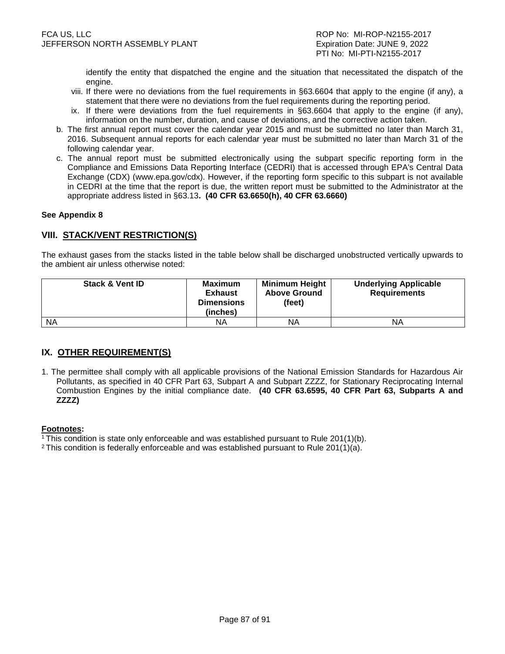identify the entity that dispatched the engine and the situation that necessitated the dispatch of the engine.

- viii. If there were no deviations from the fuel requirements in §63.6604 that apply to the engine (if any), a statement that there were no deviations from the fuel requirements during the reporting period.
- ix. If there were deviations from the fuel requirements in §63.6604 that apply to the engine (if any), information on the number, duration, and cause of deviations, and the corrective action taken.
- b. The first annual report must cover the calendar year 2015 and must be submitted no later than March 31, 2016. Subsequent annual reports for each calendar year must be submitted no later than March 31 of the following calendar year.
- c. The annual report must be submitted electronically using the subpart specific reporting form in the Compliance and Emissions Data Reporting Interface (CEDRI) that is accessed through EPA's Central Data Exchange (CDX) (www.epa.gov/cdx). However, if the reporting form specific to this subpart is not available in CEDRI at the time that the report is due, the written report must be submitted to the Administrator at the appropriate address listed in §63.13**. (40 CFR 63.6650(h), 40 CFR 63.6660)**

### **See Appendix 8**

# **VIII. STACK/VENT RESTRICTION(S)**

The exhaust gases from the stacks listed in the table below shall be discharged unobstructed vertically upwards to the ambient air unless otherwise noted:

| <b>Stack &amp; Vent ID</b> | Maximum<br><b>Exhaust</b><br><b>Dimensions</b><br>(inches) | <b>Minimum Height</b><br><b>Above Ground</b><br>(feet) | <b>Underlying Applicable</b><br><b>Requirements</b> |
|----------------------------|------------------------------------------------------------|--------------------------------------------------------|-----------------------------------------------------|
| <b>NA</b>                  | NА                                                         | NA                                                     | ΝA                                                  |

## **IX. OTHER REQUIREMENT(S)**

1. The permittee shall comply with all applicable provisions of the National Emission Standards for Hazardous Air Pollutants, as specified in 40 CFR Part 63, Subpart A and Subpart ZZZZ, for Stationary Reciprocating Internal Combustion Engines by the initial compliance date. **(40 CFR 63.6595, 40 CFR Part 63, Subparts A and ZZZZ)** 

### **Footnotes:**

<sup>1</sup>This condition is state only enforceable and was established pursuant to Rule 201(1)(b).

<sup>2</sup> This condition is federally enforceable and was established pursuant to Rule 201(1)(a).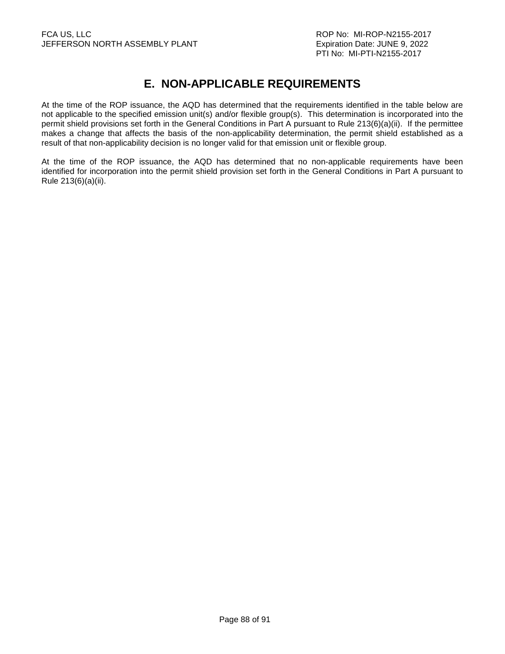# **E. NON-APPLICABLE REQUIREMENTS**

At the time of the ROP issuance, the AQD has determined that the requirements identified in the table below are not applicable to the specified emission unit(s) and/or flexible group(s). This determination is incorporated into the permit shield provisions set forth in the General Conditions in Part A pursuant to Rule 213(6)(a)(ii). If the permittee makes a change that affects the basis of the non-applicability determination, the permit shield established as a result of that non-applicability decision is no longer valid for that emission unit or flexible group.

At the time of the ROP issuance, the AQD has determined that no non-applicable requirements have been identified for incorporation into the permit shield provision set forth in the General Conditions in Part A pursuant to Rule 213(6)(a)(ii).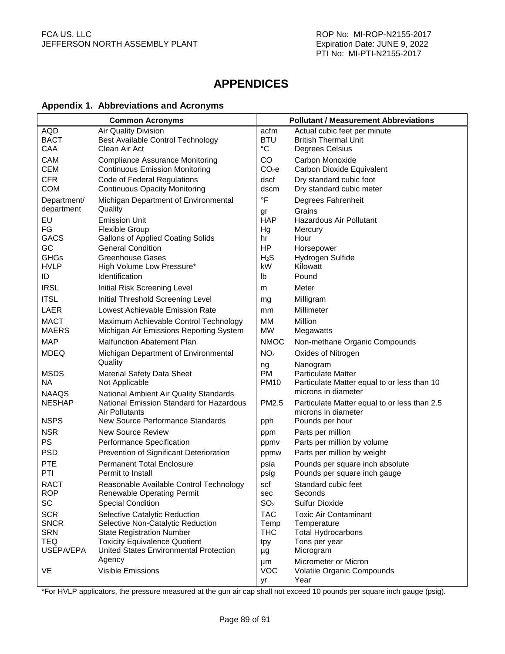# **APPENDICES**

# **Appendix 1. Abbreviations and Acronyms**

| <b>Common Acronyms</b>    |                                                                                |                   | <b>Pollutant / Measurement Abbreviations</b> |
|---------------------------|--------------------------------------------------------------------------------|-------------------|----------------------------------------------|
| AQD                       | <b>Air Quality Division</b>                                                    | acfm              | Actual cubic feet per minute                 |
| <b>BACT</b>               | Best Available Control Technology                                              | <b>BTU</b>        | <b>British Thermal Unit</b>                  |
| CAA                       | Clean Air Act                                                                  | °C                | Degrees Celsius                              |
| CAM                       | <b>Compliance Assurance Monitoring</b>                                         | CO                | Carbon Monoxide                              |
| <b>CEM</b>                | <b>Continuous Emission Monitoring</b>                                          | CO <sub>2</sub> e | Carbon Dioxide Equivalent                    |
| <b>CFR</b>                | Code of Federal Regulations                                                    | dscf              | Dry standard cubic foot                      |
| <b>COM</b>                | <b>Continuous Opacity Monitoring</b>                                           | dscm              | Dry standard cubic meter                     |
| Department/<br>department | Michigan Department of Environmental<br>Quality                                | °F<br>gr          | Degrees Fahrenheit<br>Grains                 |
| EU                        | <b>Emission Unit</b>                                                           | <b>HAP</b>        | Hazardous Air Pollutant                      |
| FG                        | <b>Flexible Group</b>                                                          | Hg                | Mercury                                      |
| <b>GACS</b>               | <b>Gallons of Applied Coating Solids</b>                                       | hr                | Hour                                         |
| GC                        | <b>General Condition</b>                                                       | HP                | Horsepower                                   |
| <b>GHGs</b>               | <b>Greenhouse Gases</b>                                                        | H <sub>2</sub> S  | Hydrogen Sulfide                             |
| <b>HVLP</b>               | High Volume Low Pressure*                                                      | kW                | Kilowatt                                     |
| ID                        | Identification                                                                 | lb                | Pound                                        |
| <b>IRSL</b>               | Initial Risk Screening Level                                                   | m                 | Meter                                        |
| <b>ITSL</b>               | Initial Threshold Screening Level                                              | mg                | Milligram                                    |
| <b>LAER</b>               | Lowest Achievable Emission Rate                                                | mm                | Millimeter                                   |
| <b>MACT</b>               | Maximum Achievable Control Technology                                          | МM                | Million                                      |
| <b>MAERS</b>              | Michigan Air Emissions Reporting System                                        | MW                | Megawatts                                    |
| <b>MAP</b>                | <b>Malfunction Abatement Plan</b>                                              | <b>NMOC</b>       | Non-methane Organic Compounds                |
| <b>MDEQ</b>               | Michigan Department of Environmental<br>Quality                                | NO <sub>x</sub>   | Oxides of Nitrogen                           |
| <b>MSDS</b>               | Material Safety Data Sheet                                                     | ng<br><b>PM</b>   | Nanogram<br><b>Particulate Matter</b>        |
| <b>NA</b>                 | Not Applicable                                                                 | <b>PM10</b>       | Particulate Matter equal to or less than 10  |
| <b>NAAQS</b>              | National Ambient Air Quality Standards                                         |                   | microns in diameter                          |
| <b>NESHAP</b>             | National Emission Standard for Hazardous                                       | PM2.5             | Particulate Matter equal to or less than 2.5 |
|                           | Air Pollutants                                                                 |                   | microns in diameter                          |
| <b>NSPS</b>               | New Source Performance Standards                                               | pph               | Pounds per hour                              |
| <b>NSR</b>                | <b>New Source Review</b>                                                       | ppm               | Parts per million                            |
| <b>PS</b>                 | Performance Specification                                                      | ppmv              | Parts per million by volume                  |
| <b>PSD</b>                | Prevention of Significant Deterioration                                        | ppmw              | Parts per million by weight                  |
| <b>PTE</b>                | <b>Permanent Total Enclosure</b>                                               | psia              | Pounds per square inch absolute              |
| PTI                       | Permit to Install                                                              | psig              | Pounds per square inch gauge                 |
| <b>RACT</b>               | Reasonable Available Control Technology                                        | scf               | Standard cubic feet                          |
| <b>ROP</b>                | <b>Renewable Operating Permit</b>                                              | sec               | Seconds                                      |
| SC                        | <b>Special Condition</b>                                                       | SO <sub>2</sub>   | <b>Sulfur Dioxide</b>                        |
| <b>SCR</b>                | Selective Catalytic Reduction                                                  | <b>TAC</b>        | <b>Toxic Air Contaminant</b>                 |
| <b>SNCR</b>               | Selective Non-Catalytic Reduction                                              | Temp              | Temperature                                  |
| <b>SRN</b><br>TEQ         | <b>State Registration Number</b>                                               | THC               | <b>Total Hydrocarbons</b>                    |
| USEPA/EPA                 | <b>Toxicity Equivalence Quotient</b><br>United States Environmental Protection | tpy<br>μg         | Tons per year<br>Microgram                   |
|                           | Agency                                                                         |                   | Micrometer or Micron                         |
| VE                        | Visible Emissions                                                              | μm<br><b>VOC</b>  | Volatile Organic Compounds                   |
|                           |                                                                                | yr                | Year                                         |

\*For HVLP applicators, the pressure measured at the gun air cap shall not exceed 10 pounds per square inch gauge (psig).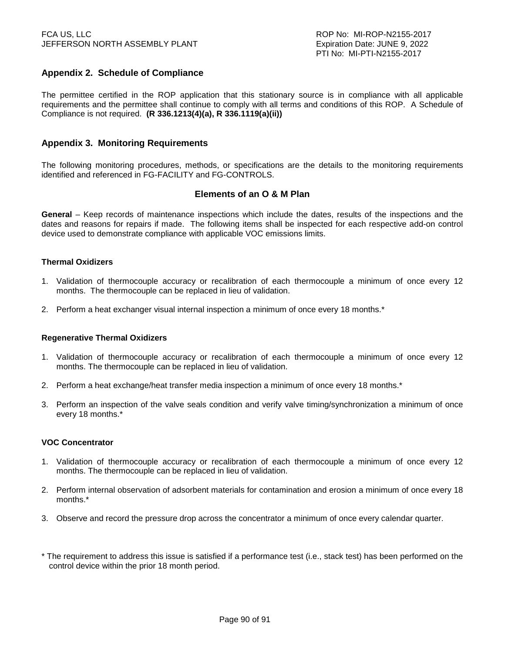# **Appendix 2. Schedule of Compliance**

The permittee certified in the ROP application that this stationary source is in compliance with all applicable requirements and the permittee shall continue to comply with all terms and conditions of this ROP. A Schedule of Compliance is not required. **(R 336.1213(4)(a), R 336.1119(a)(ii))** 

## **Appendix 3. Monitoring Requirements**

The following monitoring procedures, methods, or specifications are the details to the monitoring requirements identified and referenced in FG-FACILITY and FG-CONTROLS.

## **Elements of an O & M Plan**

**General** – Keep records of maintenance inspections which include the dates, results of the inspections and the dates and reasons for repairs if made. The following items shall be inspected for each respective add-on control device used to demonstrate compliance with applicable VOC emissions limits.

### **Thermal Oxidizers**

- 1. Validation of thermocouple accuracy or recalibration of each thermocouple a minimum of once every 12 months. The thermocouple can be replaced in lieu of validation.
- 2. Perform a heat exchanger visual internal inspection a minimum of once every 18 months.\*

### **Regenerative Thermal Oxidizers**

- 1. Validation of thermocouple accuracy or recalibration of each thermocouple a minimum of once every 12 months. The thermocouple can be replaced in lieu of validation.
- 2. Perform a heat exchange/heat transfer media inspection a minimum of once every 18 months.\*
- 3. Perform an inspection of the valve seals condition and verify valve timing/synchronization a minimum of once every 18 months.\*

### **VOC Concentrator**

- 1. Validation of thermocouple accuracy or recalibration of each thermocouple a minimum of once every 12 months. The thermocouple can be replaced in lieu of validation.
- 2. Perform internal observation of adsorbent materials for contamination and erosion a minimum of once every 18 months.\*
- 3. Observe and record the pressure drop across the concentrator a minimum of once every calendar quarter.
- \* The requirement to address this issue is satisfied if a performance test (i.e., stack test) has been performed on the control device within the prior 18 month period.